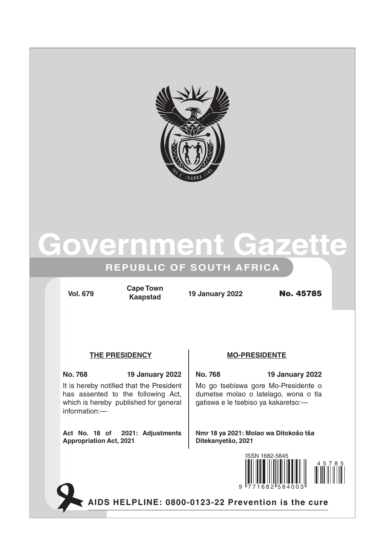

# **Government Gazette**

## **REPUBLIC OF SOUTH AFRICA**

**Vol. 679 19 January 2022** No. 45785 **Cape Town Kaapstad**

### THE PRESIDENCY **MO-PRESIDENTE**

**No. 768 19 January 2022 No. 768 19 January 2022** It is hereby notified that the President has assented to the following Act, which is hereby published for general information:—

**Act No. 18 of 2021: Adjustments Appropriation Act, 2021**

Mo go tsebiswa gore Mo-Presidente o dumetse molao o latelago, wona o tla gatiswa e le tsebiso ya kakaretso:—

**Nmr 18 ya 2021: Molao wa Ditokošo tša Ditekanyetšo, 2021** 



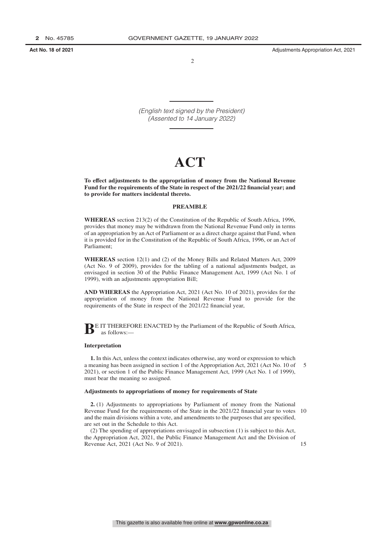$\overline{2}$ 

*(English text signed by the President) (Assented to 14 January 2022)*

# **ACT**

**To effect adjustments to the appropriation of money from the National Revenue Fund for the requirements of the State in respect of the 2021/22 financial year; and to provide for matters incidental thereto.**

#### **PREAMBLE**

**WHEREAS** section 213(2) of the Constitution of the Republic of South Africa, 1996, provides that money may be withdrawn from the National Revenue Fund only in terms of an appropriation by an Act of Parliament or as a direct charge against that Fund, when it is provided for in the Constitution of the Republic of South Africa, 1996, or an Act of Parliament;

**WHEREAS** section 12(1) and (2) of the Money Bills and Related Matters Act, 2009 (Act No. 9 of 2009), provides for the tabling of a national adjustments budget, as envisaged in section 30 of the Public Finance Management Act, 1999 (Act No. 1 of 1999), with an adjustments appropriation Bill;

**AND WHEREAS** the Appropriation Act, 2021 (Act No. 10 of 2021), provides for the appropriation of money from the National Revenue Fund to provide for the requirements of the State in respect of the 2021/22 financial year,

**BE IT THEREFORE ENACTED by the Parliament of the Republic of South Africa,** as follows:—

#### **Interpretation**

**1.** In this Act, unless the context indicates otherwise, any word or expression to which a meaning has been assigned in section 1 of the Appropriation Act, 2021 (Act No. 10 of 2021), or section 1 of the Public Finance Management Act, 1999 (Act No. 1 of 1999), must bear the meaning so assigned. 5

#### **Adjustments to appropriations of money for requirements of State**

**2.** (1) Adjustments to appropriations by Parliament of money from the National Revenue Fund for the requirements of the State in the 2021/22 financial year to votes 10 and the main divisions within a vote, and amendments to the purposes that are specified, are set out in the Schedule to this Act.

(2) The spending of appropriations envisaged in subsection (1) is subject to this Act, the Appropriation Act, 2021, the Public Finance Management Act and the Division of Revenue Act, 2021 (Act No. 9 of 2021).

15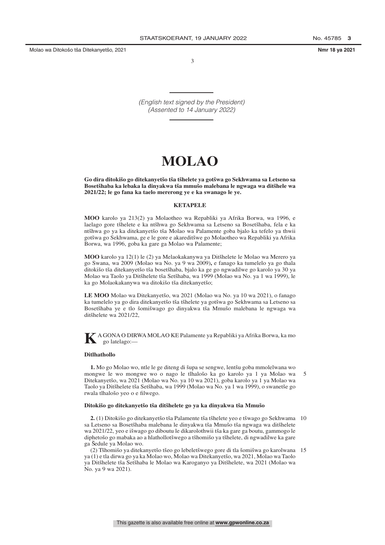Molao wa Ditokošo tša Ditekanyetšo, 2021 **Nmr 18 ya 2021**

3

*(English text signed by the President) (Assented to 14 January 2022)*

# **MOLAO**

Go dira ditokišo go ditekanyetšo tša tšhelete ya gotšwa go Sekhwama sa Letseno sa Bosetšhaba ka lebaka la dinyakwa tša mmušo malebana le ngwaga wa ditšhele wa **2021/22; le go fana ka taelo mererong ye e ka swanago le ye.**

#### **KETAPELE**

**MOO** karolo ya 213(2) ya Molaotheo wa Repabliki ya Afrika Borwa, wa 1996, e laelago gore tšhelete e ka ntšhwa go Sekhwama sa Letseno sa Bosetšhaba, fela e ka ntšhwa go ya ka ditekanyetšo tša Molao wa Palamente goba bjalo ka tefelo ya thwii gotšwa go Sekhwama, ge e le gore e akareditšwe go Molaotheo wa Repabliki ya Afrika Borwa, wa 1996, goba ka gare ga Molao wa Palamente;

**MOO** karolo ya 12(1) le (2) ya Melaokakanywa ya Ditšhelete le Molao wa Merero ya go Swana, wa 2009 (Molao wa No. ya 9 wa 2009)**,** e fanago ka tumelelo ya go thala ditokišo tša ditekanyetšo tša bosetšhaba, bjalo ka ge go ngwadilwe go karolo ya 30 ya Molao wa Taolo ya Ditšhelete tša Setšhaba, wa 1999 (Molao wa No. ya 1 wa 1999), le ka go Molaokakanywa wa ditokišo tša ditekanyetšo;

LE MOO Molao wa Ditekanyetšo, wa 2021 (Molao wa No. ya 10 wa 2021), o fanago ka tumelelo ya go dira ditekanyetšo tša tšhelete ya gotšwa go Sekhwama sa Letseno sa Bosetšhaba ye e tlo šomišwago go dinyakwa tša Mmušo malebana le ngwaga wa ditšhelete wa 2021/22,

**K**A GONA O DIRWAMOLAO KE Palamente ya Repabliki ya Afrika Borwa, ka mo go latelago:—

#### **Ditlhathollo**

1. Mo go Molao wo, ntle le ge diteng di šupa se sengwe, lentšu goba mmolelwana wo mongwe le wo mongwe wo o nago le tlhalošo ka go karolo ya 1 ya Molao wa Ditekanyetšo, wa 2021 (Molao wa No. ya 10 wa 2021), goba karolo ya 1 ya Molao wa Taolo ya Ditšhelete tša Setšhaba, wa 1999 (Molao wa No. ya 1 wa 1999), o swanetše go rwala tlhalošo yeo o e filwego. 5

#### Ditokišo go ditekanyetšo tša ditšhelete go ya ka dinyakwa tša Mmušo

2. (1) Ditokišo go ditekanyetšo tša Palamente tša tšhelete yeo e tšwago go Sekhwama 10 sa Letseno sa Bosetšhaba malebana le dinyakwa tša Mmušo tša ngwaga wa ditšhelete wa 2021/22, yeo e išwago go diboutu le dikarolothwii tša ka gare ga boutu, gammogo le diphetošo go mabaka ao a hlathollotšwego a tšhomišo ya tšhelete, di ngwadilwe ka gare ga Šedule ya Molao wo.

(2) Tšhomišo ya ditekanyetšo tšeo go lebeletšwego gore di tla šomišwa go karolwana 15 ya (1) e tla dirwa go ya ka Molao wo, Molao wa Ditekanyetšo, wa 2021, Molao wa Taolo ya Ditšhelete tša Setšhaba le Molao wa Karoganyo ya Ditšhelete, wa 2021 (Molao wa No. ya 9 wa 2021).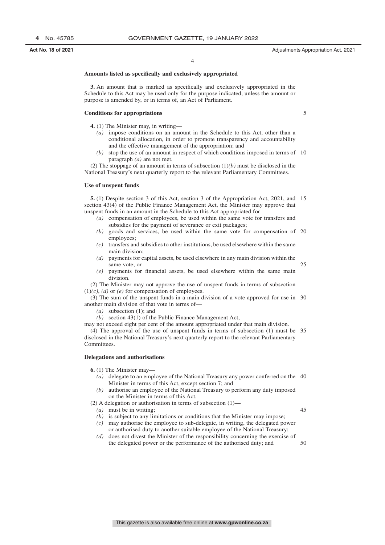#### **Amounts listed as specifically and exclusively appropriated**

**3.** An amount that is marked as specifically and exclusively appropriated in the Schedule to this Act may be used only for the purpose indicated, unless the amount or purpose is amended by, or in terms of, an Act of Parliament.

#### **Conditions for appropriations**

5

- **4.** (1) The Minister may, in writing—
	- *(a)* impose conditions on an amount in the Schedule to this Act, other than a conditional allocation, in order to promote transparency and accountability and the effective management of the appropriation; and
	- *(b)* stop the use of an amount in respect of which conditions imposed in terms of 10 paragraph *(a)* are not met.

(2) The stoppage of an amount in terms of subsection (1)*(b)* must be disclosed in the National Treasury's next quarterly report to the relevant Parliamentary Committees.

#### **Use of unspent funds**

**5.** (1) Despite section 3 of this Act, section 3 of the Appropriation Act, 2021, and 15 section 43(4) of the Public Finance Management Act, the Minister may approve that unspent funds in an amount in the Schedule to this Act appropriated for—

- *(a)* compensation of employees, be used within the same vote for transfers and subsidies for the payment of severance or exit packages;
- *(b)* goods and services, be used within the same vote for compensation of 20 employees;
- *(c)* transfers and subsidies to other institutions, be used elsewhere within the same main division;
- *(d)* payments for capital assets, be used elsewhere in any main division within the same vote; or
- *(e)* payments for financial assets, be used elsewhere within the same main division.

(2) The Minister may not approve the use of unspent funds in terms of subsection  $(1)(c)$ ,  $(d)$  or  $(e)$  for compensation of employees.

(3) The sum of the unspent funds in a main division of a vote approved for use in 30 another main division of that vote in terms of—

- *(a)* subsection (1); and
- *(b)* section 43(1) of the Public Finance Management Act,

may not exceed eight per cent of the amount appropriated under that main division.

(4) The approval of the use of unspent funds in terms of subsection (1) must be 35 disclosed in the National Treasury's next quarterly report to the relevant Parliamentary Committees.

#### **Delegations and authorisations**

**6.** (1) The Minister may—

- *(a)* delegate to an employee of the National Treasury any power conferred on the 40 Minister in terms of this Act, except section 7; and
- *(b)* authorise an employee of the National Treasury to perform any duty imposed on the Minister in terms of this Act.

(2) A delegation or authorisation in terms of subsection  $(1)$ —

*(a)* must be in writing;

 $\overline{45}$ 

 $25$ 

- *(b)* is subject to any limitations or conditions that the Minister may impose; *(c)* may authorise the employee to sub-delegate, in writing, the delegated power or authorised duty to another suitable employee of the National Treasury;
- *(d)* does not divest the Minister of the responsibility concerning the exercise of the delegated power or the performance of the authorised duty; and 50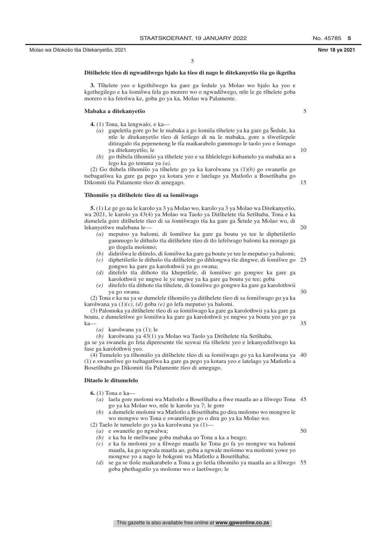5

 $1<sub>0</sub>$ 

35

50

#### Ditšhelete tšeo di ngwadilwego bjalo ka tšeo di nago le ditekanyetšo tša go ikgetha

**3.** Tšhelete yeo e kgethilwego ka gare ga šedule ya Molao wo bjalo ka yeo e kgethegilego e ka šomišwa fela go morero wo o ngwadilwego, ntle le ge tšhelete goba morero o ka fetošwa ke, goba go ya ka, Molao wa Palamente.

#### **Mabaka a ditekanyetsˇo**

- **4.** (1) Tona, ka lengwalo, e ka—
	- *(a)* gapeletša gore go be le mabaka a go šomiša tšhelete ya ka gare ga Šedule, ka ntle le ditekanyetšo tšeo di šetšego di na le mabaka, gore a tšwetšepele ditiragalo tša pepeneneng le tša maikarabelo gammogo le taolo yeo e šomago ya ditekanyetšo; le
	- (b) go thibela tšhomišo ya tšhelete yeo e sa fihlelelego kobamelo ya mabaka ao a lego ka go temana ya *(a)*.

(2) Go thibela tšhomišo ya tšhelete go ya ka karolwana ya  $(1)(b)$  go swanetše go tsebagatšwa ka gare ga pego ya kotara yeo e latelago ya Matlotlo a Bosetšhaba go Dikomiti tša Palamente tšeo di amegago. 15

#### Tšhomišo ya ditšhelete tšeo di sa šomišwago

**5.** (1) Le ge go na le karolo ya 3 ya Molao wo, karolo ya 3 ya Molao wa Ditekanyetšo, wa 2021, le karolo ya 43(4) ya Molao wa Taolo ya Ditšhelete tša Setšhaba, Tona e ka dumelela gore ditšhelete tšeo di sa šomišwago tša ka gare ga Šetule ya Molao wo, di lekanyetšwe malebana le— 20

- (a) meputso ya bašomi, di šomišwe ka gare ga boutu ye tee le diphetišetšo gammogo le dithušo tša ditšhelete tšeo di tlo lefelwago bašomi ka morago ga go tlogela mošomo;
- *(b)* didirišwa le ditirelo, di šomišwe ka gare ga boutu ye tee le meputso ya bašomi;
- (c) diphetišetšo le dithušo tša ditšhelete go dihlongwa tše dingwe, di šomišwe go 25 gongwe ka gare ga karolothwii ya go swana;
- (d) ditefelo tša dithoto tša khepetlele, di šomišwe go gongwe ka gare ga karolothwii ye nngwe le ye nngwe ya ka gare ga boutu ye tee; goba
- (e) ditefelo tša dithoto tša tšhelete, di šomišwe go gongwe ka gare ga karolothwii ya go swana. 30

(2) Tona e ka na ya se dumelele tšhomišo ya ditšhelete tšeo di sa šomišwago go ya ka karolwana ya  $(1)(c)$ ,  $(d)$  goba  $(e)$  go lefa meputso ya bašomi.

(3) Palomoka ya ditšhelete tšeo di sa šomišwago ka gare ga karolothwii ya ka gare ga boutu, e dumeletšwe go šomišwa ka gare ga karolothwii ye nngwe ya boutu yeo go ya ka—

*(a)* karolwana ya (1); le

 $(b)$  karolwana ya 43(1) ya Molao wa Taolo ya Ditšhelete tša Setšhaba,

ga se ya swanela go feta diperesente tše seswai tša tšhelete yeo e lekanyeditšwego ka fase ga karolothwii yeo.

(4) Tumelelo ya tšhomišo ya ditšhelete tšeo di sa šomišwago go ya ka karolwana ya 40 (1) e swanetšwe go tsebagatšwa ka gare ga pego ya kotara yeo e latelago ya Matlotlo a Bosetšhaba go Dikomiti tša Palamente tšeo di amegago.

#### **Ditaelo le ditumelelo**

- **6.** (1) Tona e ka—
	- (a) laela gore mošomi wa Matlotlo a Bosetšhaba a fiwe maatla ao a filwego Tona 45 go ya ka Molao wo, ntle le karolo ya 7; le gore
	- (b) a dumelele mošomi wa Matlotlo a Bosetšhaba go dira mošomo wo mongwe le wo mongwe wo Tona e swanetšego go o dira go ya ka Molao wo.

(2) Taelo le tumelelo go ya ka karolwana ya (1)—

- *(a)* e swanetše go ngwalwa;
- *(b)* e ka ba le mellwane goba mabaka ao Tona a ka a beago;
- *(c)* e ka fa mošomi yo a filwego maatla ke Tona go fa yo mongwe wa bašomi maatla, ka go ngwala maatla ao, goba a ngwale mošomo wa mošomi yowe yo mongwe yo a nago le bokgoni wa Matlotlo a Bosetšhaba;
- (d) se ga se tloše maikarabelo a Tona a go šetša tšhomišo ya maatla ao a filwego 55 goba phethagatšo ya mošomo wo o laetšwego; le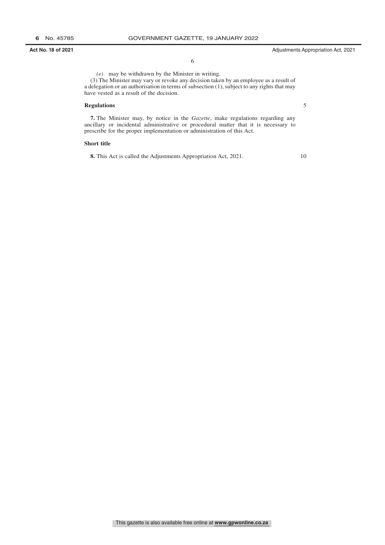6

*(e)* may be withdrawn by the Minister in writing. (3) The Minister may vary or revoke any decision taken by an employee as a result of a delegation or an authorisation in terms of subsection (1), subject to any rights that may have vested as a result of the decision.

#### **Regulations**

5

**7.** The Minister may, by notice in the *Gazette*, make regulations regarding any ancillary or incidental administrative or procedural matter that it is necessary to prescribe for the proper implementation or administration of this Act.

#### **Short title**

**8.** This Act is called the Adjustments Appropriation Act, 2021.

10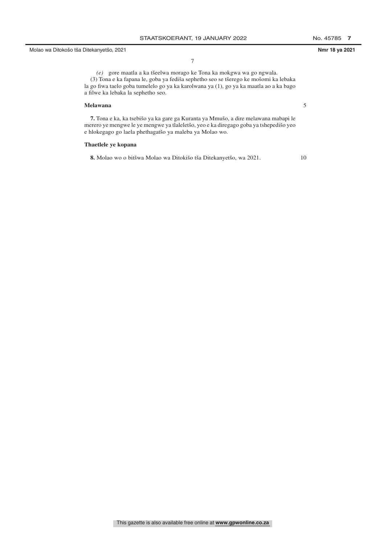Molao wa Ditokošo tša Ditekanyetšo, 2021 **Nmr 18 ya 2021**

7

*(e)* gore maatla a ka tšeelwa morago ke Tona ka mokgwa wa go ngwala. (3) Tona e ka fapana le, goba ya fediša sephetho seo se tšerego ke mošomi ka lebaka la go fiwa taelo goba tumelelo go ya ka karolwana ya (1), go ya ka maatla ao a ka bago a filwe ka lebaka la sephetho seo.

#### **Melawana**

**7.** Tona e ka, ka tsebišo ya ka gare ga Kuranta ya Mmušo, a dire melawana mabapi le merero ye mengwe le ye mengwe ya tlaleletšo, yeo e ka diregago goba ya tshepedišo yeo e hlokegago go laela phethagatšo ya maleba ya Molao wo.

#### **Thaetlele ye kopana**

8. Molao wo o bitšwa Molao wa Ditokišo tša Ditekanyetšo, wa 2021.

5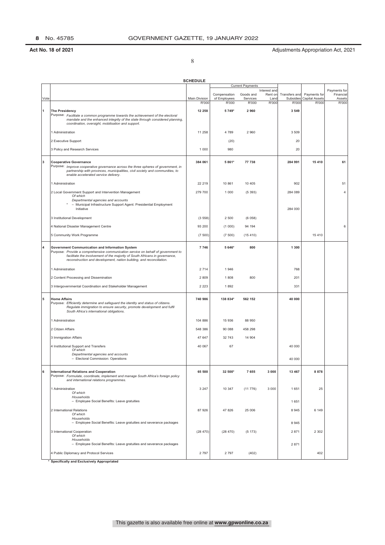8

|      |                                                                                                                                                                  | <b>SCHEDULE</b>        |                       |                         |                         |                    |                                |                 |
|------|------------------------------------------------------------------------------------------------------------------------------------------------------------------|------------------------|-----------------------|-------------------------|-------------------------|--------------------|--------------------------------|-----------------|
|      |                                                                                                                                                                  |                        |                       | <b>Current Payments</b> |                         |                    |                                | Payments for    |
|      |                                                                                                                                                                  |                        | Compensation          | Goods and               | Interest and<br>Rent on | Transfers and      | Payments for                   | Financial       |
| Vote |                                                                                                                                                                  | Main Division<br>R'000 | of Employees<br>R'000 | Services<br>R'000       | Land<br>R'000           | Subsidies<br>R'000 | <b>Capital Assets</b><br>R'000 | Assets<br>R'000 |
| 1    | <b>The Presidency</b>                                                                                                                                            | 12 258                 | 5 749*                | 2960                    |                         | 3 5 4 9            |                                |                 |
|      | Purpose: Facilitate a common programme towards the achievement of the electoral                                                                                  |                        |                       |                         |                         |                    |                                |                 |
|      | mandate and the enhanced integrity of the state through considered planning,<br>coordination, oversight, mobilisation and support.                               |                        |                       |                         |                         |                    |                                |                 |
|      |                                                                                                                                                                  |                        |                       |                         |                         |                    |                                |                 |
|      | 1 Administration                                                                                                                                                 | 11 258                 | 4789                  | 2 9 6 0                 |                         | 3 5 0 9            |                                |                 |
|      | 2 Executive Support                                                                                                                                              |                        | (20)                  |                         |                         | 20                 |                                |                 |
|      | 3 Policy and Research Services                                                                                                                                   | 1 0 0 0                | 980                   |                         |                         | 20                 |                                |                 |
|      |                                                                                                                                                                  |                        |                       |                         |                         |                    |                                |                 |
| 3    | <b>Cooperative Governance</b><br>Purpose: Improve cooperative governance across the three spheres of government, in                                              | 384 061                | 5 861*                | 77 738                  |                         | 284 991            | 15 410                         | 61              |
|      | partnership with provinces, municipalities, civil society and communities, to                                                                                    |                        |                       |                         |                         |                    |                                |                 |
|      | enable accelerated service delivery.                                                                                                                             |                        |                       |                         |                         |                    |                                |                 |
|      | 1 Administration                                                                                                                                                 | 22 219                 | 10 861                | 10 405                  |                         | 902                |                                | 51              |
|      | 2 Local Government Support and Intervention Management                                                                                                           | 279 700                | 1 0 0 0               | (5393)                  |                         | 284 089            |                                | 4               |
|      | Of which<br>Departmental agencies and accounts                                                                                                                   |                        |                       |                         |                         |                    |                                |                 |
|      | - Municipal Infrastructure Support Agent: Presidential Employment                                                                                                |                        |                       |                         |                         |                    |                                |                 |
|      | Initiative                                                                                                                                                       |                        |                       |                         |                         | 284 000            |                                |                 |
|      | 3 Institutional Development                                                                                                                                      | (3558)                 | 2 500                 | (6058)                  |                         |                    |                                |                 |
|      | 4 National Disaster Management Centre                                                                                                                            | 93 200                 | (1000)                | 94 194                  |                         |                    |                                | 6               |
|      | 5 Community Work Programme                                                                                                                                       | (7500)                 | (7500)                | (15410)                 |                         |                    | 15410                          |                 |
|      |                                                                                                                                                                  |                        |                       |                         |                         |                    |                                |                 |
| 4    | Government Communication and Information System                                                                                                                  | 7746                   | 5 646*                | 800                     |                         | 1 300              |                                |                 |
|      | Purpose: Provide a comprehensive communication service on behalf of government to<br>facilitate the involvement of the majority of South Africans in governance, |                        |                       |                         |                         |                    |                                |                 |
|      | reconstruction and development, nation building, and reconciliation.                                                                                             |                        |                       |                         |                         |                    |                                |                 |
|      | 1 Administration                                                                                                                                                 | 2 7 1 4                | 1946                  |                         |                         | 768                |                                |                 |
|      | 2 Content Processing and Dissemination                                                                                                                           | 2809                   | 1808                  | 800                     |                         | 201                |                                |                 |
|      |                                                                                                                                                                  |                        |                       |                         |                         |                    |                                |                 |
|      | 3 Intergovernmental Coordination and Stakeholder Management                                                                                                      | 2 2 2 3                | 1892                  |                         |                         | 331                |                                |                 |
| 5    | <b>Home Affairs</b>                                                                                                                                              | 740 986                | 138 834*              | 562 152                 |                         | 40 000             |                                |                 |
|      | Purpose: Efficiently determine and safeguard the identity and status of citizens.                                                                                |                        |                       |                         |                         |                    |                                |                 |
|      | Regulate immigration to ensure security, promote development and fulfil<br>South Africa's international obligations.                                             |                        |                       |                         |                         |                    |                                |                 |
|      |                                                                                                                                                                  |                        |                       |                         |                         |                    |                                |                 |
|      | 1 Administration                                                                                                                                                 | 104 886                | 15 936                | 88 950                  |                         |                    |                                |                 |
|      | 2 Citizen Affairs                                                                                                                                                | 548 386                | 90 088                | 458 298                 |                         |                    |                                |                 |
|      | 3 Immigration Affairs                                                                                                                                            | 47 647                 | 32 743                | 14 904                  |                         |                    |                                |                 |
|      | 4 Institutional Support and Transfers                                                                                                                            | 40 067                 | 67                    |                         |                         | 40 000             |                                |                 |
|      | Of which<br>Departmental agencies and accounts                                                                                                                   |                        |                       |                         |                         |                    |                                |                 |
|      | - Electoral Commission: Operations                                                                                                                               |                        |                       |                         |                         | 40 000             |                                |                 |
|      |                                                                                                                                                                  |                        |                       |                         |                         |                    |                                |                 |
| 6    | <b>International Relations and Cooperation</b><br>Purpose: Formulate, coordinate, implement and manage South Africa's foreign policy                             | 65 500                 | 32 500*               | 7655                    | 3 0 0 0                 | 13 4 6 7           | 8878                           |                 |
|      | and international relations programmes.                                                                                                                          |                        |                       |                         |                         |                    |                                |                 |
|      | 1 Administration                                                                                                                                                 | 3 2 4 7                | 10 347                | (11776)                 | 3 0 0 0                 | 1 651              | 25                             |                 |
|      | Of which<br>Households                                                                                                                                           |                        |                       |                         |                         |                    |                                |                 |
|      | - Employee Social Benefits: Leave gratuities                                                                                                                     |                        |                       |                         |                         | 1651               |                                |                 |
|      | 2 International Relations                                                                                                                                        | 87 926                 | 47 826                | 25 006                  |                         | 8 9 4 5            | 6 1 4 9                        |                 |
|      | Of which                                                                                                                                                         |                        |                       |                         |                         |                    |                                |                 |
|      | Households<br>- Employee Social Benefits: Leave gratuities and severance packages                                                                                |                        |                       |                         |                         | 8945               |                                |                 |
|      | 3 International Cooperation                                                                                                                                      | (28 470)               | (28 470)              | (5173)                  |                         | 2 871              | 2 3 0 2                        |                 |
|      | Of which                                                                                                                                                         |                        |                       |                         |                         |                    |                                |                 |
|      | Households<br>- Employee Social Benefits: Leave gratuities and severance packages                                                                                |                        |                       |                         |                         | 2871               |                                |                 |
|      | 4 Public Diplomacy and Protocol Services                                                                                                                         | 2797                   | 2797                  | (402)                   |                         |                    | 402                            |                 |
|      |                                                                                                                                                                  |                        |                       |                         |                         |                    |                                |                 |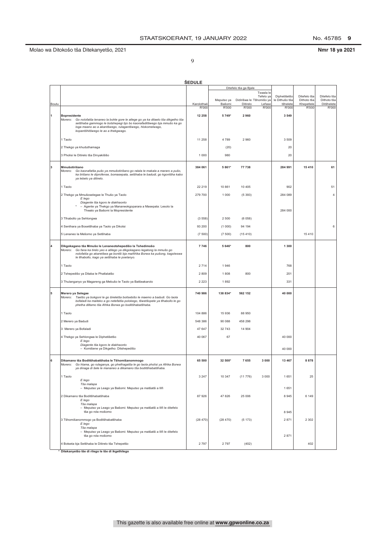### Molao wa Ditokošo tša Ditekanyetšo, 2021 **Nmr 18 ya 2021**

| ×<br>I<br>i<br>I |
|------------------|
| I<br>۰,<br>۰.    |

|       |                                                                                                                                                                                                                                                                                             | <b>SEDULE</b> |            |                          |           |                                |                             |                             |
|-------|---------------------------------------------------------------------------------------------------------------------------------------------------------------------------------------------------------------------------------------------------------------------------------------------|---------------|------------|--------------------------|-----------|--------------------------------|-----------------------------|-----------------------------|
|       |                                                                                                                                                                                                                                                                                             |               |            | Ditefelo tša ga Bjale    | Tswala le |                                |                             |                             |
|       |                                                                                                                                                                                                                                                                                             |               | Meputso ya | Didirišwa le Tšhomišo ya | Tefelo ya | Diphetišetšo<br>le Dithušo tša | Ditefelo tša<br>Dithoto tša | Ditefelo tša<br>Dithoto tša |
| Boutu |                                                                                                                                                                                                                                                                                             | Karolothwii   | Bašomi     | Ditirelo                 | Lefase    | tšhelete                       | Khepetlele                  | Ditšhelete                  |
|       |                                                                                                                                                                                                                                                                                             | R'000         | R'000      | R'000                    | R'000     | R'000                          | R'000                       | R'000                       |
| 1     | <b>Bopresidente</b><br>Morero:<br>Go nolofatša lenaneo la bohle gore le atlege go ya ka ditaelo tša dikgetho tša<br>setšhaba gammogo le botshepegi bjo bo kaonafaditšwego bja mmušo ka go<br>loga maano ao a akantšwego, rulagantšwego, hlokomelwago,<br>kopantšhitšwego le ao a thekgwago. | 12 258        | 5 7 4 9*   | 2960                     |           | 3 5 4 9                        |                             |                             |
|       | 1 Taolo                                                                                                                                                                                                                                                                                     | 11 258        | 4789       | 2960                     |           | 3 5 0 9                        |                             |                             |
|       | 2 Thekgo ya khuduthamaga                                                                                                                                                                                                                                                                    |               | (20)       |                          |           | 20                             |                             |                             |
|       | 3 Pholisi le Ditirelo tša Dinyakišišo                                                                                                                                                                                                                                                       | 1 0 0 0       | 980        |                          |           | 20                             |                             |                             |
| 3     | Mmušotirišano<br>Morero: Go kaonafatša pušo ya mmušotirišano go ralala le makala a mararo a pušo,<br>ka tirišano le diprofense, bomasepala, setšhaba le badudi, go kgontšha kabo<br>ya lebelo ya ditirelo.                                                                                  | 384 061       | 5 8 6 1*   | 77 738                   |           | 284 991                        | 15 410                      | 61                          |
|       | 1 Taolo                                                                                                                                                                                                                                                                                     | 22 219        | 10 861     | 10 4 05                  |           | 902                            |                             | 51                          |
|       | 2 Thekgo ya Mmušoselegae le Thušo ya Taolo                                                                                                                                                                                                                                                  | 279 700       | 1 0 0 0    | (5393)                   |           | 284 089                        |                             | 4                           |
|       | E lego<br>Diagente tša kgoro le diakhaonto<br>* - Agente ya Thekgo ya Mananeokgoparara a Masepala: Lesolo la<br>Thwalo ya Bašomi la Mopresidente                                                                                                                                            |               |            |                          |           | 284 000                        |                             |                             |
|       | 3 Tlhabollo ya Sehlongwa                                                                                                                                                                                                                                                                    | (3558)        | 2 500      | (6058)                   |           |                                |                             |                             |
|       | 4 Senthara ya Bosetšhaba ya Taolo ya Dikotsi                                                                                                                                                                                                                                                | 93 200        | (1000)     | 94 194                   |           |                                |                             | 6                           |
|       | 5 Lenaneo la Mešomo ya Setšhaba                                                                                                                                                                                                                                                             | (7500)        | (7500)     | (15410)                  |           |                                | 15 4 10                     |                             |
|       |                                                                                                                                                                                                                                                                                             |               |            |                          |           |                                |                             |                             |
| 4     | Dikgokagano tša Mmušo le Lenaneotshepedišo la Tshedimošo<br>Morero: Go fana ka tirelo yeo e atilego ya dikgokagano legatong la mmušo go<br>nolofatša go akaretšwa ga bontši bja maAfrika Borwa ka pušong, kagoleswa<br>le tihabollo, kago ya setšhaba le poelanyo.                          | 7746          | 5 646*     | 800                      |           | 1 300                          |                             |                             |
|       | 1 Taolo                                                                                                                                                                                                                                                                                     | 2714          | 1946       |                          |           | 768                            |                             |                             |
|       | 2 Tshepedišo ya Ditaba le Phatlalatšo                                                                                                                                                                                                                                                       | 2 8 0 9       | 1808       | 800                      |           | 201                            |                             |                             |
|       | 3 Thulanganyo ya Magareng ga Mebušo le Taolo ya Batšeakarolo                                                                                                                                                                                                                                | 2 2 2 3       | 1892       |                          |           | 331                            |                             |                             |
| 5     | Merero ya Selegae<br>Morero: Taetšo ya bokgoni le go šireletša boitsebišo le maemo a badudi. Go laola<br>bofaladi ka maiteko a go netefatša polokego, tšwetšopele ya tlhabollo le go<br>phetha ditlamo tša Afrika Borwa go boditšhabatšhaba.                                                | 740 986       | 138 834*   | 562 152                  |           | 40 000                         |                             |                             |
|       | 1 Taolo                                                                                                                                                                                                                                                                                     | 104 886       | 15 936     | 88 950                   |           |                                |                             |                             |
|       | 2 Merero ya Badudi                                                                                                                                                                                                                                                                          | 548 386       | 90 088     | 458 298                  |           |                                |                             |                             |
|       | 3 Merero ya Bofaladi                                                                                                                                                                                                                                                                        | 47 647        | 32743      | 14 904                   |           |                                |                             |                             |
|       | 4 Thekgo ya Sehlongwa le Diphetišetšo                                                                                                                                                                                                                                                       | 40 067        | 67         |                          |           | 40 000                         |                             |                             |
|       | E lego<br>Diagente tša kgoro le diakhaonto                                                                                                                                                                                                                                                  |               |            |                          |           |                                |                             |                             |
|       | - Komišene ya Dikgetho: Ditshepedišo                                                                                                                                                                                                                                                        |               |            |                          |           | 40 000                         |                             |                             |
| 6     | Dikamano tša Boditšhabatšhaba le Tšhomišanommogo<br>Morero: Go hlama, go rulaganya, go phethagatša le go laola pholisi ya Afrika Borwa<br>ya dinaga di šele le mananeo a dikamano tša boditšhabatšhaba.                                                                                     | 65 500        | 32 500*    | 7655                     | 3 0 0 0   | 13 467                         | 8 8 7 8                     |                             |
|       | 1 Taolo<br>E lego<br>Tša malapa                                                                                                                                                                                                                                                             | 3 2 4 7       | 10 347     | (11776)                  | 3 0 0 0   | 1651                           | 25                          |                             |
|       | - Meputso ya Leago ya Bašomi: Meputso ya matšatši a Ilifi                                                                                                                                                                                                                                   |               |            |                          |           | 1651                           |                             |                             |
|       | 2 Dikamano tša Boditšhabatšhaba<br>E lego<br>Tša malapa<br>- Meputso ya Leago ya Bašomi: Meputso ya matšatši a llifi le ditefelo                                                                                                                                                            | 87 926        | 47 826     | 25 006                   |           | 8945                           | 6 1 4 9                     |                             |
|       | tša go rola mošomo                                                                                                                                                                                                                                                                          |               |            |                          |           | 8945                           |                             |                             |
|       | 3 Tšhomišanommogo ya Boditšhabatšhaba<br>E lego<br>Tša malapa                                                                                                                                                                                                                               | (28, 470)     | (28 470)   | (5173)                   |           | 2871                           | 2 3 0 2                     |                             |
|       | - Meputso ya Leago ya Bašomi: Meputso ya matšatši a Ilifi le ditefelo<br>tša go rola mošomo                                                                                                                                                                                                 |               |            |                          |           | 2871                           |                             |                             |
|       | 4 Botseta bja Setšhaba le Ditirelo tša Tshepetšo                                                                                                                                                                                                                                            | 2797          | 2797       | (402)                    |           |                                | 402                         |                             |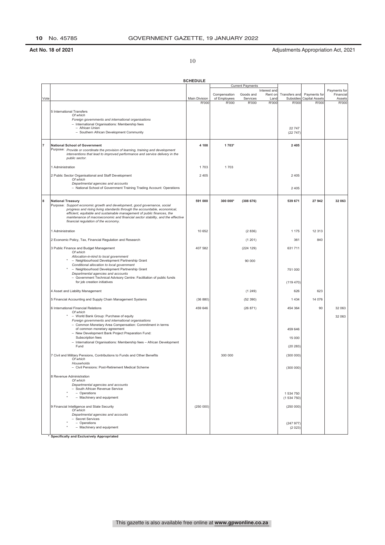10

**SCHEDULE** 

|                |                                                                                                                                                                   |               |                              | <b>Current Payments</b> |                         |                   |                                       |                           |
|----------------|-------------------------------------------------------------------------------------------------------------------------------------------------------------------|---------------|------------------------------|-------------------------|-------------------------|-------------------|---------------------------------------|---------------------------|
|                |                                                                                                                                                                   |               |                              | Goods and               | Interest and<br>Rent on | Transfers and     |                                       | Payments for<br>Financial |
| Vote           |                                                                                                                                                                   | Main Division | Compensation<br>of Employees | Services                | Land                    | Subsidies         | Payments for<br><b>Capital Assets</b> | Assets                    |
|                |                                                                                                                                                                   | R'000         | R'000                        | R'000                   | <b>R'000</b>            | R'000             | R'000                                 | R'000                     |
|                |                                                                                                                                                                   |               |                              |                         |                         |                   |                                       |                           |
|                | 5 International Transfers<br>Of which                                                                                                                             |               |                              |                         |                         |                   |                                       |                           |
|                | Foreign governments and international organisations                                                                                                               |               |                              |                         |                         |                   |                                       |                           |
|                | - International Organisations: Membership fees                                                                                                                    |               |                              |                         |                         |                   |                                       |                           |
|                | - African Union<br>- Southern African Development Community                                                                                                       |               |                              |                         |                         | 22 747<br>(22747) |                                       |                           |
|                |                                                                                                                                                                   |               |                              |                         |                         |                   |                                       |                           |
|                |                                                                                                                                                                   |               |                              |                         |                         |                   |                                       |                           |
| $\overline{7}$ | <b>National School of Government</b>                                                                                                                              | 4 1 0 8       | 1 703*                       |                         |                         | 2 4 0 5           |                                       |                           |
|                | Purpose: Provide or coordinate the provision of learning, training and development<br>interventions that lead to improved performance and service delivery in the |               |                              |                         |                         |                   |                                       |                           |
|                | public sector.                                                                                                                                                    |               |                              |                         |                         |                   |                                       |                           |
|                |                                                                                                                                                                   |               |                              |                         |                         |                   |                                       |                           |
|                | 1 Administration                                                                                                                                                  | 1703          | 1703                         |                         |                         |                   |                                       |                           |
|                | 2 Public Sector Organisational and Staff Development                                                                                                              | 2 4 0 5       |                              |                         |                         | 2 4 0 5           |                                       |                           |
|                | Of which                                                                                                                                                          |               |                              |                         |                         |                   |                                       |                           |
|                | Departmental agencies and accounts<br>- National School of Government Training Trading Account: Operations                                                        |               |                              |                         |                         | 2 4 0 5           |                                       |                           |
|                |                                                                                                                                                                   |               |                              |                         |                         |                   |                                       |                           |
|                |                                                                                                                                                                   |               |                              |                         |                         |                   |                                       |                           |
| 8              | <b>National Treasury</b><br>Purpose: Support economic growth and development, good governance, social                                                             | 591 000       | 300 000*                     | (308676)                |                         | 539 671           | 27 942                                | 32 063                    |
|                | progress and rising living standards through the accountable, economical,                                                                                         |               |                              |                         |                         |                   |                                       |                           |
|                | efficient, equitable and sustainable management of public finances, the                                                                                           |               |                              |                         |                         |                   |                                       |                           |
|                | maintenance of macroeconomic and financial sector stability, and the effective<br>financial regulation of the economy.                                            |               |                              |                         |                         |                   |                                       |                           |
|                |                                                                                                                                                                   |               |                              |                         |                         |                   |                                       |                           |
|                | 1 Administration                                                                                                                                                  | 10 652        |                              | (2836)                  |                         | 1 1 7 5           | 12 3 13                               |                           |
|                | 2 Economic Policy, Tax, Financial Regulation and Research                                                                                                         |               |                              | (1201)                  |                         | 361               | 840                                   |                           |
|                | 3 Public Finance and Budget Management                                                                                                                            | 407 582       |                              | (224 129)               |                         | 631 711           |                                       |                           |
|                | Of which<br>Allocation-in-kind to local government                                                                                                                |               |                              |                         |                         |                   |                                       |                           |
|                | - Neighbourhood Development Partnership Grant                                                                                                                     |               |                              | 90 000                  |                         |                   |                                       |                           |
|                | Conditional allocation to local government                                                                                                                        |               |                              |                         |                         |                   |                                       |                           |
|                | - Neighbourhood Development Partnership Grant<br>Departmental agencies and accounts                                                                               |               |                              |                         |                         | 751 000           |                                       |                           |
|                | - Government Technical Advisory Centre: Facilitation of public funds                                                                                              |               |                              |                         |                         |                   |                                       |                           |
|                | for job creation initiatives                                                                                                                                      |               |                              |                         |                         | (119 470)         |                                       |                           |
|                |                                                                                                                                                                   |               |                              |                         |                         |                   |                                       |                           |
|                | 4 Asset and Liability Management                                                                                                                                  |               |                              | (1249)                  |                         | 626               | 623                                   |                           |
|                | 5 Financial Accounting and Supply Chain Management Systems                                                                                                        | (36 880)      |                              | (52 390)                |                         | 1 4 3 4           | 14 076                                |                           |
|                | 6 International Financial Relations                                                                                                                               | 459 646       |                              | (26 871)                |                         | 454 364           | 90                                    | 32 063                    |
|                | Of which<br>- World Bank Group: Purchase of equity                                                                                                                |               |                              |                         |                         |                   |                                       | 32 063                    |
|                | Foreign governments and international organisations                                                                                                               |               |                              |                         |                         |                   |                                       |                           |
|                | - Common Monetary Area Compensation: Commitment in terms                                                                                                          |               |                              |                         |                         |                   |                                       |                           |
|                | of common monetary agreement<br>- New Development Bank Project Preparation Fund:                                                                                  |               |                              |                         |                         | 459 646           |                                       |                           |
|                | Subscription fees                                                                                                                                                 |               |                              |                         |                         | 15 000            |                                       |                           |
|                | - International Organisations: Membership fees - African Development                                                                                              |               |                              |                         |                         |                   |                                       |                           |
|                | Fund                                                                                                                                                              |               |                              |                         |                         | (20 283)          |                                       |                           |
|                | 7 Civil and Military Pensions, Contributions to Funds and Other Benefits                                                                                          |               | 300 000                      |                         |                         | (300000)          |                                       |                           |
|                | Of which                                                                                                                                                          |               |                              |                         |                         |                   |                                       |                           |
|                | Households<br>- Civil Pensions: Post-Retirement Medical Scheme                                                                                                    |               |                              |                         |                         | (300 000)         |                                       |                           |
|                |                                                                                                                                                                   |               |                              |                         |                         |                   |                                       |                           |
|                | 8 Revenue Administration                                                                                                                                          |               |                              |                         |                         |                   |                                       |                           |
|                | Of which<br>Departmental agencies and accounts                                                                                                                    |               |                              |                         |                         |                   |                                       |                           |
|                | - South African Revenue Service                                                                                                                                   |               |                              |                         |                         |                   |                                       |                           |
|                | - Operations                                                                                                                                                      |               |                              |                         |                         | 1 534 750         |                                       |                           |
|                | - Machinery and equipment                                                                                                                                         |               |                              |                         |                         | (1534750)         |                                       |                           |
|                | 9 Financial Intelligence and State Security                                                                                                                       | (250000)      |                              |                         |                         | (250000)          |                                       |                           |
|                | Of which                                                                                                                                                          |               |                              |                         |                         |                   |                                       |                           |
|                | Departmental agencies and accounts                                                                                                                                |               |                              |                         |                         |                   |                                       |                           |
|                | - Secret Services<br>- Operations                                                                                                                                 |               |                              |                         |                         | (247977)          |                                       |                           |
|                | - Machinery and equipment                                                                                                                                         |               |                              |                         |                         | (2023)            |                                       |                           |
|                |                                                                                                                                                                   |               |                              |                         |                         |                   |                                       |                           |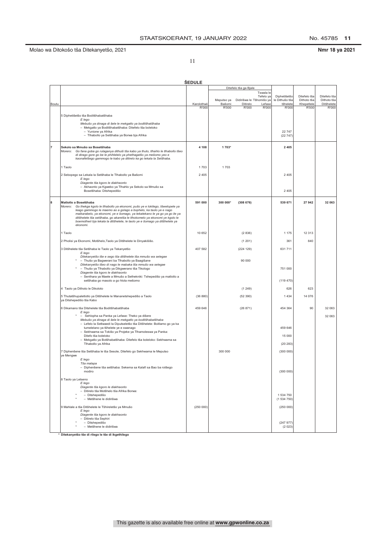Nmr 18 ya 2021

11

|       |                                                                                                                                                                                                                                                                                                                                                                                                                                     | <b>ŠEDULE</b> |                      |                                      |                                  |                                            |                                           |                                           |
|-------|-------------------------------------------------------------------------------------------------------------------------------------------------------------------------------------------------------------------------------------------------------------------------------------------------------------------------------------------------------------------------------------------------------------------------------------|---------------|----------------------|--------------------------------------|----------------------------------|--------------------------------------------|-------------------------------------------|-------------------------------------------|
|       |                                                                                                                                                                                                                                                                                                                                                                                                                                     |               |                      | Ditefelo tša ga Bjale                |                                  |                                            |                                           |                                           |
| Boutu |                                                                                                                                                                                                                                                                                                                                                                                                                                     | Karolothwii   | Meputso ya<br>Bašomi | Didirišwa le Tšhomišo ya<br>Ditirelo | Tswala le<br>Tefelo ya<br>Lefase | Diphetišetšo<br>le Dithušo tša<br>tšhelete | Ditefelo tša<br>Dithoto tša<br>Khepetlele | Ditefelo tša<br>Dithoto tša<br>Ditšhelete |
|       | 5 Diphetišetšo tša Boditšhabatšhaba<br>E lego<br>Mebušo ya dinaga di šele le mekgatlo ya boditšhatšhaba<br>- Mekgatlo ya Boditšhabatšhaba: Ditefelo tša boleloko<br>- Yunione ya Afrika<br>- Tlhabollo ya Setšhaba ya Borwa bja Afrika                                                                                                                                                                                              | R'000         | R'000                | R'000                                | R'000                            | R'000<br>22 747<br>(22747)                 | R'000                                     | R'000                                     |
|       | Sekolo sa Mmušo sa Bosetšhaba<br>Morero: Go fana goba go rulaganya dithuši tša kabo ya thuto, tlhahlo le tlhabollo tšeo<br>di dirago gore go be le phihlelelo ya phethagatšo ya mešomo yeo e<br>kaonafetšego gammogo le kabo ya ditirelo ka go lekala la Setšhaba.                                                                                                                                                                  | 4 1 0 8       | 1 703*               |                                      |                                  | 2 4 0 5                                    |                                           |                                           |
|       | 1 Taolo                                                                                                                                                                                                                                                                                                                                                                                                                             | 1703          | 1703                 |                                      |                                  |                                            |                                           |                                           |
|       | 2 Sebopego sa Lekala la Setšhaba le Tlhabollo ya Bašomi<br>E lego<br>Diagente tša kgoro le diakhaonto<br>- Akhaonto ya Kgwebo ya Tlhahlo ya Sekolo sa Mmušo sa                                                                                                                                                                                                                                                                      | 2 4 0 5       |                      |                                      |                                  | 2 4 0 5                                    |                                           |                                           |
|       | Bosetšhaba: Ditshepedišo                                                                                                                                                                                                                                                                                                                                                                                                            |               |                      |                                      |                                  | 2 4 0 5                                    |                                           |                                           |
| 8     | Matlotlo a Bosetšhaba<br>Morero: Go thekga kgolo le tlhabollo ya ekonomi, pušo ye e lokilego, tšwelopele ya<br>leago gammogo le maemo ao a golago a bophelo, ka taolo ye e nago<br>maikarabelo, ya ekonomi, ye e šomago, ya tekatekano le ya go ya go ile ya<br>ditšhelete tša setšhaba, go akaretša le tlhokomelo ya ekonomi ye kgolo le<br>boemothwii bja lekala la ditšhelete, le taolo ye e šomago ya ditšhelete ya<br>ekonomi. | 591 000       | 300 000*             | (308676)                             |                                  | 539 671                                    | 27942                                     | 32 063                                    |
|       | 1 Taolo                                                                                                                                                                                                                                                                                                                                                                                                                             | 10 652        |                      | (2836)                               |                                  | 1 1 7 5                                    | 12 313                                    |                                           |
|       | 2 Pholisi ya Ekonomi, Motšhelo, Taolo ya Ditšhelete le Dinyakišišo.                                                                                                                                                                                                                                                                                                                                                                 |               |                      | (1201)                               |                                  | 361                                        | 840                                       |                                           |
|       | 3 Ditšhelete tša Setšhaba le Taolo ya Tekanyetšo                                                                                                                                                                                                                                                                                                                                                                                    | 407 582       |                      | (224 129)                            |                                  | 631 711                                    |                                           |                                           |
|       | E lego<br>Ditekanyetšo tše e sego tša ditšhelete tša mmušo wa selegae<br>- Thušo ya Bagwerani ba Tlhabollo ya Baagišane<br>Ditekanyetšo tšeo di nago le mabaka tša mmušo wa selegae<br>- Thušo ya Tlhabollo ya Dikgwerano tša Tikologo<br>Diagente tša kgoro le diakhaonto<br>- Senthara ya Maele a Mmušo a Sethekniki: Tshepedišo ya matlotlo a<br>setšhaba go masolo a go hlola mešomo                                            |               |                      | 90 000                               |                                  | 751 000<br>(119.470)                       |                                           |                                           |
|       | 4 Taolo ya Dithoto le Dikoloto                                                                                                                                                                                                                                                                                                                                                                                                      |               |                      | (1249)                               |                                  | 626                                        | 623                                       |                                           |
|       | 5 Thutatšhupaletlotlo ya Ditšhelete le Mananetshepedišo a Taolo                                                                                                                                                                                                                                                                                                                                                                     | (36 880)      |                      | (52390)                              |                                  | 1 4 3 4                                    | 14 076                                    |                                           |
|       | ya Ditshepedišo tša Kabo                                                                                                                                                                                                                                                                                                                                                                                                            |               |                      |                                      |                                  |                                            |                                           |                                           |
|       | 6 Dikamano tša Ditshelete tša Boditšhabatšhaba<br>E lego<br>* - Sehlopha sa Panka ya Lefase: Theko ya dišere<br>Mebušo ya dinaga di šele le mekgatlo ya boditšhabatšhaba<br>- Lefelo la Setlwaedi la Diputseletšo tša Ditšhelete: Boitlamo go ya ka                                                                                                                                                                                 | 459 646       |                      | (26 871)                             |                                  | 454 364                                    | 90                                        | 32 063<br>32 063                          |
|       | tumelelano ya tšhelete ye e swanago<br>- Sekhwama sa Tokišo ya Projeke ya Tlhamoleswa ya Panka:                                                                                                                                                                                                                                                                                                                                     |               |                      |                                      |                                  | 459 646                                    |                                           |                                           |
|       | Ditefo tša boleloko                                                                                                                                                                                                                                                                                                                                                                                                                 |               |                      |                                      |                                  | 15 000                                     |                                           |                                           |
|       | - Mekgatlo ya Botšhabatšhaba: Ditefelo tša boleloko: Sekhwama sa<br>Tlhabollo ya Afrika                                                                                                                                                                                                                                                                                                                                             |               |                      |                                      |                                  | (20 283)                                   |                                           |                                           |
|       | 7 Diphenšene tša Setšhaba le tša Sesole, Ditefelo go Sekhwama le Meputso<br>ye Mengwe<br>E lego<br>Tša malapa                                                                                                                                                                                                                                                                                                                       |               | 300 000              |                                      |                                  | (300 000)                                  |                                           |                                           |
|       | - Diphenšene tša setšhaba: Sekema sa Kalafi sa Bao ba rotšego<br>modiro                                                                                                                                                                                                                                                                                                                                                             |               |                      |                                      |                                  | (300 000)                                  |                                           |                                           |
|       | 8 Taolo ya Letseno<br>E lego<br>Diagente tša kgoro le diakhaonto<br>- Ditirelo tša Motšhelo tša Afrika Borwa:<br>- Ditshepedišo<br>- Metšhene le didirišwa                                                                                                                                                                                                                                                                          |               |                      |                                      |                                  | 1 534 750<br>(1534750)                     |                                           |                                           |
|       | 9 Mahlale a tša Ditšhelete le Tšhireletšo ya Mmušo                                                                                                                                                                                                                                                                                                                                                                                  | (250000)      |                      |                                      |                                  | (250000)                                   |                                           |                                           |
|       | E lego<br>Diagente tša kgoro le diakhaonto<br>- Ditirelo tša Sephiri<br>- Ditshepedišo<br>- Metšhene le didirišwa                                                                                                                                                                                                                                                                                                                   |               |                      |                                      |                                  | (247977)<br>(2023)                         |                                           |                                           |

\* Ditekanyetšo tše di rilego le tše di ikgethilego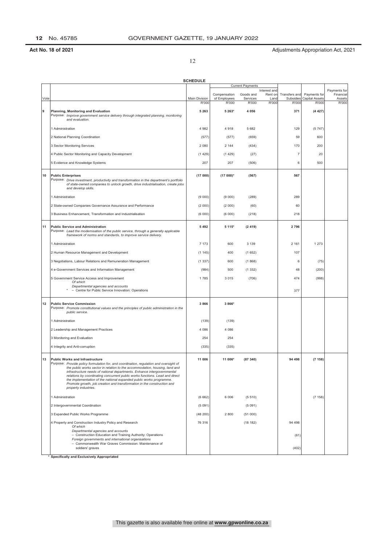12

|      |                                                                                                                                                                                                                                                                                                                                                                                                                                                                                                                                                      | <b>SCHEDULE</b>        |                                       |                                |                                          |                                     |                                                |                                              |
|------|------------------------------------------------------------------------------------------------------------------------------------------------------------------------------------------------------------------------------------------------------------------------------------------------------------------------------------------------------------------------------------------------------------------------------------------------------------------------------------------------------------------------------------------------------|------------------------|---------------------------------------|--------------------------------|------------------------------------------|-------------------------------------|------------------------------------------------|----------------------------------------------|
|      |                                                                                                                                                                                                                                                                                                                                                                                                                                                                                                                                                      |                        |                                       | <b>Current Payments</b>        |                                          |                                     |                                                |                                              |
| Vote |                                                                                                                                                                                                                                                                                                                                                                                                                                                                                                                                                      | Main Division<br>R'000 | Compensation<br>of Employees<br>R'000 | Goods and<br>Services<br>R'000 | Interest and<br>Rent on<br>Land<br>R'000 | Transfers and<br>Subsidies<br>R'000 | Payments for<br><b>Capital Assets</b><br>R'000 | Payments for<br>Financial<br>Assets<br>R'000 |
| 9    | Planning, Monitoring and Evaluation<br>Purpose: Improve government service delivery through integrated planning, monitoring<br>and evaluation.                                                                                                                                                                                                                                                                                                                                                                                                       | 5 2 6 3                | 5 263*                                | 4 0 5 6                        |                                          | 371                                 | (4427)                                         |                                              |
|      | 1 Administration                                                                                                                                                                                                                                                                                                                                                                                                                                                                                                                                     | 4 9 8 2                | 4918                                  | 5 6 8 2                        |                                          | 129                                 | (5747)                                         |                                              |
|      | 2 National Planning Coordination                                                                                                                                                                                                                                                                                                                                                                                                                                                                                                                     | (577)                  | (577)                                 | (659)                          |                                          | 59                                  | 600                                            |                                              |
|      | 3 Sector Monitoring Services                                                                                                                                                                                                                                                                                                                                                                                                                                                                                                                         | 2 0 8 0                | 2 1 4 4                               | (434)                          |                                          | 170                                 | 200                                            |                                              |
|      | 4 Public Sector Monitoring and Capacity Development                                                                                                                                                                                                                                                                                                                                                                                                                                                                                                  | (1429)                 | (1429)                                | (27)                           |                                          | 7                                   | 20                                             |                                              |
|      | 5 Evidence and Knowledge Systems                                                                                                                                                                                                                                                                                                                                                                                                                                                                                                                     | 207                    | 207                                   | (506)                          |                                          | 6                                   | 500                                            |                                              |
| 10   | <b>Public Enterprises</b><br>Purpose: Drive investment, productivity and transformation in the department's portfolio<br>of state-owned companies to unlock growth, drive industrialisation, create jobs<br>and develop skills.                                                                                                                                                                                                                                                                                                                      | (17000)                | $(17000)^*$                           | (567)                          |                                          | 567                                 |                                                |                                              |
|      | 1 Administration                                                                                                                                                                                                                                                                                                                                                                                                                                                                                                                                     | (9 000)                | (9 000)                               | (289)                          |                                          | 289                                 |                                                |                                              |
|      | 2 State-owned Companies Governance Assurance and Performance                                                                                                                                                                                                                                                                                                                                                                                                                                                                                         | (2000)                 | (2 000)                               | (60)                           |                                          | 60                                  |                                                |                                              |
|      | 3 Business Enhancement, Transformation and Industrialisation                                                                                                                                                                                                                                                                                                                                                                                                                                                                                         | (6000)                 | (6000)                                | (218)                          |                                          | 218                                 |                                                |                                              |
| 11   | <b>Public Service and Administration</b><br>Purpose: Lead the modernisation of the public service, through a generally applicable<br>framework of norms and standards, to improve service delivery.                                                                                                                                                                                                                                                                                                                                                  | 5 4 9 2                | 5 115*                                | (2419)                         |                                          | 2 7 9 6                             |                                                |                                              |
|      | 1 Administration                                                                                                                                                                                                                                                                                                                                                                                                                                                                                                                                     | 7 1 7 3                | 600                                   | 3 1 3 9                        |                                          | 2 1 6 1                             | 1 2 7 3                                        |                                              |
|      | 2 Human Resource Management and Development                                                                                                                                                                                                                                                                                                                                                                                                                                                                                                          | (1145)                 | 400                                   | (1652)                         |                                          | 107                                 |                                                |                                              |
|      | 3 Negotiations, Labour Relations and Remuneration Management                                                                                                                                                                                                                                                                                                                                                                                                                                                                                         | (1337)                 | 600                                   | (1868)                         |                                          | 6                                   | (75)                                           |                                              |
|      | 4 e-Government Services and Information Management                                                                                                                                                                                                                                                                                                                                                                                                                                                                                                   | (984)                  | 500                                   | (1332)                         |                                          | 48                                  | (200)                                          |                                              |
|      | 5 Government Service Access and Improvement<br>Of which                                                                                                                                                                                                                                                                                                                                                                                                                                                                                              | 1785                   | 3015                                  | (706)                          |                                          | 474                                 | (998)                                          |                                              |
|      | Departmental agencies and accounts<br>- Centre for Public Service Innovation: Operations                                                                                                                                                                                                                                                                                                                                                                                                                                                             |                        |                                       |                                |                                          | 377                                 |                                                |                                              |
| 12   | <b>Public Service Commission</b><br>Purpose: Promote constitutional values and the principles of public administration in the<br>public service.                                                                                                                                                                                                                                                                                                                                                                                                     | 3866                   | 3 866*                                |                                |                                          |                                     |                                                |                                              |
|      | 1 Administration                                                                                                                                                                                                                                                                                                                                                                                                                                                                                                                                     | (139)                  | (139)                                 |                                |                                          |                                     |                                                |                                              |
|      | 2 Leadership and Management Practices                                                                                                                                                                                                                                                                                                                                                                                                                                                                                                                | 4 0 8 6                | 4 0 8 6                               |                                |                                          |                                     |                                                |                                              |
|      | 3 Monitoring and Evaluation                                                                                                                                                                                                                                                                                                                                                                                                                                                                                                                          | 254                    | 254                                   |                                |                                          |                                     |                                                |                                              |
|      | 4 Integrity and Anti-corruption                                                                                                                                                                                                                                                                                                                                                                                                                                                                                                                      | (335)                  | (335)                                 |                                |                                          |                                     |                                                |                                              |
| 13   | <b>Public Works and Infrastructure</b><br>Purpose: Provide policy formulation for, and coordination, regulation and oversight of<br>the public works sector in relation to the accommodation, housing, land and<br>infrastructure needs of national departments. Enhance intergovernmental<br>relations by coordinating concurrent public works functions. Lead and direct<br>the implementation of the national expanded public works programme.<br>Promote growth, job creation and transformation in the construction and<br>property industries. | 11 006                 | 11 006*                               | (87340)                        |                                          | 94 498                              | (7158)                                         |                                              |
|      | 1 Administration                                                                                                                                                                                                                                                                                                                                                                                                                                                                                                                                     | (6662)                 | 6 0 0 6                               | (5510)                         |                                          |                                     | (7158)                                         |                                              |
|      | 2 Intergovernmental Coordination                                                                                                                                                                                                                                                                                                                                                                                                                                                                                                                     | (5091)                 |                                       | (5091)                         |                                          |                                     |                                                |                                              |
|      | 3 Expanded Public Works Programme                                                                                                                                                                                                                                                                                                                                                                                                                                                                                                                    | (48 200)               | 2800                                  | (51000)                        |                                          |                                     |                                                |                                              |
|      | 4 Property and Construction Industry Policy and Research<br>Of which                                                                                                                                                                                                                                                                                                                                                                                                                                                                                 | 76 316                 |                                       | (18182)                        |                                          | 94 498                              |                                                |                                              |
|      | Departmental agencies and accounts<br>- Construction Education and Training Authority: Operations                                                                                                                                                                                                                                                                                                                                                                                                                                                    |                        |                                       |                                |                                          | (61)                                |                                                |                                              |
|      | Foreign governments and international organisations<br>- Commonwealth War Graves Commission: Maintenance of<br>soldiers' graves                                                                                                                                                                                                                                                                                                                                                                                                                      |                        |                                       |                                |                                          | (402)                               |                                                |                                              |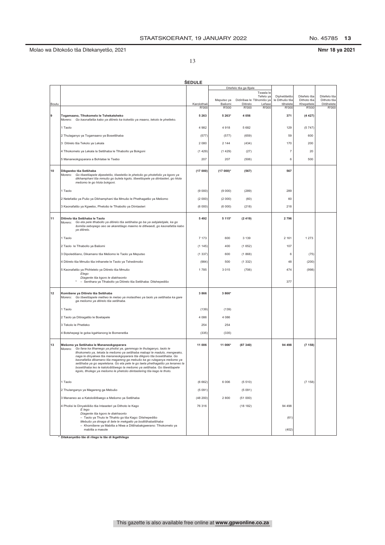No. 45785 13

13

|  | Nmr 18 ya 2021 |
|--|----------------|
|  |                |

|       |                                                                                                                                                                                                                                                                                                                                                                                                                                                                                                                                                                                       | <b>SEDULE</b>        |                 |                                       |                                |                             |                             |
|-------|---------------------------------------------------------------------------------------------------------------------------------------------------------------------------------------------------------------------------------------------------------------------------------------------------------------------------------------------------------------------------------------------------------------------------------------------------------------------------------------------------------------------------------------------------------------------------------------|----------------------|-----------------|---------------------------------------|--------------------------------|-----------------------------|-----------------------------|
|       |                                                                                                                                                                                                                                                                                                                                                                                                                                                                                                                                                                                       |                      |                 | Ditefelo tša ga Bjale<br>Tswala le    |                                |                             |                             |
|       |                                                                                                                                                                                                                                                                                                                                                                                                                                                                                                                                                                                       |                      | Meputso ya      | Tefelo ya<br>Didirišwa le Tšhomišo ya | Diphetišetšo<br>le Dithušo tša | Ditefelo tša<br>Dithoto tša | Ditefelo tša<br>Dithoto tša |
| Boutu |                                                                                                                                                                                                                                                                                                                                                                                                                                                                                                                                                                                       | Karolothwii<br>R'000 | Bašomi<br>R'000 | Ditirelo<br>Lefase<br>R'000<br>R'000  | tšhelete<br>R'000              | Khepetlele<br>R'000         | Ditšhelete<br>R'000         |
| 9     | Togamaano, Tlhokomelo le Tshekatsheko<br>Morero: Go kaonafatša kabo ya ditirelo ka koketšo ya maano, tekolo le phetleko.                                                                                                                                                                                                                                                                                                                                                                                                                                                              | 5 2 6 3              | 5 263*          | 4 0 5 6                               | 371                            | (4427)                      |                             |
|       | 1 Taolo                                                                                                                                                                                                                                                                                                                                                                                                                                                                                                                                                                               | 4 9 8 2              | 4918            | 5682                                  | 129                            | (5747)                      |                             |
|       | 2 Thulaganyo ya Togamaano ya Bosetšhaba                                                                                                                                                                                                                                                                                                                                                                                                                                                                                                                                               | (577)                | (577)           | (659)                                 | 59                             | 600                         |                             |
|       | 3 Ditirelo tša Tekolo ya Lekala                                                                                                                                                                                                                                                                                                                                                                                                                                                                                                                                                       | 2 0 8 0              | 2 1 4 4         | (434)                                 | 170                            | 200                         |                             |
|       | 4 Tlhokomelo ya Lekala la Setšhaba le Tlhabollo ya Bokgoni                                                                                                                                                                                                                                                                                                                                                                                                                                                                                                                            | (1429)               | (1429)          | (27)                                  | $\overline{7}$                 | 20                          |                             |
|       | 5 Mananeokgoparara a Bohlatse le Tsebo                                                                                                                                                                                                                                                                                                                                                                                                                                                                                                                                                | 207                  | 207             | (506)                                 | 6                              | 500                         |                             |
| 10    | Dikgwebo tša Setšhaba<br>Morero: Go tšwetšapele dipeeletšo, tšweletšo le phetošo go photefolio ya kgoro ya<br>dikhamphani tša mmušo go bulela kgolo, tšwetšopele ya diintasteri, go hlola<br>mešomo le go hlola bokgoni.                                                                                                                                                                                                                                                                                                                                                              | (17000)              | $(17000)^*$     | (567)                                 | 567                            |                             |                             |
|       | 1 Taolo                                                                                                                                                                                                                                                                                                                                                                                                                                                                                                                                                                               | (9 000)              | (9000)          | (289)                                 | 289                            |                             |                             |
|       | 2 Netefatšo ya Pušo ya Dikhamphani tša Mmušo le Phethagatšo ya Mešomo                                                                                                                                                                                                                                                                                                                                                                                                                                                                                                                 | (2000)               | (2000)          | (60)                                  | 60                             |                             |                             |
|       | 3 Kaonafatšo ya Kgwebo, Phetošo le Tlhabollo ya Diintasteri                                                                                                                                                                                                                                                                                                                                                                                                                                                                                                                           | (6000)               | (6000)          | (218)                                 | 218                            |                             |                             |
| 11    | Ditirelo tša Setšhaba le Taolo<br>Morero: Go eta pele tlhabollo ya ditirelo tša setšhaba go ba ya sebjalebjale, ka go<br>šomiša sebopego seo se akaretšago maemo le ditlwaedi, go kaonafatša kabo<br>ya ditirelo.                                                                                                                                                                                                                                                                                                                                                                     | 5 4 9 2              | 5 1 1 5*        | (2419)                                | 2796                           |                             |                             |
|       | 1 Taolo                                                                                                                                                                                                                                                                                                                                                                                                                                                                                                                                                                               | 7 1 7 3              | 600             | 3 1 3 9                               | 2 1 6 1                        | 1 2 7 3                     |                             |
|       | 2 Taolo le Tlhabollo ya Bašomi                                                                                                                                                                                                                                                                                                                                                                                                                                                                                                                                                        | (1145)               | 400             | (1652)                                | 107                            |                             |                             |
|       | 3 Dipoledišano, Dikamano tša Mešomo le Taolo ya Meputso                                                                                                                                                                                                                                                                                                                                                                                                                                                                                                                               | (1337)               | 600             | (1868)                                | 6                              | (75)                        |                             |
|       | 4 Ditirelo tša Mmušo tša inthanete le Taolo ya Tshedimošo                                                                                                                                                                                                                                                                                                                                                                                                                                                                                                                             | (984)                | 500             | (1332)                                | 48                             | (200)                       |                             |
|       | 5 Kaonafatšo ya Phihlelelo ya Ditirelo tša Mmušo                                                                                                                                                                                                                                                                                                                                                                                                                                                                                                                                      | 1785                 | 3015            | (706)                                 | 474                            | (998)                       |                             |
|       | Elego<br>Diagente tša kgoro le diakhaonto<br>- Senthara ya Tlhabollo ya Ditirelo tša Setšhaba: Ditshepedišo                                                                                                                                                                                                                                                                                                                                                                                                                                                                           |                      |                 |                                       | 377                            |                             |                             |
| 12    | Komišene ya Ditirelo tša Setšhaba<br>Morero: Go tšwetšapele metheo le melao ya molaotheo ya taolo ya setšhaba ka gare<br>ga mešomo ya ditirelo tša setšhaba.                                                                                                                                                                                                                                                                                                                                                                                                                          | 3866                 | 3 866*          |                                       |                                |                             |                             |
|       | 1 Taolo                                                                                                                                                                                                                                                                                                                                                                                                                                                                                                                                                                               | (139)                | (139)           |                                       |                                |                             |                             |
|       | 2 Taolo ya Ditiragatšo le Boetapele                                                                                                                                                                                                                                                                                                                                                                                                                                                                                                                                                   | 4 0 8 6              | 4 0 8 6         |                                       |                                |                             |                             |
|       | 3 Tekolo le Phetleko                                                                                                                                                                                                                                                                                                                                                                                                                                                                                                                                                                  | 254                  | 254             |                                       |                                |                             |                             |
|       | 4 Botshepegi le goba kgahlanong le Bomenetša                                                                                                                                                                                                                                                                                                                                                                                                                                                                                                                                          | (335)                | (335)           |                                       |                                |                             |                             |
| 13    | Mešomo ya Setšhaba le Mananeokgoparara<br>Go fana ka tlhamego ya pholisi ya, gammogo le thulaganyo, taolo le<br>Morero:<br>tlhokomelo ya, lekala la mešomo ya setšhaba mabapi le madulo, mengwako,<br>naga le dinyakwa tša mananeokgoparara tša dikgoro tša bosetšhaba. Go<br>kaonafatša dikamano tša magareng ga mebušo ka go rulaganya mešomo ya<br>setšhaba ya go sepelelana. Go eta pele le go laela phethagatšo ya lenaneo la<br>bosetšhaba leo le katološitšwego la mešomo va setšhaba. Go tšwetšapele<br>kgolo, tlholego ya mešomo le phetošo diintastering tša kago le thoto. | 11 006               | 11 006*         | (87340)                               | 94 498                         | (7158)                      |                             |
|       | 1 Taolo                                                                                                                                                                                                                                                                                                                                                                                                                                                                                                                                                                               | (6662)               | 6 0 0 6         | (5510)                                |                                | (7158)                      |                             |
|       | 2 Thulanganyo ya Magareng ga Mebušo                                                                                                                                                                                                                                                                                                                                                                                                                                                                                                                                                   | (5091)               |                 | (5091)                                |                                |                             |                             |
|       | 3 Mananeo ao a Katološitšwego a Mešomo ya Setšhaba                                                                                                                                                                                                                                                                                                                                                                                                                                                                                                                                    | (48 200)             | 2800            | (51000)                               |                                |                             |                             |
|       | 4 Pholisi le Dinyakišišo tša Intaseteri ya Dithoto le Kago<br>E lego                                                                                                                                                                                                                                                                                                                                                                                                                                                                                                                  | 76 316               |                 | (18182)                               | 94 4 98                        |                             |                             |
|       | Diagente tša kgoro le diakhaonto<br>- Taolo ya Thuto le Tlhahlo go tša Kago: Ditshepedišo<br>Mebušo ya dinaga di šele le mekgatlo ya boditšhabatšhaba                                                                                                                                                                                                                                                                                                                                                                                                                                 |                      |                 |                                       | (61)                           |                             |                             |
|       | - Khomišene ya Mabitla a Ntwa a Ditšhabakgwerano: Tlhokomelo ya<br>mabitla a masole                                                                                                                                                                                                                                                                                                                                                                                                                                                                                                   |                      |                 |                                       | (402)                          |                             |                             |

\* Ditekanyetšo tše di rilego le tše di ikgethilego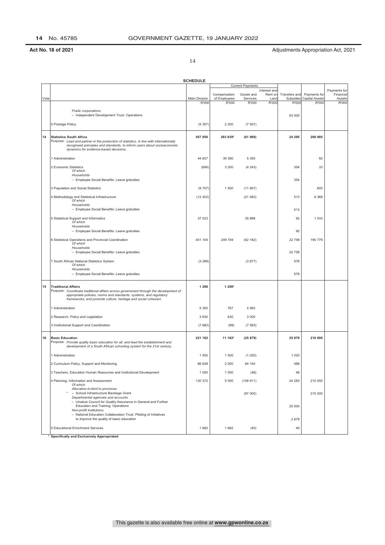14

|      |                                                                                                                                      | <b>SCHEDULE</b>        |                       |                         |                         |                           |                                |                           |
|------|--------------------------------------------------------------------------------------------------------------------------------------|------------------------|-----------------------|-------------------------|-------------------------|---------------------------|--------------------------------|---------------------------|
|      |                                                                                                                                      |                        |                       | <b>Current Payments</b> |                         |                           |                                |                           |
|      |                                                                                                                                      |                        | Compensation          | Goods and               | Interest and<br>Rent on | Transfers and             | Payments for                   | Payments for<br>Financial |
| Vote |                                                                                                                                      | Main Division<br>R'000 | of Employees<br>R'000 | Services<br>R'000       | Land<br><b>R'000</b>    | <b>Subsidies</b><br>R'000 | <b>Capital Assets</b><br>R'000 | Assets<br>R'000           |
|      |                                                                                                                                      |                        |                       |                         |                         |                           |                                |                           |
|      | Public corporations<br>- Independent Development Trust: Operations                                                                   |                        |                       |                         |                         | 93 000                    |                                |                           |
|      |                                                                                                                                      |                        |                       |                         |                         |                           |                                |                           |
|      | 5 Prestige Policy                                                                                                                    | (5357)                 | 2 2 0 0               | (7557)                  |                         |                           |                                |                           |
|      |                                                                                                                                      |                        |                       |                         |                         |                           |                                |                           |
| 14   | <b>Statistics South Africa</b><br>Purpose: Lead and partner in the production of statistics, in line with internationally            | 457 050                | 293 839*              | (61989)                 |                         | 24 295                    | 200 905                        |                           |
|      | recognised principles and standards, to inform users about socioeconomic                                                             |                        |                       |                         |                         |                           |                                |                           |
|      | dynamics for evidence-based decisions.                                                                                               |                        |                       |                         |                         |                           |                                |                           |
|      | 1 Administration                                                                                                                     | 44 837                 | 39 390                | 5 3 5 5                 |                         |                           | 92                             |                           |
|      | 2 Economic Statistics                                                                                                                |                        | 3 2 0 0               |                         |                         | 354                       | 33                             |                           |
|      | Of which                                                                                                                             | (656)                  |                       | (4243)                  |                         |                           |                                |                           |
|      | Households                                                                                                                           |                        |                       |                         |                         |                           |                                |                           |
|      | - Employee Social Benefits: Leave gratuities                                                                                         |                        |                       |                         |                         | 354                       |                                |                           |
|      | 3 Population and Social Statistics                                                                                                   | (9757)                 | 1 500                 | (11857)                 |                         |                           | 600                            |                           |
|      | 4 Methodology and Statistical Infrastructure                                                                                         | (12 202)               |                       | (21083)                 |                         | 513                       | 8 3 6 8                        |                           |
|      | Of which<br>Households                                                                                                               |                        |                       |                         |                         |                           |                                |                           |
|      | - Employee Social Benefits: Leave gratuities                                                                                         |                        |                       |                         |                         | 513                       |                                |                           |
|      |                                                                                                                                      |                        |                       |                         |                         |                           |                                |                           |
|      | 5 Statistical Support and Informatics<br>Of which                                                                                    | 37 023                 |                       | 35 898                  |                         | 92                        | 1 0 3 3                        |                           |
|      | Households                                                                                                                           |                        |                       |                         |                         |                           |                                |                           |
|      | - Employee Social Benefits: Leave gratuities                                                                                         |                        |                       |                         |                         | 92                        |                                |                           |
|      | 6 Statistical Operations and Provincial Coordination                                                                                 | 401 104                | 249 749               | (62 182)                |                         | 22 758                    | 190 779                        |                           |
|      | Of which<br>Households                                                                                                               |                        |                       |                         |                         |                           |                                |                           |
|      | - Employee Social Benefits: Leave gratuities                                                                                         |                        |                       |                         |                         | 22 758                    |                                |                           |
|      | 7 South African National Statistics System                                                                                           | (3 299)                |                       | (3877)                  |                         | 578                       |                                |                           |
|      | Of which                                                                                                                             |                        |                       |                         |                         |                           |                                |                           |
|      | Households<br>- Employee Social Benefits: Leave gratuities                                                                           |                        |                       |                         |                         | 578                       |                                |                           |
|      |                                                                                                                                      |                        |                       |                         |                         |                           |                                |                           |
| 15   | <b>Traditional Affairs</b>                                                                                                           | 1 2 9 8                | 1 298*                |                         |                         |                           |                                |                           |
|      | Purpose: Coordinate traditional affairs across government through the development of                                                 |                        |                       |                         |                         |                           |                                |                           |
|      | appropriate policies, norms and standards, systems, and regulatory<br>frameworks; and promote culture, heritage and social cohesion. |                        |                       |                         |                         |                           |                                |                           |
|      |                                                                                                                                      |                        |                       |                         |                         |                           |                                |                           |
|      | 1 Administration                                                                                                                     | 5 3 5 0                | 767                   | 4 5 8 3                 |                         |                           |                                |                           |
|      | 2 Research, Policy and Legislation                                                                                                   | 3 6 3 0                | 630                   | 3 0 0 0                 |                         |                           |                                |                           |
|      | 3 Institutional Support and Coordination                                                                                             | (7682)                 | (99)                  | (7583)                  |                         |                           |                                |                           |
|      |                                                                                                                                      |                        |                       |                         |                         |                           |                                |                           |
| 16   | <b>Basic Education</b>                                                                                                               | 221 182                | 11 182*               | (25879)                 |                         | 25 879                    | 210 000                        |                           |
|      | Purpose: Provide quality basic education for all, and lead the establishment and                                                     |                        |                       |                         |                         |                           |                                |                           |
|      | development of a South African schooling system for the 21st century.                                                                |                        |                       |                         |                         |                           |                                |                           |
|      | 1 Administration                                                                                                                     | 1 500                  | 1 500                 | (1020)                  |                         | 1 0 2 0                   |                                |                           |
|      | 2 Curriculum Policy, Support and Monitoring                                                                                          | 86 628                 | 2 0 0 0               | 84 140                  |                         | 488                       |                                |                           |
|      |                                                                                                                                      |                        |                       |                         |                         |                           |                                |                           |
|      | 3 Teachers, Education Human Resources and Institutional Development                                                                  | 1 0 0 0                | 1 0 0 0               | (48)                    |                         | 48                        |                                |                           |
|      | 4 Planning, Information and Assessment                                                                                               | 130 372                | 5 0 0 0               | (108911)                |                         | 24 283                    | 210 000                        |                           |
|      | Of which<br>Allocation-in-kind to provinces                                                                                          |                        |                       |                         |                         |                           |                                |                           |
|      | - School Infrastructure Backlogs Grant                                                                                               |                        |                       | (97000)                 |                         |                           | 210 000                        |                           |
|      | Departmental agencies and accounts<br>- Umalusi Council for Quality Assurance in General and Further                                 |                        |                       |                         |                         |                           |                                |                           |
|      | Education and Training: Operations                                                                                                   |                        |                       |                         |                         | 20 000                    |                                |                           |
|      | Non-profit institutions<br>- National Education Collaboration Trust: Piloting of Initiatives                                         |                        |                       |                         |                         |                           |                                |                           |
|      | to improve the quality of basic education                                                                                            |                        |                       |                         |                         | 2879                      |                                |                           |
|      | 5 Educational Enrichment Services                                                                                                    | 1682                   | 1682                  | (40)                    |                         | 40                        |                                |                           |
|      | * Consifically and Evaluatively Annoportated                                                                                         |                        |                       |                         |                         |                           |                                |                           |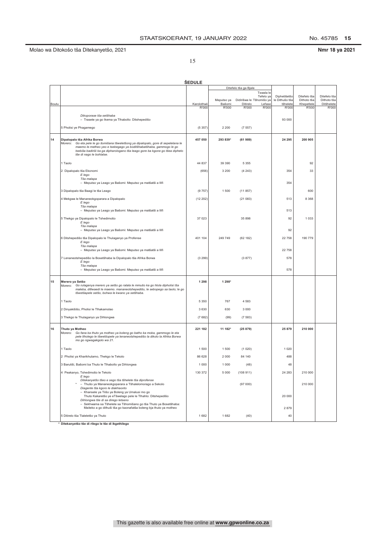Nmr 18 ya 2021

15

|       |                                                                                                                                                                                                                                                                                                         | <b>SEDULE</b> |                      |                                      |                                  |                                            |                                           |                                           |
|-------|---------------------------------------------------------------------------------------------------------------------------------------------------------------------------------------------------------------------------------------------------------------------------------------------------------|---------------|----------------------|--------------------------------------|----------------------------------|--------------------------------------------|-------------------------------------------|-------------------------------------------|
|       |                                                                                                                                                                                                                                                                                                         |               |                      | Ditefelo tša ga Bjale                |                                  |                                            |                                           |                                           |
| Boutu |                                                                                                                                                                                                                                                                                                         | Karolothwii   | Meputso ya<br>Bašomi | Didirišwa le Tšhomišo ya<br>Ditirelo | Tswala le<br>Tefelo ya<br>Lefase | Diphetišetšo<br>le Dithušo tša<br>tšhelete | Ditefelo tša<br>Dithoto tša<br>Khepetlele | Ditefelo tša<br>Dithoto tša<br>Ditšhelete |
|       |                                                                                                                                                                                                                                                                                                         | <b>R'000</b>  | R'000                | R'000                                | R'000                            | R'000                                      | R'000                                     | R'000                                     |
|       | Dikoporase tša setšhaba<br>- Trasete ya go Ikema ya Tlhabollo: Ditshepedišo                                                                                                                                                                                                                             |               |                      |                                      |                                  | 93 000                                     |                                           |                                           |
|       | 5 Pholisi ye Phagamego                                                                                                                                                                                                                                                                                  | (5357)        | 2 2 0 0              | (7557)                               |                                  |                                            |                                           |                                           |
| 14    | Dipalopalo tša Afrika Borwa<br>Go eta pele le go šomišana tšweletšong ya dipalopalo, gore di sepelelana le<br>Morero:<br>maemo le metheo yeo e tsebegago ya boditšhabatšhaba, gammogo le go<br>tsebiša badiriši ka ga dipharologano tša leago gore ba kgone go tšea dipheto<br>tše di nago le bohlatse. | 457 050       | 293 839*             | (61989)                              |                                  | 24 295                                     | 200 905                                   |                                           |
|       | 1 Taolo                                                                                                                                                                                                                                                                                                 | 44 837        | 39 390               | 5 3 5 5                              |                                  |                                            | 92                                        |                                           |
|       | 2 Dipalopalo tša Ekonomi                                                                                                                                                                                                                                                                                | (656)         | 3 2 0 0              | (4243)                               |                                  | 354                                        | 33                                        |                                           |
|       | E lego<br>Tša malapa<br>- Meputso ya Leago ya Bašomi: Meputso ya matšatši a Ilifi                                                                                                                                                                                                                       |               |                      |                                      |                                  | 354                                        |                                           |                                           |
|       | 3 Dipalopalo tša Baagi le tša Leago                                                                                                                                                                                                                                                                     | (9757)        | 1500                 | (11857)                              |                                  |                                            | 600                                       |                                           |
|       | 4 Mekgwa le Mananeokgoparara a Dipalopalo                                                                                                                                                                                                                                                               | (12 202)      |                      | (21083)                              |                                  | 513                                        | 8 3 6 8                                   |                                           |
|       | E lego<br>Tša malapa                                                                                                                                                                                                                                                                                    |               |                      |                                      |                                  |                                            |                                           |                                           |
|       | - Meputso ya Leago ya Bašomi: Meputso ya matšatši a Ilifi                                                                                                                                                                                                                                               |               |                      |                                      |                                  | 513                                        |                                           |                                           |
|       | 5 Thekgo ya Dipalopalo le Tshedimošo<br>E lego<br>Tša malapa                                                                                                                                                                                                                                            | 37 023        |                      | 35 898                               |                                  | 92                                         | 1 0 3 3                                   |                                           |
|       | - Meputso ya Leago ya Bašomi: Meputso ya matšatši a Ilifi                                                                                                                                                                                                                                               |               |                      |                                      |                                  | 92                                         |                                           |                                           |
|       | 6 Ditshepedišo tša Dipalopalo le Thulaganyo ya Profense                                                                                                                                                                                                                                                 | 401 104       | 249 749              | (62 182)                             |                                  | 22 758                                     | 190 779                                   |                                           |
|       | E lego<br>Tša malapa                                                                                                                                                                                                                                                                                    |               |                      |                                      |                                  |                                            |                                           |                                           |
|       | - Meputso ya Leago ya Bašomi: Meputso ya matšatši a Ilifi                                                                                                                                                                                                                                               |               |                      |                                      |                                  | 22 758                                     |                                           |                                           |
|       | 7 Lenaneotshepedišo la Bosetšhaba la Dipalopalo tša Afrika Borwa<br>E lego                                                                                                                                                                                                                              | (3 299)       |                      | (3877)                               |                                  | 578                                        |                                           |                                           |
|       | Tša malapa<br>- Meputso ya Leago ya Bašomi: Meputso ya matšatši a Ilifi                                                                                                                                                                                                                                 |               |                      |                                      |                                  | 578                                        |                                           |                                           |
| 15    | Merero ya Setšo<br>Morero: Go rulaganya merero ya setšo go ralala le mmušo ka go hlola dipholisi tša<br>maleba, ditlwaedi le maemo. mananeotshepedišo, le sebopego sa taolo; le go<br>tšwetšapele setšo, bohwa le kwano ya setšhaba.                                                                    | 1 2 9 8       | 1 298*               |                                      |                                  |                                            |                                           |                                           |
|       | 1 Taolo                                                                                                                                                                                                                                                                                                 | 5 3 5 0       | 767                  | 4583                                 |                                  |                                            |                                           |                                           |
|       | 2 Dinyakišišo, Pholisi le Tlhakamolao                                                                                                                                                                                                                                                                   | 3 6 3 0       | 630                  | 3 0 0 0                              |                                  |                                            |                                           |                                           |
|       | 3 Thekgo le Thulaganyo ya Dihlongwa                                                                                                                                                                                                                                                                     | (7682)        | (99)                 | (7583)                               |                                  |                                            |                                           |                                           |
| 16    | Thuto ya Motheo<br>Morero: Go fana ka thuto ya motheo ya boleng go batho ka moka, gammogo le eta<br>pele tlholego le tšwetšopele ya lenaneotshepedišo la dikolo la Afrika Borwa<br>mo go ngwagakgolo wa 21.                                                                                             | 221 182       | 11 182*              | (25879)                              |                                  | 25 879                                     | 210 000                                   |                                           |
|       | 1 Taolo                                                                                                                                                                                                                                                                                                 | 1 500         | 1500                 | (1020)                               |                                  | 1 0 2 0                                    |                                           |                                           |
|       | 2 Pholisi ya Kharikhulamo, Thekgo le Tekolo                                                                                                                                                                                                                                                             | 86 628        | 2 0 0 0              | 84 140                               |                                  | 488                                        |                                           |                                           |
|       | 3 Barutiši, Bašomi ba Thuto le Tlhabollo ya Dihlongwa                                                                                                                                                                                                                                                   | 1 0 0 0       | 1 0 0 0              | (48)                                 |                                  | 48                                         |                                           |                                           |
|       | 4 Peakanyo, Tshedimošo le Tekolo                                                                                                                                                                                                                                                                        | 130 372       | 5 0 0 0              | (108911)                             |                                  | 24 283                                     | 210 000                                   |                                           |
|       | E lego<br>Ditekanyetšo tšeo e sego tša tšhelete tša diprofense                                                                                                                                                                                                                                          |               |                      |                                      |                                  |                                            |                                           |                                           |
|       | * - Thušo ya Mananeokgoparara a Tšhalelomorago a Sekolo<br>Diagente tša kgoro le diakhaonto                                                                                                                                                                                                             |               |                      | (97000)                              |                                  |                                            | 210 000                                   |                                           |
|       | - Khansele ya Tiišo ya Boleng ya Umalusi mo go<br>Thuto Kakaretšo ye eTšwelago pele le Tlhahlo: Ditshepedišo<br>Dihlongwa tše di sa dirego letseno                                                                                                                                                      |               |                      |                                      |                                  | 20 000                                     |                                           |                                           |
|       | - Sekhwama sa Tšhelete sa Tšhomišano go tša Thuto ya Bosetšhaba:<br>Maiteko a go dithuši tša go kaonafatša boleng bja thuto ya motheo                                                                                                                                                                   |               |                      |                                      |                                  | 2879                                       |                                           |                                           |
|       | 5 Ditirelo tša Tlaleletšo ya Thuto                                                                                                                                                                                                                                                                      | 1682          | 1682                 | (40)                                 |                                  | 40                                         |                                           |                                           |

<u>I</u><br>\* Ditekanyetšo tše di rilego le tše di ikgethilego

This gazette is also available free online at **www.gpwonline.co.za**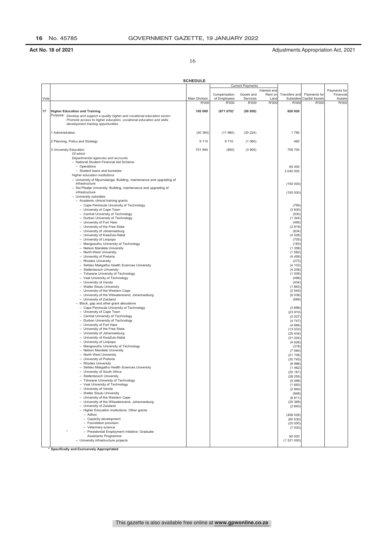16

|      |                                                                                       | <b>SCHEDULE</b> |              |                         |                         |                     |                |                           |
|------|---------------------------------------------------------------------------------------|-----------------|--------------|-------------------------|-------------------------|---------------------|----------------|---------------------------|
|      |                                                                                       |                 |              | <b>Current Payments</b> |                         |                     |                |                           |
|      |                                                                                       |                 | Compensation | Goods and               | Interest and<br>Rent on | Transfers and       | Payments for   | Payments for<br>Financial |
| Vote |                                                                                       | Main Division   | of Employees | Services                | Land                    | Subsidies           | Capital Assets | Assets                    |
|      |                                                                                       | R'000           | R'000        | R'000                   | R'000                   | R'000               | R'000          | <b>R'000</b>              |
| 17   | <b>Higher Education and Training</b>                                                  | 105 000         | (671 070)*   | (50 850)                |                         | 826 920             |                |                           |
|      | Purpose: Develop and support a quality higher and vocational education sector.        |                 |              |                         |                         |                     |                |                           |
|      | Promote access to higher education, vocational education and skills                   |                 |              |                         |                         |                     |                |                           |
|      | development training opportunities.                                                   |                 |              |                         |                         |                     |                |                           |
|      | 1 Administration                                                                      | (40394)         | (11960)      | (30 224)                |                         | 1790                |                |                           |
|      |                                                                                       |                 |              |                         |                         |                     |                |                           |
|      | 2 Planning, Policy and Strategy                                                       | 9 1 1 0         | 9710         | (1060)                  |                         | 460                 |                |                           |
|      |                                                                                       |                 |              |                         |                         |                     |                |                           |
|      | 3 University Education<br>Of which                                                    | 701 945         | (850)        | (3905)                  |                         | 706 700             |                |                           |
|      | Departmental agencies and accounts                                                    |                 |              |                         |                         |                     |                |                           |
|      | - National Student Financial Aid Scheme                                               |                 |              |                         |                         |                     |                |                           |
|      | - Operations<br>- Student loans and bursaries                                         |                 |              |                         |                         | 65 000<br>3 040 000 |                |                           |
|      | Higher education institutions                                                         |                 |              |                         |                         |                     |                |                           |
|      | - University of Mpumalanga: Building, maintenance and upgrading of                    |                 |              |                         |                         |                     |                |                           |
|      | infrastructure                                                                        |                 |              |                         |                         | (150000)            |                |                           |
|      | - Sol Plaatje University: Building, maintenance and upgrading of<br>infrastructure    |                 |              |                         |                         | (150000)            |                |                           |
|      | - University subsidies                                                                |                 |              |                         |                         |                     |                |                           |
|      | - Academic clinical training grants                                                   |                 |              |                         |                         |                     |                |                           |
|      | - Cape Peninsula University of Technology                                             |                 |              |                         |                         | (795)               |                |                           |
|      | - University of Cape Town<br>- Central University of Technology                       |                 |              |                         |                         | (3830)<br>(530)     |                |                           |
|      | - Durban University of Technology                                                     |                 |              |                         |                         | (1344)              |                |                           |
|      | - University of Fort Hare                                                             |                 |              |                         |                         | (495)               |                |                           |
|      | - University of the Free State                                                        |                 |              |                         |                         | (2819)<br>(834)     |                |                           |
|      | - University of Johannesburg<br>- University of KwaZulu-Natal                         |                 |              |                         |                         | (4528)              |                |                           |
|      | - University of Limpopo                                                               |                 |              |                         |                         | (705)               |                |                           |
|      | - Mangosuthu University of Technology                                                 |                 |              |                         |                         | (183)               |                |                           |
|      | - Nelson Mandela University<br>- North-West University                                |                 |              |                         |                         | (1359)<br>(1582)    |                |                           |
|      | - University of Pretoria                                                              |                 |              |                         |                         | (4459)              |                |                           |
|      | - Rhodes University                                                                   |                 |              |                         |                         | (273)               |                |                           |
|      | - Sefako Makgatho Health Sciences University                                          |                 |              |                         |                         | (4103)              |                |                           |
|      | - Stellenbosch University<br>- Tshwane University of Technology                       |                 |              |                         |                         | (4208)<br>(1006)    |                |                           |
|      | - Vaal University of Technology                                                       |                 |              |                         |                         | (498)               |                |                           |
|      | - University of Venda                                                                 |                 |              |                         |                         | (434)               |                |                           |
|      | - Walter Sisulu University<br>- University of the Western Cape                        |                 |              |                         |                         | (1863)<br>(2545)    |                |                           |
|      | - University of the Witwatersrand, Johannesburg                                       |                 |              |                         |                         | (6038)              |                |                           |
|      | - University of Zululand                                                              |                 |              |                         |                         | (569)               |                |                           |
|      | - Block, gap and other grant allocations<br>- Cape Peninsula University of Technology |                 |              |                         |                         |                     |                |                           |
|      | - University of Cape Town                                                             |                 |              |                         |                         | (3696)<br>(23910)   |                |                           |
|      | - Central University of Technology                                                    |                 |              |                         |                         | (2 027)             |                |                           |
|      | - Durban University of Technology                                                     |                 |              |                         |                         | (4747)              |                |                           |
|      | - University of Fort Hare<br>- University of the Free State                           |                 |              |                         |                         | (4694)              |                |                           |
|      | - University of Johannesburg                                                          |                 |              |                         |                         | (13033)<br>(25434)  |                |                           |
|      | - University of KwaZulu-Natal                                                         |                 |              |                         |                         | (31 204)            |                |                           |
|      | - University of Limpopo                                                               |                 |              |                         |                         | (4626)              |                |                           |
|      | - Mangosuthu University of Technology<br>- Nelson Mandela University                  |                 |              |                         |                         | (318)<br>(7060)     |                |                           |
|      | - North West University                                                               |                 |              |                         |                         | (21106)             |                |                           |
|      | - University of Pretoria                                                              |                 |              |                         |                         | (30745)             |                |                           |
|      | - Rhodes University                                                                   |                 |              |                         |                         | (6996)              |                |                           |
|      | - Sefako Makgatho Health Sciences University<br>- University of South Africa          |                 |              |                         |                         | (1462)<br>(20 181)  |                |                           |
|      | - Stellenbosch University                                                             |                 |              |                         |                         | (28 255)            |                |                           |
|      | - Tshwane University of Technology                                                    |                 |              |                         |                         | (5499)              |                |                           |
|      | - Vaal University of Technology                                                       |                 |              |                         |                         | (1693)              |                |                           |
|      | - University of Venda<br>- Walter Sisulu University                                   |                 |              |                         |                         | (2940)<br>(948)     |                |                           |
|      | - University of the Western Cape                                                      |                 |              |                         |                         | (8811)              |                |                           |
|      | - University of the Witwatersrand, Johannesburg                                       |                 |              |                         |                         | (25369)             |                |                           |
|      | - University of Zululand<br>- Higher Education Institutions: Other grants             |                 |              |                         |                         | (2840)              |                |                           |
|      | $-$ Adhoc                                                                             |                 |              |                         |                         | (458026)            |                |                           |
|      | - Capacity development                                                                |                 |              |                         |                         | (60 530)            |                |                           |
|      | - Foundation provision                                                                |                 |              |                         |                         | (20 000)            |                |                           |
|      | - Veterinary science<br>- Presidential Employment Initiative: Graduate                |                 |              |                         |                         | (7000)              |                |                           |
|      | Assistants Programme                                                                  |                 |              |                         |                         | 90 000              |                |                           |
|      | - University infrastructure projects                                                  |                 |              |                         |                         | (1321000)           |                |                           |
|      |                                                                                       |                 |              |                         |                         |                     |                |                           |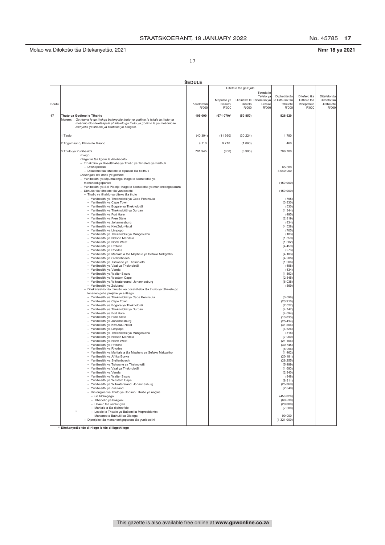No. 45785 17

Nmr 18 ya 2021

17

|       |                                                                                                     | <b>SEDULE</b> |            |                          |           |                |              |              |
|-------|-----------------------------------------------------------------------------------------------------|---------------|------------|--------------------------|-----------|----------------|--------------|--------------|
|       |                                                                                                     |               |            | Ditefelo tša ga Bjale    |           |                |              |              |
|       |                                                                                                     |               |            |                          | Tswala le |                |              |              |
|       |                                                                                                     |               |            |                          | Tefelo ya | Diphetišetšo   | Ditefelo tša | Ditefelo tša |
|       |                                                                                                     |               | Meputso ya | Didirišwa le Tšhomišo ya |           | le Dithušo tša | Dithoto tša  | Dithoto tša  |
| Boutu |                                                                                                     | Karolothwi    | Bašomi     | Ditirelo                 | Lefase    | tšhelete       | Khepetlele   | Ditšhelete   |
|       |                                                                                                     | R'000         | R'000      | R'000                    | R'000     | R'000          | R'000        | R'000        |
|       |                                                                                                     |               |            |                          |           |                |              |              |
| 17    | Thuto ya Godimo le Tlhahlo                                                                          | 105 000       | (671 070)* | (50 850)                 |           | 826 920        |              |              |
|       | Morero:<br>Go hlama le go thekga boleng bja thuto ya godimo le lekala la thuto ya                   |               |            |                          |           |                |              |              |
|       | mešomo. Go tšwetšapele phihlelelo go thuto ya godimo le ya mešomo le                                |               |            |                          |           |                |              |              |
|       | menyetla ya tlhahlo ya tlhabollo ya bokgoni.                                                        |               |            |                          |           |                |              |              |
|       |                                                                                                     |               |            |                          |           |                |              |              |
|       | 1 Taolo                                                                                             | (40394)       | (11960)    | (30 224)                 |           | 1790           |              |              |
|       |                                                                                                     |               |            |                          |           |                |              |              |
|       | 2 Togamaano, Pholisi le Maano                                                                       | 9 1 1 0       | 9710       | (1060)                   |           | 460            |              |              |
|       |                                                                                                     |               |            |                          |           |                |              |              |
|       | 3 Thuto ya Yunibesithi                                                                              | 701 945       | (850)      | (3905)                   |           | 706 700        |              |              |
|       | E lego                                                                                              |               |            |                          |           |                |              |              |
|       | Diagente tša kgoro le diakhaonto                                                                    |               |            |                          |           |                |              |              |
|       | - Tlhakotiro ya Bosetšhaba ya Thušo ya Tšhelete ya Baithuti                                         |               |            |                          |           | 65 000         |              |              |
|       | - Ditshepedišo<br>- Dikadimo tša tšhelete le dipasari tša baithuti                                  |               |            |                          |           | 3 040 000      |              |              |
|       | Dihlongwa tša thuto ya godimo                                                                       |               |            |                          |           |                |              |              |
|       | - Yunibesithi ya Mpumalanga: Kago le kaonafatšo ya                                                  |               |            |                          |           |                |              |              |
|       | mananeokgoparara                                                                                    |               |            |                          |           |                |              |              |
|       | - Yunibesithi ya Sol Plaatje: Kago le kaonafatšo ya mananeokgoparara                                |               |            |                          |           | (150000)       |              |              |
|       | - Dithušo tša tšhelete tša yunibesithi                                                              |               |            |                          |           | (150000)       |              |              |
|       | - Thušo ya tlhahlo ya diteko tša thuto                                                              |               |            |                          |           |                |              |              |
|       | - Yunibesithi ya Theknolotši ya Cape Peninsula                                                      |               |            |                          |           | (795)          |              |              |
|       | - Yunibesithi ya Cape Town                                                                          |               |            |                          |           | (3830)         |              |              |
|       | - Yunibesithi ya Bogare ya Theknolotši                                                              |               |            |                          |           | (530)          |              |              |
|       | - Yunibesithi ya Theknolotši ya Durban                                                              |               |            |                          |           | (1344)         |              |              |
|       | - Yunibesithi ya Fort Hare                                                                          |               |            |                          |           | (495)          |              |              |
|       | - Yunibesithi ya Free State                                                                         |               |            |                          |           | (2819)         |              |              |
|       | - Yunibesithi ya Johannesburg                                                                       |               |            |                          |           | (834)          |              |              |
|       | - Yunibesithi ya KwaZulu-Natal                                                                      |               |            |                          |           | (4528)         |              |              |
|       | - Yunibesithi ya Limpopo                                                                            |               |            |                          |           | (705)          |              |              |
|       | - Yunibesithi ya Theknolotši ya Mangosuthu                                                          |               |            |                          |           | (183)          |              |              |
|       | - Yunibesithi ya Nelson Mandela                                                                     |               |            |                          |           | (1359)         |              |              |
|       | - Yunibesithi ya North West                                                                         |               |            |                          |           | (1582)         |              |              |
|       | - Yunibesithi ya Pretoria                                                                           |               |            |                          |           | (4459)         |              |              |
|       | - Yunibesithi ya Rhodes                                                                             |               |            |                          |           | (273)          |              |              |
|       | - Yunibesithi ya Mahlale a tša Maphelo ya Sefako Makgatho                                           |               |            |                          |           | (4 103)        |              |              |
|       | - Yunibesithi ya Stellenbosch                                                                       |               |            |                          |           | (4208)         |              |              |
|       | - Yunibesithi ya Tshwane ya Theknolotši                                                             |               |            |                          |           | (1006)         |              |              |
|       | - Yunibesithi ya Vaal ya Theknolotši                                                                |               |            |                          |           | (498)          |              |              |
|       | - Yunibesithi ya Venda                                                                              |               |            |                          |           | (434)          |              |              |
|       | - Yunibesithi ya Walter Sisulu                                                                      |               |            |                          |           | (1863)         |              |              |
|       | - Yunibesithi ya Western Cape                                                                       |               |            |                          |           | (2545)         |              |              |
|       | - Yunibesithi ya Witwatersrand, Johannesburg                                                        |               |            |                          |           | (6038)         |              |              |
|       | - Yunibesithi ya Zululand                                                                           |               |            |                          |           | (569)          |              |              |
|       | - Ditekanyetšo tša mmušo wa bosetšhaba tša thušo ya tšhelete go<br>lenaneo goba projeke ye e itšego |               |            |                          |           |                |              |              |
|       | - Yunibesithi ya Theknolotši ya Cape Peninsula                                                      |               |            |                          |           | (3696)         |              |              |
|       | - Yunibesithi ya Cape Town                                                                          |               |            |                          |           | (23910)        |              |              |
|       | - Yunibesithi ya Bogare ya Theknolotši                                                              |               |            |                          |           | (2027)         |              |              |
|       | Yunibesithi ya Theknolotši ya Durban                                                                |               |            |                          |           | (4747)         |              |              |
|       | Yunibesithi ya Fort Hare<br>$\qquad \qquad -$                                                       |               |            |                          |           | (4694)         |              |              |
|       | $\overline{\phantom{a}}$<br>Yunibesithi ya Free State                                               |               |            |                          |           | (13033)        |              |              |
|       | Yunibesithi ya Johannesburg<br>$\overline{\phantom{a}}$                                             |               |            |                          |           | (25434)        |              |              |
|       | - Yunibesithi ya KwaZulu-Natal                                                                      |               |            |                          |           | (31 204        |              |              |
|       | - Yunibesithi ya Limpopo                                                                            |               |            |                          |           | (4626)         |              |              |
|       | - Yunibesithi ya Theknolotši ya Mangosuthu                                                          |               |            |                          |           | (318)          |              |              |
|       | - Yunibesithi ya Nelson Mandela                                                                     |               |            |                          |           | (7060)         |              |              |
|       | - Yunibesithi ya North West                                                                         |               |            |                          |           | (21106)        |              |              |
|       | - Yunibesithi ya Pretoria                                                                           |               |            |                          |           | (30745)        |              |              |
|       | - Yunibesithi ya Rhodes                                                                             |               |            |                          |           | (6996)         |              |              |
|       | - Yunibesithi ya Mahlale a tša Maphelo ya Sefako Makgatho                                           |               |            |                          |           | (1462)         |              |              |
|       | - Yunibesithi ya Afrika Borwa                                                                       |               |            |                          |           | (20181)        |              |              |
|       | - Yunibesithi ya Stellenbosch                                                                       |               |            |                          |           | (28 255)       |              |              |
|       | - Yunibesithi ya Tshwane ya Theknolotši                                                             |               |            |                          |           | (5499)         |              |              |
|       | - Yunibesithi ya Vaal ya Theknolotši                                                                |               |            |                          |           | (1693)         |              |              |
|       | - Yunibesithi ya Venda                                                                              |               |            |                          |           | (2 940         |              |              |
|       | - Yunibesithi ya Walter Sisulu                                                                      |               |            |                          |           | (948)          |              |              |
|       | - Yunibesithi ya Western Cape                                                                       |               |            |                          |           | (8811)         |              |              |
|       | - Yunibesithi ya Witwatersrand, Johannesburg                                                        |               |            |                          |           | (25369)        |              |              |
|       | - Yunibesithi ya Zululand                                                                           |               |            |                          |           | (2840)         |              |              |
|       | - Dihlongwa tša Thuto ya Godimo: Thušo ye nngwe                                                     |               |            |                          |           |                |              |              |
|       | - Se hlokegago<br>- Tlhabollo ya bokgoni                                                            |               |            |                          |           | (458026)       |              |              |
|       |                                                                                                     |               |            |                          |           | (60 530)       |              |              |
|       | - Ditaelo tša sehlongwa                                                                             |               |            |                          |           | (20000)        |              |              |
|       | - Mahlale a tša diphoofolo<br>- Lesolo la Thwalo ya Bašomi la Mopresidente:                         |               |            |                          |           | (7000)         |              |              |
|       | Mananeo a Bathuši ba Dialoga                                                                        |               |            |                          |           | 90 000         |              |              |
|       | - Diprojeke tša mananeokgoparara tša yunibesithi                                                    |               |            |                          |           | (1321000)      |              |              |
|       |                                                                                                     |               |            |                          |           |                |              |              |
|       |                                                                                                     |               |            |                          |           |                |              |              |

███<br>\* Ditekanyetšo tše di rilego le tše di ikgethilego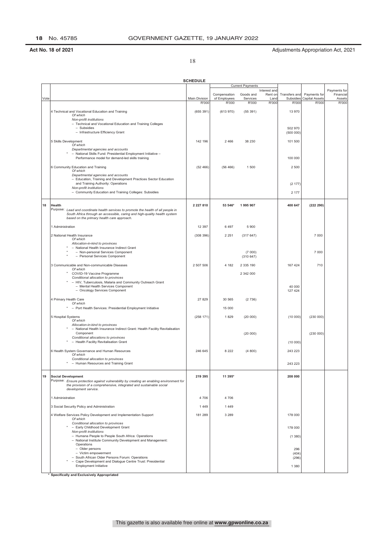18

|      |                                                                                                                                                                                                                          | <b>SCHEDULE</b>        |                       |                         |                         |                       |                                |                           |
|------|--------------------------------------------------------------------------------------------------------------------------------------------------------------------------------------------------------------------------|------------------------|-----------------------|-------------------------|-------------------------|-----------------------|--------------------------------|---------------------------|
|      |                                                                                                                                                                                                                          |                        |                       | <b>Current Payments</b> |                         |                       |                                |                           |
|      |                                                                                                                                                                                                                          |                        | Compensation          | Goods and               | Interest and<br>Rent on | Transfers and         | Payments for                   | Payments for<br>Financial |
| Vote |                                                                                                                                                                                                                          | Main Division<br>R'000 | of Employees<br>R'000 | Services<br>R'000       | Land<br>R'000           | Subsidies<br>R'000    | <b>Capital Assets</b><br>R'000 | Assets<br>R'000           |
|      | 4 Technical and Vocational Education and Training<br>Of which<br>Non-profit institutions                                                                                                                                 | (655391)               | (613970)              | (55391)                 |                         | 13 970                |                                |                           |
|      | - Technical and Vocational Education and Training Colleges<br>- Subsidies<br>- Infrastructure Efficiency Grant                                                                                                           |                        |                       |                         |                         | 502 970<br>(500000)   |                                |                           |
|      | 5 Skills Development<br>Of which                                                                                                                                                                                         | 142 196                | 2 4 6 6               | 38 230                  |                         | 101 500               |                                |                           |
|      | Departmental agencies and accounts<br>- National Skills Fund: Presidential Employment Initiative -<br>Performance model for demand-led skills training                                                                   |                        |                       |                         |                         | 100 000               |                                |                           |
|      | 6 Community Education and Training<br>Of which<br>Departmental agencies and accounts                                                                                                                                     | (52466)                | (56466)               | 1 500                   |                         | 2 500                 |                                |                           |
|      | - Education, Training and Development Practices Sector Education<br>and Training Authority: Operations<br>Non-profit institutions                                                                                        |                        |                       |                         |                         | (2177)                |                                |                           |
|      | - Community Education and Training Colleges: Subsidies                                                                                                                                                                   |                        |                       |                         |                         | 2 177                 |                                |                           |
| 18   | Health<br>Purpose: Lead and coordinate health services to promote the health of all people in<br>South Africa through an accessible, caring and high-quality health system<br>based on the primary health care approach. | 2 2 2 7 8 1 0          | 53 546*               | 1995907                 |                         | 400 647               | (222 290)                      |                           |
|      | 1 Administration                                                                                                                                                                                                         | 12 3 9 7               | 6497                  | 5 9 0 0                 |                         |                       |                                |                           |
|      | 2 National Health Insurance<br>Of which<br>Allocation-in-kind to provinces                                                                                                                                               | (308 396)              | 2 2 5 1               | (317647)                |                         |                       | 7 000                          |                           |
|      | - National Health Insurance Indirect Grant<br>- Non-personal Services Component<br>- Personal Services Component                                                                                                         |                        |                       | (7000)<br>(310647)      |                         |                       | 7 000                          |                           |
|      | 3 Communicable and Non-communicable Diseases<br>Of which<br>COVID-19 Vaccine Programme                                                                                                                                   | 2 507 506              | 4 182                 | 2 335 190<br>2 342 000  |                         | 167 424               | 710                            |                           |
|      | Conditional allocation to provinces<br>- HIV, Tuberculosis, Malaria and Community Outreach Grant<br>- Mental Health Services Component<br>- Oncology Services Component                                                  |                        |                       |                         |                         | 40 000<br>127 424     |                                |                           |
|      | 4 Primary Health Care<br>Of which                                                                                                                                                                                        | 27 8 29                | 30 565                | (2736)                  |                         |                       |                                |                           |
|      | - Port Health Services: Presidential Employment Initiative                                                                                                                                                               |                        | 15 000                |                         |                         |                       |                                |                           |
|      | 5 Hospital Systems<br>Of which<br>Allocation-in-kind to provinces                                                                                                                                                        | (258 171)              | 1829                  | (20000)                 |                         | (10000)               | (230000)                       |                           |
|      | - National Health Insurance Indirect Grant: Health Facility Revitalisation<br>Component<br>Conditional allocations to provinces<br>- Health Facility Revitalisation Grant                                                |                        |                       | (20 000)                |                         | (10000)               | (230000)                       |                           |
|      | 6 Health System Governance and Human Resources<br>Of which                                                                                                                                                               | 246 645                | 8 2 2 2               | (4800)                  |                         | 243 223               |                                |                           |
|      | Conditional allocation to provinces<br>- Human Resources and Training Grant                                                                                                                                              |                        |                       |                         |                         | 243 223               |                                |                           |
| 19   | <b>Social Development</b><br>Purpose: Ensure protection against vulnerability by creating an enabling environment for                                                                                                    | 219 395                | 11 395*               |                         |                         | 208 000               |                                |                           |
|      | the provision of a comprehensive, integrated and sustainable social<br>development service.                                                                                                                              |                        |                       |                         |                         |                       |                                |                           |
|      | 1 Administration                                                                                                                                                                                                         | 4706                   | 4706                  |                         |                         |                       |                                |                           |
|      | 3 Social Security Policy and Administration                                                                                                                                                                              | 1449                   | 1449                  |                         |                         |                       |                                |                           |
|      | 4 Welfare Services Policy Development and Implementation Support<br>Of which<br>Conditional allocation to provinces                                                                                                      | 181 289                | 3 2 8 9               |                         |                         | 178 000               |                                |                           |
|      | - Early Childhood Development Grant<br>Non-profit institutions                                                                                                                                                           |                        |                       |                         |                         | 178 000               |                                |                           |
|      | - Humana People to People South Africa: Operations<br>- National Institute Community Development and Management:<br>Operations                                                                                           |                        |                       |                         |                         | (1380)                |                                |                           |
|      | - Older persons<br>- Victim empowerment<br>- South African Older Persons Forum: Operations                                                                                                                               |                        |                       |                         |                         | 296<br>(404)<br>(296) |                                |                           |
|      | Cape Development and Dialogue Centre Trust: Presidential<br>$\overline{\phantom{a}}$<br><b>Employment Initiative</b>                                                                                                     |                        |                       |                         |                         | 1 3 8 0               |                                |                           |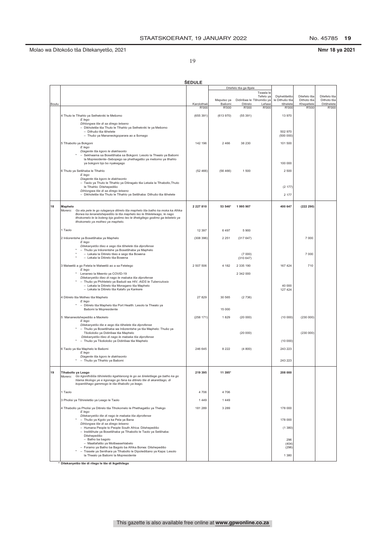No. 45785 19

Nmr 18 ya 2021

19

|       |                                                                                                                                                      | <b>ŠEDULE</b>        |                 |                       |                                                    |                                |                             |                             |
|-------|------------------------------------------------------------------------------------------------------------------------------------------------------|----------------------|-----------------|-----------------------|----------------------------------------------------|--------------------------------|-----------------------------|-----------------------------|
|       |                                                                                                                                                      |                      |                 | Ditefelo tša ga Bjale |                                                    |                                |                             |                             |
|       |                                                                                                                                                      |                      | Meputso ya      |                       | Tswala le<br>Tefelo ya<br>Didirišwa le Tšhomišo ya | Diphetišetšo<br>le Dithušo tša | Ditefelo tša<br>Dithoto tša | Ditefelo tša<br>Dithoto tša |
| Boutu |                                                                                                                                                      | Karolothwii<br>R'000 | Bašomi<br>R'000 | Ditirelo<br>R'000     | Lefase<br>R'000                                    | tšhelete<br>R'000              | Khepetlele<br>R'000         | Ditšhelete<br>R'000         |
|       | 4 Thuto le Tlhahlo ya Sethekniki le Mešomo                                                                                                           | (655 391)            | (613970)        | (55391)               |                                                    | 13 970                         |                             |                             |
|       | E lego<br>Dihlongwa tše di sa dirego letseno                                                                                                         |                      |                 |                       |                                                    |                                |                             |                             |
|       | - Dikholetše tša Thuto le Tlhahlo ya Sethekniki le ya Mešomo                                                                                         |                      |                 |                       |                                                    |                                |                             |                             |
|       | - Dithušo tša tšhelete<br>- Thušo ya Mananeokgoparara ao a Šomago                                                                                    |                      |                 |                       |                                                    | 502 970<br>(500000)            |                             |                             |
|       | 5 Tlhabollo ya Bokgoni                                                                                                                               | 142 196              | 2466            | 38 230                |                                                    | 101 500                        |                             |                             |
|       | E leao<br>Diagente tša kgoro le diakhaonto                                                                                                           |                      |                 |                       |                                                    |                                |                             |                             |
|       | - Sekhwama sa Bosetšhaba sa Bokgoni: Lesolo la Thwalo ya Bašomi<br>la Mopresidente-Sebopego sa phethagatšo ya mešomo ya tlhahlo                      |                      |                 |                       |                                                    |                                |                             |                             |
|       | ya bokgoni bjo bo nyakegago                                                                                                                          |                      |                 |                       |                                                    | 100 000                        |                             |                             |
|       | 6 Thuto ya Setšhaba le Tlhahlo                                                                                                                       | (52466)              | (56466)         | 1500                  |                                                    | 2 500                          |                             |                             |
|       | E lego<br>Diagente tša kgoro le diakhaonto                                                                                                           |                      |                 |                       |                                                    |                                |                             |                             |
|       | - Taolo ya Thuto le Tlhahlo ya Ditiragalo tša Lekala la Tlhabollo, Thuto<br>le Tlhahlo: Ditshepedišo                                                 |                      |                 |                       |                                                    | (2177)                         |                             |                             |
|       | Dihlongwa tše di sa dirego letseno<br>- Dikholetše tša Thuto le Tlhahlo ya Setšhaba: Dithušo tša tšhelete                                            |                      |                 |                       |                                                    | 2 177                          |                             |                             |
|       |                                                                                                                                                      |                      |                 |                       |                                                    |                                |                             |                             |
| 18    | <b>Maphelo</b><br>Morero: Go eta pele le go rulaganya ditirelo tša maphelo tša batho ka moka ka Afrika                                               | 2 2 2 7 8 1 0        | 53 546*         | 1995907               |                                                    | 400 647                        | (222 290)                   |                             |
|       | Borwa ka lenanetshepedišo la tša maphelo leo le fihlelelwago, le nago<br>tlhokomelo le la boleng bja godimo leo le ithekgilego godimo ga tebelelo ya |                      |                 |                       |                                                    |                                |                             |                             |
|       | tlhokomelo ya motheo ya maphelo.                                                                                                                     |                      |                 |                       |                                                    |                                |                             |                             |
|       | 1 Taolo                                                                                                                                              | 12 3 9 7             | 6497            | 5900                  |                                                    |                                |                             |                             |
|       | 2 Inšorentshe ya Bosetšhaba ya Maphelo<br>E lego                                                                                                     | (308 396)            | 2 2 5 1         | (317647)              |                                                    |                                | 7 000                       |                             |
|       | Ditekanyetšo tšeo e sego tša tšhelete tša diprofense                                                                                                 |                      |                 |                       |                                                    |                                |                             |                             |
|       | - Thušo ya Inšorentshe ya Bosetšhaba ya Maphelo<br>- Lekala la Ditirelo tšeo e sego tša Bowena                                                       |                      |                 | (7000)                |                                                    |                                | 7 000                       |                             |
|       | - Lekala la Ditirelo tša Bowena                                                                                                                      |                      |                 | (310647)              |                                                    |                                |                             |                             |
|       | 3 Malwetši a go Fetela le Malwetši ao a sa Fetelego<br>E lego                                                                                        | 2 507 506            | 4 1 8 2         | 2 335 190             |                                                    | 167 424                        | 710                         |                             |
|       | Lenaneo la Meento ya COVID-19<br>Ditekanyetšo tšeo di nago le mabaka tša diprofense                                                                  |                      |                 | 2 342 000             |                                                    |                                |                             |                             |
|       | * - Thušo ya Phihlelelo ya Badudi wa HIV, AIDS le Tuberculosis<br>- Lekala la Ditirelo tša Monagano tša Maphelo                                      |                      |                 |                       |                                                    | 40 000                         |                             |                             |
|       | - Lekala la Ditirelo tša Kalafo ya Kankere                                                                                                           |                      |                 |                       |                                                    | 127 424                        |                             |                             |
|       | 4 Ditirelo tša Motheo tša Maphelo<br>E lego                                                                                                          | 27 8 29              | 30 565          | (2736)                |                                                    |                                |                             |                             |
|       | - Ditirelo tša Maphelo tša Port Health: Lesolo la Thwalo ya<br>Bašomi la Mopresidente                                                                |                      | 15 000          |                       |                                                    |                                |                             |                             |
|       |                                                                                                                                                      |                      |                 |                       |                                                    |                                |                             |                             |
|       | 5 Mananeotshepedišo a Maokelo<br>E lego                                                                                                              | (258 171)            | 1829            | (20000)               |                                                    | (10000)                        | (230000)                    |                             |
|       | Ditekanyetšo tše e sego tša tšhelete tša diprofense<br>- Thušo ya Bosetšhaba wa Inšorentshe ya tša Maphelo: Thušo ya                                 |                      |                 |                       |                                                    |                                |                             |                             |
|       | Tšošološo ya Didirišwa tša Maphelo<br>Ditekanyetšo tšeo di nago le mabaka tša diprofense                                                             |                      |                 | (20 000)              |                                                    |                                | (230000)                    |                             |
|       | * - Thušo ya Tšošološo ya Didirišwa tša Maphelo                                                                                                      |                      |                 |                       |                                                    | (10000)                        |                             |                             |
|       | 6 Taolo ya tša Maphelo le Bašomi<br>E lego                                                                                                           | 246 645              | 8 2 2 2         | (4800)                |                                                    | 243 223                        |                             |                             |
|       | Diagente tša kgoro le diakhaonto<br>- Thušo ya Tlhahlo ya Bašomi                                                                                     |                      |                 |                       |                                                    | 243 223                        |                             |                             |
|       |                                                                                                                                                      |                      |                 |                       |                                                    |                                |                             |                             |
| 19    | Tihabollo ya Leago<br>Morero: Go kgonthišiša tšhireletšo kgahlanong le go se šireletšege ga batho ka go                                              | 219 395              | 11 395*         |                       |                                                    | 208 000                        |                             |                             |
|       | hlama tikologo ye e kgonago go fana ka ditirelo tše di akaretšago, di<br>kopantšhago gammogo le tša tlhabollo ya leago.                              |                      |                 |                       |                                                    |                                |                             |                             |
|       |                                                                                                                                                      |                      |                 |                       |                                                    |                                |                             |                             |
|       | 1 Taolo                                                                                                                                              | 4706                 | 4706            |                       |                                                    |                                |                             |                             |
|       | 3 Pholisi ya Tšhireletšo ya Leago le Taolo                                                                                                           | 1449                 | 1449            |                       |                                                    |                                |                             |                             |
|       | 4 Tlhabollo ya Pholisi ya Ditirelo tša Tlhokomelo le Phethagatšo ya Thekgo<br>E lego                                                                 | 181 289              | 3 2 8 9         |                       |                                                    | 178 000                        |                             |                             |
|       | Ditekanyetšo tše di nago le mabaka tša diprofense<br>- Thušo ya Kgolo ya ka Pela ya Bana                                                             |                      |                 |                       |                                                    | 178 000                        |                             |                             |
|       | Dihlongwa tše di sa dirego letseno<br>- Humana People to People South Africa: Ditshepedišo                                                           |                      |                 |                       |                                                    | (1380)                         |                             |                             |
|       | - Institšhute ya Bosetšhaba ya Tlhabollo le Taolo ya Setšhaba:<br>Ditshepedišo                                                                       |                      |                 |                       |                                                    |                                |                             |                             |
|       | - Batho ba bagolo                                                                                                                                    |                      |                 |                       |                                                    | 296                            |                             |                             |
|       | - Maatlafatšo ya Motšwasehlabelo<br>- Foramo ya Batho ba Bagolo ba Afrika Borwa: Ditshepedišo                                                        |                      |                 |                       |                                                    | (404)<br>(296)                 |                             |                             |
|       | - Trasete ya Senthara ya Tlhabollo le Dipoledišano ya Kapa: Lesolo<br>la Thwalo ya Bašomi la Mopresidente                                            |                      |                 |                       |                                                    | 1 3 8 0                        |                             |                             |
|       |                                                                                                                                                      |                      |                 |                       |                                                    |                                |                             |                             |

i<br>Ditekanyetšo tše di rilego le tše di ikgethilego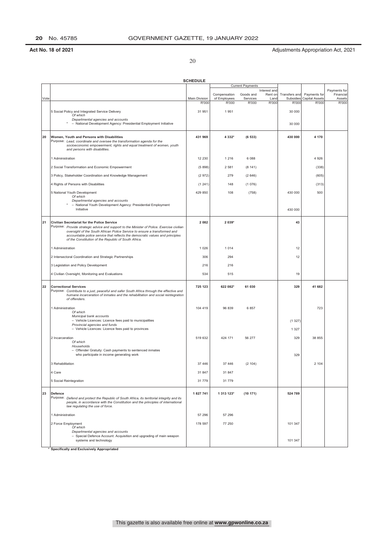20

|      |                                                                                                                                                            | <b>SCHEDULE</b>        |                       |                         |               |                    |                                |                 |
|------|------------------------------------------------------------------------------------------------------------------------------------------------------------|------------------------|-----------------------|-------------------------|---------------|--------------------|--------------------------------|-----------------|
|      |                                                                                                                                                            |                        |                       | <b>Current Payments</b> | Interest and  |                    |                                | Payments for    |
|      |                                                                                                                                                            |                        | Compensation          | Goods and               | Rent on       | Transfers and      | Payments for                   | Financial       |
| Vote |                                                                                                                                                            | Main Division<br>R'000 | of Employees<br>R'000 | Services<br>R'000       | Land<br>R'000 | Subsidies<br>R'000 | <b>Capital Assets</b><br>R'000 | Assets<br>R'000 |
|      | 5 Social Policy and Integrated Service Delivery                                                                                                            | 31 951                 | 1951                  |                         |               | 30 000             |                                |                 |
|      | Of which                                                                                                                                                   |                        |                       |                         |               |                    |                                |                 |
|      | Departmental agencies and accounts<br>- National Development Agency: Presidential Employment Initiative                                                    |                        |                       |                         |               | 30 000             |                                |                 |
|      |                                                                                                                                                            |                        |                       |                         |               |                    |                                |                 |
| 20   | Women, Youth and Persons with Disabilities                                                                                                                 | 431 969                | 4 3 3 2*              | (6533)                  |               | 430 000            | 4 170                          |                 |
|      | Purpose: Lead, coordinate and oversee the transformation agenda for the<br>socioeconomic empowerment, rights and equal treatment of women, youth           |                        |                       |                         |               |                    |                                |                 |
|      | and persons with disabilities.                                                                                                                             |                        |                       |                         |               |                    |                                |                 |
|      | 1 Administration                                                                                                                                           | 12 2 30                | 1 2 1 6               | 6088                    |               |                    | 4 9 2 6                        |                 |
|      | 2 Social Transformation and Economic Empowerment                                                                                                           | (5898)                 | 2 5 8 1               | (8141)                  |               |                    | (338)                          |                 |
|      |                                                                                                                                                            |                        |                       |                         |               |                    |                                |                 |
|      | 3 Policy, Stakeholder Coordination and Knowledge Management                                                                                                | (2972)                 | 279                   | (2646)                  |               |                    | (605)                          |                 |
|      | 4 Rights of Persons with Disabilities                                                                                                                      | (1241)                 | 148                   | (1076)                  |               |                    | (313)                          |                 |
|      | 5 National Youth Development                                                                                                                               | 429 850                | 108                   | (758)                   |               | 430 000            | 500                            |                 |
|      | Of which<br>Departmental agencies and accounts                                                                                                             |                        |                       |                         |               |                    |                                |                 |
|      | - National Youth Development Agency: Presidential Employment<br>Initiative                                                                                 |                        |                       |                         |               | 430 000            |                                |                 |
|      |                                                                                                                                                            |                        |                       |                         |               |                    |                                |                 |
| 21   | Civilian Secretariat for the Police Service                                                                                                                | 2082                   | 2 039*                |                         |               | 43                 |                                |                 |
|      | Purpose: Provide strategic advice and support to the Minister of Police. Exercise civilian                                                                 |                        |                       |                         |               |                    |                                |                 |
|      | oversight of the South African Police Service to ensure a transformed and<br>accountable police service that reflects the democratic values and principles |                        |                       |                         |               |                    |                                |                 |
|      | of the Constitution of the Republic of South Africa.                                                                                                       |                        |                       |                         |               |                    |                                |                 |
|      | 1 Administration                                                                                                                                           | 1 0 2 6                | 1014                  |                         |               | 12                 |                                |                 |
|      | 2 Intersectoral Coordination and Strategic Partnerships                                                                                                    | 306                    | 294                   |                         |               | 12                 |                                |                 |
|      | 3 Legislation and Policy Development                                                                                                                       | 216                    | 216                   |                         |               |                    |                                |                 |
|      |                                                                                                                                                            |                        |                       |                         |               |                    |                                |                 |
|      | 4 Civilian Oversight, Monitoring and Evaluations                                                                                                           | 534                    | 515                   |                         |               | 19                 |                                |                 |
| 22   | <b>Correctional Services</b>                                                                                                                               | 725 123                | 622 082*              | 61 030                  |               | 329                | 41 682                         |                 |
|      | Purpose: Contribute to a just, peaceful and safer South Africa through the effective and                                                                   |                        |                       |                         |               |                    |                                |                 |
|      | humane incarceration of inmates and the rehabilitation and social reintegration<br>of offenders.                                                           |                        |                       |                         |               |                    |                                |                 |
|      | 1 Administration                                                                                                                                           | 104 419                | 96 839                | 6857                    |               |                    | 723                            |                 |
|      | Of which                                                                                                                                                   |                        |                       |                         |               |                    |                                |                 |
|      | Municipal bank accounts<br>- Vehicle Licences: Licence fees paid to municipalities                                                                         |                        |                       |                         |               | (1327)             |                                |                 |
|      | Provincial agencies and funds<br>- Vehicle Licences: Licence fees paid to provinces                                                                        |                        |                       |                         |               | 1 3 2 7            |                                |                 |
|      |                                                                                                                                                            |                        |                       |                         |               |                    |                                |                 |
|      | 2 Incarceration<br>Of which                                                                                                                                | 519 632                | 424 171               | 56 277                  |               | 329                | 38 855                         |                 |
|      | Households<br>- Offender Gratuity: Cash payments to sentenced inmates                                                                                      |                        |                       |                         |               |                    |                                |                 |
|      | who participate in income generating work                                                                                                                  |                        |                       |                         |               | 329                |                                |                 |
|      | 3 Rehabilitation                                                                                                                                           | 37 446                 | 37 446                | (2104)                  |               |                    | 2 1 0 4                        |                 |
|      |                                                                                                                                                            |                        |                       |                         |               |                    |                                |                 |
|      | 4 Care                                                                                                                                                     | 31 847                 | 31 847                |                         |               |                    |                                |                 |
|      | 5 Social Reintegration                                                                                                                                     | 31 779                 | 31 779                |                         |               |                    |                                |                 |
| 23   | <b>Defence</b>                                                                                                                                             | 1827741                | 1 313 123*            | (10171)                 |               | 524 789            |                                |                 |
|      | Purpose: Defend and protect the Republic of South Africa, its territorial integrity and its                                                                |                        |                       |                         |               |                    |                                |                 |
|      | people, in accordance with the Constitution and the principles of international<br>law regulating the use of force.                                        |                        |                       |                         |               |                    |                                |                 |
|      |                                                                                                                                                            |                        |                       |                         |               |                    |                                |                 |
|      | 1 Administration                                                                                                                                           | 57 296                 | 57 296                |                         |               |                    |                                |                 |
|      | 2 Force Employment<br>Of which                                                                                                                             | 178 597                | 77 250                |                         |               | 101 347            |                                |                 |
|      | Departmental agencies and accounts                                                                                                                         |                        |                       |                         |               |                    |                                |                 |
|      | - Special Defence Account: Acquisition and upgrading of main weapon<br>systems and technology                                                              |                        |                       |                         |               | 101 347            |                                |                 |
|      | * Specifically and Exclusively Appropriated                                                                                                                |                        |                       |                         |               |                    |                                |                 |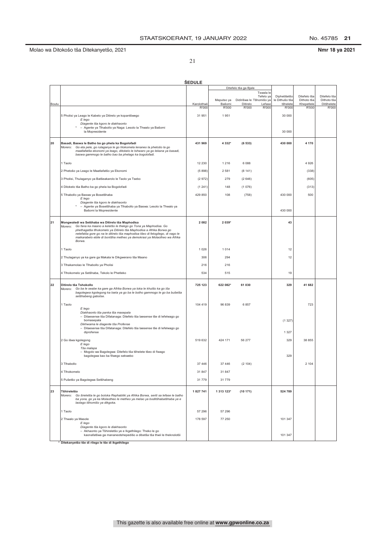No. 45785 21

Nmr 18 ya 2021

21

|       |                                                                                                                                                                                                                                                                     | <b>SEDULE</b> |                      |                                                |                            |                           |                           |
|-------|---------------------------------------------------------------------------------------------------------------------------------------------------------------------------------------------------------------------------------------------------------------------|---------------|----------------------|------------------------------------------------|----------------------------|---------------------------|---------------------------|
|       |                                                                                                                                                                                                                                                                     |               |                      | Ditefelo tša ga Bjale                          |                            |                           |                           |
|       |                                                                                                                                                                                                                                                                     |               |                      | Tswala le<br>Tefelo ya                         | Diphetišetšo               | Ditefelo tša              | Ditefelo tša              |
| Boutu |                                                                                                                                                                                                                                                                     | Karolothwii   | Meputso ya<br>Bašomi | Didirišwa le Tšhomišo ya<br>Ditirelo<br>Lefase | le Dithušo tša<br>tšhelete | Dithoto tša<br>Khepetlele | Dithoto tša<br>Ditšhelete |
|       |                                                                                                                                                                                                                                                                     | R'000         | R'000                | R'000<br>R'000                                 | R'000                      | R'000                     | R'000                     |
|       | 5 Pholisi ya Leago le Kabelo ya Ditirelo ye kopantšwego<br>E lego                                                                                                                                                                                                   | 31 951        | 1951                 |                                                | 30 000                     |                           |                           |
|       | Diagente tša kgoro le diakhaonto                                                                                                                                                                                                                                    |               |                      |                                                |                            |                           |                           |
|       | - Agente ya Tlhabollo ya Naga: Lesolo la Thwalo ya Bašomi<br>la Mopresidente                                                                                                                                                                                        |               |                      |                                                | 30 000                     |                           |                           |
|       |                                                                                                                                                                                                                                                                     |               |                      |                                                |                            |                           |                           |
| 20    | Basadi, Baswa le Batho ba go phela ka Bogolofadi<br>Morero: Go eta pele, go rulaganya le go hlokomela lenaneo la phetošo la go<br>maatlafatša ekonomi ya leago, ditokelo le tshwaro ya go lekana ya basadi,<br>baswa gammogo le batho bao ba phelago ka bogolofadi. | 431 969       | 4 3 3 2*             | (6533)                                         | 430 000                    | 4 170                     |                           |
|       | 1 Taolo                                                                                                                                                                                                                                                             | 12 2 30       | 1 2 1 6              | 6088                                           |                            | 4 9 2 6                   |                           |
|       | 2 Phetošo ya Leago le Maatlafatšo ya Ekonomi                                                                                                                                                                                                                        | (5898)        | 2581                 | (8141)                                         |                            | (338)                     |                           |
|       | 3 Pholisi, Thulaganyo ya Batšeakarolo le Taolo ya Tsebo                                                                                                                                                                                                             | (2972)        | 279                  | (2646)                                         |                            | (605)                     |                           |
|       | 4 Ditokelo tša Batho ba go phela ka Bogolofadi                                                                                                                                                                                                                      | (1241)        | 148                  | (1076)                                         |                            | (313)                     |                           |
|       |                                                                                                                                                                                                                                                                     |               |                      |                                                |                            |                           |                           |
|       | 5 Tlhabollo ya Baswa ya Bosetšhaba<br>E lego                                                                                                                                                                                                                        | 429 850       | 108                  | (758)                                          | 430 000                    | 500                       |                           |
|       | Diagente tša kgoro le diakhaonto<br>- Agente ya Bosetšhaba ya Tlhabollo ya Baswa: Lesolo la Thwalo ya                                                                                                                                                               |               |                      |                                                |                            |                           |                           |
|       | Bašomi la Mopresidente                                                                                                                                                                                                                                              |               |                      |                                                | 430 000                    |                           |                           |
| 21    | Mongwaledi wa Setšhaba wa Ditirelo tša Maphodisa                                                                                                                                                                                                                    | 2 0 8 2       | 2 0 3 9*             |                                                | 43                         |                           |                           |
|       | Morero: Go fana ka maano a keletšo le thekgo go Tona ya Maphodisa. Go<br>phethagatša tlhokomelo ya Ditirelo tša Maphodisa a Afrika Borwa go                                                                                                                         |               |                      |                                                |                            |                           |                           |
|       | netefatša gore go na le ditirelo tša maphodisa tšeo di fetogilego, di nago le<br>maikarabelo ebile di bontšha metheo ya demokrasi ya Molaotheo wa Afrika                                                                                                            |               |                      |                                                |                            |                           |                           |
|       | Borwa.                                                                                                                                                                                                                                                              |               |                      |                                                |                            |                           |                           |
|       | 1 Taolo                                                                                                                                                                                                                                                             | 1 0 2 6       | 1014                 |                                                | 12                         |                           |                           |
|       | 2 Thulaganyo ya ka gare ga Makala le Dikgwerano tša Maano                                                                                                                                                                                                           | 306           | 294                  |                                                | 12                         |                           |                           |
|       | 3 Tlhakamolao le Tlhabollo ya Pholisi                                                                                                                                                                                                                               | 216           | 216                  |                                                |                            |                           |                           |
|       | 4 Tlhokomelo ya Setšhaba, Tekolo le Phetleko                                                                                                                                                                                                                        | 534           | 515                  |                                                | 19                         |                           |                           |
|       |                                                                                                                                                                                                                                                                     |               |                      |                                                |                            |                           |                           |
| 22    | Ditirelo tša Tshokollo<br>Morero:<br>Go ba le seabe ka gare ga Afrika Borwa ya toka le khutšo ka go iša<br>bagolegwa kgolegong ka tsela ya go ba le botho gammogo le go ba bušetša<br>setšhabeng gabotse.                                                           | 725 123       | 622 082*             | 61 030                                         | 329                        | 41 682                    |                           |
|       | 1 Taolo                                                                                                                                                                                                                                                             | 104 419       | 96 839               | 6857                                           |                            | 723                       |                           |
|       | E lego<br>Diakhaonto tša panka tša masepala                                                                                                                                                                                                                         |               |                      |                                                |                            |                           |                           |
|       | - Dilaesense tša Difatanaga: Ditefelo tša laesense tše di lefelwago go                                                                                                                                                                                              |               |                      |                                                |                            |                           |                           |
|       | bomasepala<br>Dikhwama le diagente tša Profense                                                                                                                                                                                                                     |               |                      |                                                | (1327)                     |                           |                           |
|       | - Dilaesense tša Difatanaga: Ditefelo tša laesense tše di lefelwago go<br>diprofense                                                                                                                                                                                |               |                      |                                                | 1 3 2 7                    |                           |                           |
|       | 2 Go išwa kgolegong                                                                                                                                                                                                                                                 | 519 632       | 424 171              | 56 277                                         | 329                        | 38 855                    |                           |
|       | E lego<br>Tša malapa                                                                                                                                                                                                                                                |               |                      |                                                |                            |                           |                           |
|       | - Mogolo wa Bagolegwa: Ditefelo tša tšhelete tšeo di fiwago                                                                                                                                                                                                         |               |                      |                                                |                            |                           |                           |
|       | bagolegwa bao ba filwego sekwebo                                                                                                                                                                                                                                    |               |                      |                                                | 329                        |                           |                           |
|       | 3 Tihabollo                                                                                                                                                                                                                                                         | 37 446        | 37 446               | (2104)                                         |                            | 2 104                     |                           |
|       | 4 Tlhokomelo                                                                                                                                                                                                                                                        | 31 847        | 31 847               |                                                |                            |                           |                           |
|       | 5 Pušetšo ya Bagolegwa Setšhabeng                                                                                                                                                                                                                                   | 31 779        | 31779                |                                                |                            |                           |                           |
| 23    |                                                                                                                                                                                                                                                                     | 1 827 741     |                      | (10171)                                        |                            |                           |                           |
|       | Tšhireletšo<br>Go šireletša le go boloka Rephabliki ya Afrika Borwa, seriti sa lefase le batho<br>Morero:<br>ba yona, go ya ka Molaotheo le metheo ya melao ya boditšhabatšhaba ye e<br>laolago tšhomišo ya dikgoka.                                                |               | 1 313 123*           |                                                | 524 789                    |                           |                           |
|       | 1 Taolo                                                                                                                                                                                                                                                             | 57 29 6       | 57 296               |                                                |                            |                           |                           |
|       | 2 Thwalo ya Masole                                                                                                                                                                                                                                                  | 178 597       | 77 250               |                                                | 101 347                    |                           |                           |
|       | E lego<br>Diagente tša kgoro le diakhaonto                                                                                                                                                                                                                          |               |                      |                                                |                            |                           |                           |
|       | - Akhaonto ya Tšhireletšo ye e Ikgethilego: Theko le go<br>kaonafatšwa ga mananeotshepedišo a dibetša tša thwii le theknolotši                                                                                                                                      |               |                      |                                                | 101 347                    |                           |                           |

\* Ditekanyetšo tše di rilego le tše di ikgethilego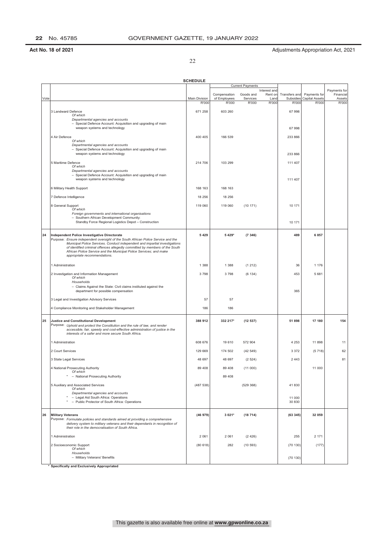22

|      |                                                                                                                                                              | <b>SCHEDULE</b>        |                                       |                                |                                 |                                     |                                         |                                     |
|------|--------------------------------------------------------------------------------------------------------------------------------------------------------------|------------------------|---------------------------------------|--------------------------------|---------------------------------|-------------------------------------|-----------------------------------------|-------------------------------------|
|      |                                                                                                                                                              |                        |                                       | <b>Current Payments</b>        | Interest and                    |                                     |                                         | Payments for                        |
| Vote |                                                                                                                                                              | Main Division<br>R'000 | Compensation<br>of Employees<br>R'000 | Goods and<br>Services<br>R'000 | Rent on<br>Land<br><b>R'000</b> | Transfers and<br>Subsidies<br>R'000 | Payments for<br>Capital Assets<br>R'000 | Financial<br>Assets<br><b>R'000</b> |
|      |                                                                                                                                                              |                        |                                       |                                |                                 |                                     |                                         |                                     |
|      | 3 Landward Defence<br>Of which                                                                                                                               | 671 258                | 603 260                               |                                |                                 | 67 998                              |                                         |                                     |
|      | Departmental agencies and accounts<br>- Special Defence Account: Acquisition and upgrading of main                                                           |                        |                                       |                                |                                 |                                     |                                         |                                     |
|      | weapon systems and technology                                                                                                                                |                        |                                       |                                |                                 | 67998                               |                                         |                                     |
|      | 4 Air Defence<br>Of which                                                                                                                                    | 400 405                | 166 539                               |                                |                                 | 233 866                             |                                         |                                     |
|      | Departmental agencies and accounts                                                                                                                           |                        |                                       |                                |                                 |                                     |                                         |                                     |
|      | - Special Defence Account: Acquisition and upgrading of main<br>weapon systems and technology                                                                |                        |                                       |                                |                                 | 233 866                             |                                         |                                     |
|      | 5 Maritime Defence                                                                                                                                           | 214 706                | 103 299                               |                                |                                 | 111 407                             |                                         |                                     |
|      | Of which<br>Departmental agencies and accounts                                                                                                               |                        |                                       |                                |                                 |                                     |                                         |                                     |
|      | - Special Defence Account: Acquisition and upgrading of main<br>weapon systems and technology                                                                |                        |                                       |                                |                                 | 111 407                             |                                         |                                     |
|      |                                                                                                                                                              | 168 163                |                                       |                                |                                 |                                     |                                         |                                     |
|      | 6 Military Health Support                                                                                                                                    |                        | 168 163                               |                                |                                 |                                     |                                         |                                     |
|      | 7 Defence Intelligence                                                                                                                                       | 18 25 6                | 18 25 6                               |                                |                                 |                                     |                                         |                                     |
|      | 8 General Support<br>Of which                                                                                                                                | 119 060                | 119 060                               | (10171)                        |                                 | 10 171                              |                                         |                                     |
|      | Foreign governments and international organisations<br>- Southern African Development Community:                                                             |                        |                                       |                                |                                 |                                     |                                         |                                     |
|      | Standby Force Regional Logistics Depot - Construction                                                                                                        |                        |                                       |                                |                                 | 10 171                              |                                         |                                     |
|      |                                                                                                                                                              |                        |                                       |                                |                                 |                                     |                                         |                                     |
| 24   | Independent Police Investigative Directorate<br>Purpose: Ensure independent oversight of the South African Police Service and the                            | 5 4 2 9                | 5 4 29*                               | (7346)                         |                                 | 489                                 | 6857                                    |                                     |
|      | Municipal Police Services. Conduct independent and impartial investigations<br>of identified criminal offences allegedly committed by members of the South   |                        |                                       |                                |                                 |                                     |                                         |                                     |
|      | African Police Service and the Municipal Police Services; and make<br>appropriate recommendations.                                                           |                        |                                       |                                |                                 |                                     |                                         |                                     |
|      |                                                                                                                                                              |                        |                                       |                                |                                 |                                     |                                         |                                     |
|      | 1 Administration                                                                                                                                             | 1 3 8 8                | 1 3 8 8                               | (1212)                         |                                 | 36                                  | 1 1 7 6                                 |                                     |
|      | 2 Investigation and Information Management<br>Of which                                                                                                       | 3798                   | 3798                                  | (6134)                         |                                 | 453                                 | 5 6 8 1                                 |                                     |
|      | Households<br>- Claims Against the State: Civil claims instituted against the                                                                                |                        |                                       |                                |                                 |                                     |                                         |                                     |
|      | department for possible compensation                                                                                                                         |                        |                                       |                                |                                 | 365                                 |                                         |                                     |
|      | 3 Legal and Investigation Advisory Services                                                                                                                  | 57                     | 57                                    |                                |                                 |                                     |                                         |                                     |
|      | 4 Compliance Monitoring and Stakeholder Management                                                                                                           | 186                    | 186                                   |                                |                                 |                                     |                                         |                                     |
| 25   | <b>Justice and Constitutional Development</b>                                                                                                                | 388 912                | 332 217*                              | (12537)                        |                                 | 51 898                              | 17 180                                  | 154                                 |
|      | Purpose: Uphold and protect the Constitution and the rule of law, and render<br>accessible, fair, speedy and cost-effective administration of justice in the |                        |                                       |                                |                                 |                                     |                                         |                                     |
|      | interests of a safer and more secure South Africa.                                                                                                           |                        |                                       |                                |                                 |                                     |                                         |                                     |
|      | 1 Administration                                                                                                                                             | 608 676                | 19610                                 | 572 904                        |                                 | 4 2 5 3                             | 11898                                   | 11                                  |
|      | 2 Court Services                                                                                                                                             | 129 669                | 174 502                               | (42549)                        |                                 | 3 3 7 2                             | (5718)                                  | 62                                  |
|      | 3 State Legal Services                                                                                                                                       | 48 697                 | 48 697                                | (2524)                         |                                 | 2 4 4 3                             |                                         | 81                                  |
|      | 4 National Prosecuting Authority                                                                                                                             | 89 40 8                | 89 408                                | (11000)                        |                                 |                                     | 11 000                                  |                                     |
|      | Of which<br>- National Prosecuting Authority                                                                                                                 |                        | 89 40 8                               |                                |                                 |                                     |                                         |                                     |
|      |                                                                                                                                                              |                        |                                       |                                |                                 |                                     |                                         |                                     |
|      | 5 Auxiliary and Associated Services<br>Of which                                                                                                              | (487538)               |                                       | (529 368)                      |                                 | 41830                               |                                         |                                     |
|      | Departmental agencies and accounts<br>- Legal Aid South Africa: Operations                                                                                   |                        |                                       |                                |                                 | 11 000                              |                                         |                                     |
|      | - Public Protector of South Africa: Operations                                                                                                               |                        |                                       |                                |                                 | 30 830                              |                                         |                                     |
| 26   | <b>Military Veterans</b>                                                                                                                                     | (46979)                | 3 0 21*                               | (18714)                        |                                 | (63345)                             | 32 059                                  |                                     |
|      | Purpose: Formulate policies and standards aimed at providing a comprehensive                                                                                 |                        |                                       |                                |                                 |                                     |                                         |                                     |
|      | delivery system to military veterans and their dependants in recognition of<br>their role in the democratisation of South Africa.                            |                        |                                       |                                |                                 |                                     |                                         |                                     |
|      | 1 Administration                                                                                                                                             | 2 0 6 1                | 2 0 6 1                               | (2426)                         |                                 | 255                                 | 2 1 7 1                                 |                                     |
|      | 2 Socioeconomic Support                                                                                                                                      | (80618)                | 282                                   | (10593)                        |                                 | (70130)                             | (177)                                   |                                     |
|      | Of which<br>Households                                                                                                                                       |                        |                                       |                                |                                 |                                     |                                         |                                     |
|      | - Military Veterans' Benefits                                                                                                                                |                        |                                       |                                |                                 | (70130)                             |                                         |                                     |
|      |                                                                                                                                                              |                        |                                       |                                |                                 |                                     |                                         |                                     |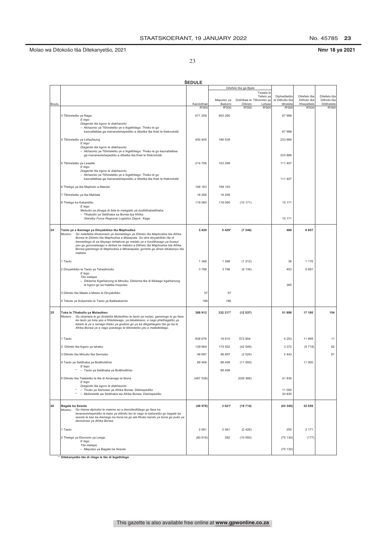No. 45785 23

Nmr 18 ya 2021

23

|       | <b>ŠEDULE</b>                                                                                                                                                      |             |                      |                                                |                            |                           |                           |  |  |
|-------|--------------------------------------------------------------------------------------------------------------------------------------------------------------------|-------------|----------------------|------------------------------------------------|----------------------------|---------------------------|---------------------------|--|--|
|       |                                                                                                                                                                    |             |                      | Ditefelo tša ga Bjale                          |                            |                           |                           |  |  |
|       |                                                                                                                                                                    |             |                      | Tswala le<br>Tefelo ya                         | Diphetišetšo               | Ditefelo tša              | Ditefelo tša              |  |  |
| Boutu |                                                                                                                                                                    | Karolothwii | Meputso ya<br>Bašomi | Didirišwa le Tšhomišo ya<br>Ditirelo<br>Lefase | le Dithušo tša<br>tšhelete | Dithoto tša<br>Khepetlele | Dithoto tša<br>Ditšhelete |  |  |
|       |                                                                                                                                                                    | R'000       | R'000                | R'000<br>R'000                                 | R'000                      | R'000                     | R'000                     |  |  |
|       | 3 Tšhireletšo ya Naga<br>E lego                                                                                                                                    | 671 258     | 603 260              |                                                | 67 998                     |                           |                           |  |  |
|       | Diagente tša kgoro le diakhaonto<br>- Akhaonto ya Tšhireletšo ye e Ikgethilego: Theko le go                                                                        |             |                      |                                                |                            |                           |                           |  |  |
|       | kaonafatšwa ga mananetshepedišo a dibetša tša thwii le theknolotši                                                                                                 |             |                      |                                                | 67 998                     |                           |                           |  |  |
|       | 4 Tšhireletšo ya Lefaufaung                                                                                                                                        | 400 405     | 166 539              |                                                | 233 866                    |                           |                           |  |  |
|       | E lego<br>Diagente tša kgoro le diakhaonto                                                                                                                         |             |                      |                                                |                            |                           |                           |  |  |
|       | - Akhaonto ya Tšhireletšo ye e Ikgethilego: Theko le go kaonafatšwa<br>ga mananeotshepedišo a dibetša tša thwii le theknolotši                                     |             |                      |                                                | 233 866                    |                           |                           |  |  |
|       |                                                                                                                                                                    |             |                      |                                                |                            |                           |                           |  |  |
|       | 5 Tšhireletšo ya Lewatle<br>E lego                                                                                                                                 | 214 706     | 103 299              |                                                | 111 407                    |                           |                           |  |  |
|       | Diagente tša kgoro le diakhaonto<br>- Akhaonto ya Tšhireletšo ye e Ikgethilego: Theko le go                                                                        |             |                      |                                                |                            |                           |                           |  |  |
|       | kaonafatšwa ga mananetshepedišo a dibetša tša thwii le theknolotši                                                                                                 |             |                      |                                                | 111 407                    |                           |                           |  |  |
|       | 6 Thekgo ya tša Maphelo a Masole                                                                                                                                   | 168 163     | 168 163              |                                                |                            |                           |                           |  |  |
|       | 7 Tšhireletšo ya tša Mahlale                                                                                                                                       | 18 25 6     | 18 25 6              |                                                |                            |                           |                           |  |  |
|       | 8 Thekgo ka Kakaretšo                                                                                                                                              | 119 060     | 119 060              | (10171)                                        | 10 171                     |                           |                           |  |  |
|       | E lego<br>Mebušo ya dinaga di šele le mekgatlo ya boditšhabatšhaba                                                                                                 |             |                      |                                                |                            |                           |                           |  |  |
|       | - Tlhabollo ya Setšhaba sa Borwa bja Afrika:<br>Standby Force Regional Logistics Depot: Kago                                                                       |             |                      |                                                | 10 171                     |                           |                           |  |  |
|       |                                                                                                                                                                    |             |                      |                                                |                            |                           |                           |  |  |
| 24    | Taolo ye e Ikemego ya Dinyakišiso tša Maphodisa<br>Morero: Go netefatša tlhokomelo ye ikemetšego ya Ditirelo tša Maphodisa tša Afrika                              | 5 4 2 9     | 5 4 29*              | (7346)                                         | 489                        | 6857                      |                           |  |  |
|       | Borwa le Ditirelo tša Maphodisa a Masepala. Go dira dinyakišišo tše di<br>ikemetšego di sa tšeyego lehlakore go melato ye e bontšhwago ya boseyi                   |             |                      |                                                |                            |                           |                           |  |  |
|       | yeo go gononelwago e dirilwe ke maloko a Ditirelo tša Maphodisa tša Afrika                                                                                         |             |                      |                                                |                            |                           |                           |  |  |
|       | Borwa gammogo le Maphodisa a Mmasepala; gomme go dirwe dikakanyo tša<br>maleba.                                                                                    |             |                      |                                                |                            |                           |                           |  |  |
|       | 1 Taolo                                                                                                                                                            | 1 3 8 8     | 1 3 8 8              | (1212)                                         | 36                         | 1 176                     |                           |  |  |
|       | 2 Dinyakišišo le Taolo ya Tshedimošo                                                                                                                               | 3798        | 3798                 | (6134)                                         | 453                        | 5 681                     |                           |  |  |
|       | E lego<br>Tša malapa                                                                                                                                               |             |                      |                                                |                            |                           |                           |  |  |
|       | - Dikleime Kgahlanong le Mmušo: Dikleime tše di tlišwago kgahlanong                                                                                                |             |                      |                                                |                            |                           |                           |  |  |
|       | le kgoro go ka hwetša moputso                                                                                                                                      |             |                      |                                                | 365                        |                           |                           |  |  |
|       | 3 Ditirelo tša Maele a Molao le Dinyakišišo                                                                                                                        | 57          | 57                   |                                                |                            |                           |                           |  |  |
|       | 4 Tekolo ya Kobamelo le Taolo ya Batšeakarolo                                                                                                                      | 186         | 186                  |                                                |                            |                           |                           |  |  |
| 25    | Toka le Tihabollo ya Molaotheo                                                                                                                                     | 388 912     | 332 217*             | (12537)                                        | 51 898                     | 17 180                    | 154                       |  |  |
|       | Go obamela le go šireletša Molaotheo le taolo ya molao, gammogo le go fana<br>Morero:<br>ka taolo ya toka yeo e fihlelelwago, ya tekatekano, e nago phethagatšo ya |             |                      |                                                |                            |                           |                           |  |  |
|       | lebelo le ye e senago theko ya godimo go ya ka dikgahlegelo tša go ba le                                                                                           |             |                      |                                                |                            |                           |                           |  |  |
|       | Afrika Borwa ye e nago polokego le tšhireletšo yeo e matlafetšego.                                                                                                 |             |                      |                                                |                            |                           |                           |  |  |
|       | 1 Taolo                                                                                                                                                            | 608 676     | 19610                | 572 904                                        | 4 2 5 3                    | 11898                     | 11                        |  |  |
|       | 2 Ditirelo tša Kgoro ya tsheko                                                                                                                                     | 129 669     | 174 502              | (42549)                                        | 3 3 7 2                    | (5718)                    | 62                        |  |  |
|       | 3 Ditirelo tša Mmušo tša Semolao                                                                                                                                   | 48 697      | 48 697               | (2524)                                         | 2 4 4 3                    |                           | 81                        |  |  |
|       | 4 Taolo ya Setšhaba ya Botšhotšhisi                                                                                                                                | 89 40 8     | 89 40 8              | (11000)                                        |                            | 11 000                    |                           |  |  |
|       | E lego<br>$\star$<br>- Taolo ya Setšhaba ya Botšhotšhisi                                                                                                           |             | 89 40 8              |                                                |                            |                           |                           |  |  |
|       | 5 Ditirelo tša Tlaleletšo le tše di Amanago le tšona                                                                                                               | (487538)    |                      | (529 368)                                      | 41 830                     |                           |                           |  |  |
|       | E lego<br>Diagente tša kgoro le diakhaonto                                                                                                                         |             |                      |                                                |                            |                           |                           |  |  |
|       | - Thušo ya Semolao ya Afrika Borwa: Ditshepedišo                                                                                                                   |             |                      |                                                | 11 000                     |                           |                           |  |  |
|       | - Mošireletši wa Setšhaba wa Afrika Borwa: Ditshepedišo                                                                                                            |             |                      |                                                | 30 830                     |                           |                           |  |  |
| 26    | <b>Bagale ba Sesole</b>                                                                                                                                            | (46979)     | 3 0 2 1*             | (18714)                                        | (63345)                    | 32 059                    |                           |  |  |
|       | Morero: Go hlama dipholisi le maemo ao a ikemišeditšego go fana ka<br>lenaneotshepedišo la kabo ya ditirelo leo le nago le kakaretšo go bagale ba                  |             |                      |                                                |                            |                           |                           |  |  |
|       | sesole le bao ba ikemego ka bona ka go ela tlhoko karolo ya bona go pušo ya<br>demokrasi ya Afrika Borwa.                                                          |             |                      |                                                |                            |                           |                           |  |  |
|       |                                                                                                                                                                    |             |                      |                                                |                            | 2 171                     |                           |  |  |
|       | 1 Taolo                                                                                                                                                            | 2 0 6 1     | 2 0 6 1              | (2426)                                         | 255                        |                           |                           |  |  |
|       | 2 Thekgo ya Ekonomi ya Leago<br>E lego                                                                                                                             | (80618)     | 282                  | (10593)                                        | (70130)                    | (177)                     |                           |  |  |
|       | Tša malapa<br>- Meputso ya Bagale ba Sesole                                                                                                                        |             |                      |                                                | (70130)                    |                           |                           |  |  |
|       | * Ditekanyetšo tše di rilego le tše di ikgethilego                                                                                                                 |             |                      |                                                |                            |                           |                           |  |  |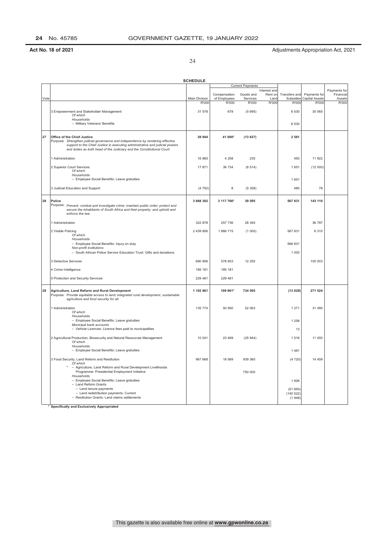24

|      |                                                                                                                                                                                                                                                                          | <b>SCHEDULE</b> |                              |                         |                                 |                                |                                |                                     |
|------|--------------------------------------------------------------------------------------------------------------------------------------------------------------------------------------------------------------------------------------------------------------------------|-----------------|------------------------------|-------------------------|---------------------------------|--------------------------------|--------------------------------|-------------------------------------|
|      |                                                                                                                                                                                                                                                                          |                 |                              | <b>Current Payments</b> |                                 |                                |                                |                                     |
| Vote |                                                                                                                                                                                                                                                                          | Main Division   | Compensation<br>of Employees | Goods and<br>Services   | Interest and<br>Rent on<br>Land | Transfers and<br>Subsidies     | Payments for<br>Capital Assets | Payments for<br>Financial<br>Assets |
|      |                                                                                                                                                                                                                                                                          | R'000           | R'000                        | R'000                   | R'000                           | R'000                          | R'000                          | R'000                               |
|      | 3 Empowerment and Stakeholder Management<br>Of which<br>Households                                                                                                                                                                                                       | 31 578          | 678                          | (5695)                  |                                 | 6 5 30                         | 30 065                         |                                     |
|      | - Military Veterans' Benefits                                                                                                                                                                                                                                            |                 |                              |                         |                                 | 6530                           |                                |                                     |
| 27   | Office of the Chief Justice<br>Purpose: Strengthen judicial governance and independence by rendering effective<br>support to the Chief Justice in executing administrative and judicial powers<br>and duties as both head of the Judiciary and the Constitutional Court. | 29 944          | 41 000*                      | (13637)                 |                                 | 2 5 8 1                        |                                |                                     |
|      | 1 Administration                                                                                                                                                                                                                                                         | 16 865          | 4 2 5 8                      | 235                     |                                 | 450                            | 11 922                         |                                     |
|      | 2 Superior Court Services<br>Of which                                                                                                                                                                                                                                    | 17871           | 36 734                       | (8514)                  |                                 | 1651                           | (12000)                        |                                     |
|      | Households<br>- Employee Social Benefits: Leave gratuities                                                                                                                                                                                                               |                 |                              |                         |                                 | 1651                           |                                |                                     |
|      | 3 Judicial Education and Support                                                                                                                                                                                                                                         | (4792)          | 8                            | (5358)                  |                                 | 480                            | 78                             |                                     |
| 28   | Police                                                                                                                                                                                                                                                                   | 3 868 302       | 3 117 766*                   | 39 595                  |                                 | 567 831                        | 143 110                        |                                     |
|      | Purpose: Prevent, combat and investigate crime; maintain public order; protect and<br>secure the inhabitants of South Africa and their property; and uphold and<br>enforce the law.                                                                                      |                 |                              |                         |                                 |                                |                                |                                     |
|      | 1 Administration                                                                                                                                                                                                                                                         | 322 878         | 257 736                      | 28 345                  |                                 |                                | 36 797                         |                                     |
|      | 2 Visible Policing<br>Of which                                                                                                                                                                                                                                           | 2 439 856       | 1 866 715                    | (1000)                  |                                 | 567 831                        | 6 3 1 0                        |                                     |
|      | Households<br>- Employee Social Benefits: Injury on duty                                                                                                                                                                                                                 |                 |                              |                         |                                 | 566 831                        |                                |                                     |
|      | Non-profit institutions<br>- South African Police Service Education Trust: Gifts and donations                                                                                                                                                                           |                 |                              |                         |                                 | 1 0 0 0                        |                                |                                     |
|      | 3 Detective Services                                                                                                                                                                                                                                                     | 690 906         | 578 653                      | 12 250                  |                                 |                                | 100 003                        |                                     |
|      | 4 Crime Intelligence                                                                                                                                                                                                                                                     | 185 181         | 185 181                      |                         |                                 |                                |                                |                                     |
|      | 5 Protection and Security Services                                                                                                                                                                                                                                       | 229 481         | 229 481                      |                         |                                 |                                |                                |                                     |
| 29   | Agriculture, Land Reform and Rural Development<br>Purpose: Provide equitable access to land, integrated rural development, sustainable<br>agriculture and food security for all.                                                                                         | 1 102 861       | 109 861*                     | 734 505                 |                                 | (13029)                        | 271 524                        |                                     |
|      | 1 Administration<br>Of which                                                                                                                                                                                                                                             | 135 774         | 50 950                       | 52 063                  |                                 | 1 2 7 1                        | 31 490                         |                                     |
|      | Households<br>- Employee Social Benefits: Leave gratuities<br>Municipal bank accounts                                                                                                                                                                                    |                 |                              |                         |                                 | 1 2 5 8                        |                                |                                     |
|      | - Vehicle Licences: Licence fees paid to municipalities                                                                                                                                                                                                                  |                 |                              |                         |                                 | 13                             |                                |                                     |
|      | 2 Agricultural Production, Biosecurity and Natural Resources Management<br>Of which<br>Households                                                                                                                                                                        | 10 041          | 23 4 69                      | (25944)                 |                                 | 1516                           | 11 000                         |                                     |
|      | - Employee Social Benefits: Leave gratuities                                                                                                                                                                                                                             |                 |                              |                         |                                 | 1481                           |                                |                                     |
|      | 3 Food Security, Land Reform and Restitution<br>Of which                                                                                                                                                                                                                 | 967 668         | 18 5 69                      | 939 360                 |                                 | (4720)                         | 14 459                         |                                     |
|      | - Agriculture, Land Reform and Rural Development Livelihoods<br>Programme: Presidential Employment Initiative<br>Households                                                                                                                                              |                 |                              | 750 000                 |                                 |                                |                                |                                     |
|      | - Employee Social Benefits: Leave gratuities<br>- Land Reform Grants                                                                                                                                                                                                     |                 |                              |                         |                                 | 1926                           |                                |                                     |
|      | - Land tenure payments<br>- Land redistribution payments: Current<br>- Restitution Grants: Land claims settlements                                                                                                                                                       |                 |                              |                         |                                 | (51693)<br>(140 522)<br>(1948) |                                |                                     |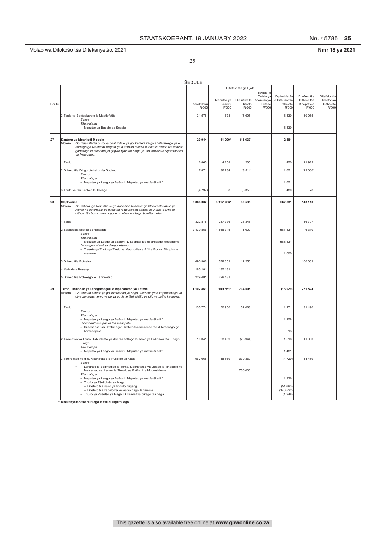No. 45785 25

Nmr 18 ya 2021

25

|       |                                                                                                                                                                                                                                                                                           | ŠEDULE                     |                 |                          |                                                          |                             |                             |
|-------|-------------------------------------------------------------------------------------------------------------------------------------------------------------------------------------------------------------------------------------------------------------------------------------------|----------------------------|-----------------|--------------------------|----------------------------------------------------------|-----------------------------|-----------------------------|
|       |                                                                                                                                                                                                                                                                                           |                            |                 | Ditefelo tša ga Bjale    |                                                          |                             |                             |
|       |                                                                                                                                                                                                                                                                                           |                            | Meputso ya      | Didirišwa le Tšhomišo ya | Tswala le<br>Tefelo ya<br>Diphetišetšo<br>le Dithušo tša | Ditefelo tša<br>Dithoto tša | Ditefelo tša<br>Dithoto tša |
| Boutu |                                                                                                                                                                                                                                                                                           | Karolothwi<br><b>R'000</b> | Bašomi<br>R'000 | Ditirelo<br>R'000        | Lefase<br>tšhelete<br>R'000<br>R'000                     | Khepetlele<br>R'000         | Ditšhelete<br>R'000         |
|       | 3 Taolo ya Batšeakarolo le Maatlafatšo<br>E lego                                                                                                                                                                                                                                          | 31 578                     | 678             | (5695)                   | 6 5 3 0                                                  | 30 065                      |                             |
|       | Tša malapa<br>- Meputso ya Bagale ba Sesole                                                                                                                                                                                                                                               |                            |                 |                          | 6 5 3 0                                                  |                             |                             |
| 27    | Kantoro ya Moahlodi Mogolo<br>Go maatlafatša pušo ya boahlodi le ya go ikemela ka go abela thekgo ye e<br>Morero:<br>šomago go Moahlodi Mogolo ge a šomiša maatla a taolo le molao wa kahlolo<br>gammogo le mešomo ya gagwe bjalo ka hlogo ya tša kahlolo le Kgorotsheko<br>ya Molaotheo. | 29 944                     | 41 000*         | (13637)                  | 2 5 8 1                                                  |                             |                             |
|       | 1 Taolo                                                                                                                                                                                                                                                                                   | 16 865                     | 4 2 5 8         | 235                      | 450                                                      | 11 922                      |                             |
|       | 2 Ditirelo tša Dikgorotsheko tša Godimo<br>E lego<br>Tša malapa                                                                                                                                                                                                                           | 17871                      | 36 734          | (8514)                   | 1651                                                     | (12000)                     |                             |
|       | - Meputso ya Leago ya Bašomi: Meputso ya matšatši a llifi                                                                                                                                                                                                                                 |                            |                 |                          | 1 651                                                    |                             |                             |
|       | 3 Thuto ya tša Kahlolo le Thekgo                                                                                                                                                                                                                                                          | (4792)                     | 8               | (5358)                   | 480                                                      | 78                          |                             |
| 28    | <b>Maphodisa</b><br>Go thibela, go Iwantšha le go nyakišiša bosenyi; go hlokomela tatelo ya<br>Morero:<br>molao ke setšhaba; go šireletša le go boloka badudi ba Afrika Borwa le<br>dithoto tša bona; gammogo le go obamela le go šomiša molao.                                           | 3 868 302                  | 3 117 766*      | 39 595                   | 567 831                                                  | 143 110                     |                             |
|       | 1 Taolo                                                                                                                                                                                                                                                                                   | 322 878                    | 257 736         | 28 345                   |                                                          | 36 797                      |                             |
|       | 2 Sephodisa seo se Bonagalago<br>E lego                                                                                                                                                                                                                                                   | 2 439 856                  | 1866715         | (1000)                   | 567 831                                                  | 6 3 1 0                     |                             |
|       | Tša malapa<br>- Meputso ya Leago ya Bašomi: Dikgobadi tše di diregago Mošomong<br>Dihlongwa tše di sa dirego letseno<br>- Trasete ya Thuto ya Tirelo ya Maphodisa a Afrika Borwa: Dimpho le<br>meneelo                                                                                    |                            |                 |                          | 566 831<br>1 000                                         |                             |                             |
|       | 3 Ditirelo tša Botseka                                                                                                                                                                                                                                                                    | 690 906                    | 578 653         | 12 250                   |                                                          | 100 003                     |                             |
|       | 4 Mahlale a Bosenyi                                                                                                                                                                                                                                                                       | 185 181                    | 185 181         |                          |                                                          |                             |                             |
|       | 5 Ditirelo tša Polokego le Tšhireletšo                                                                                                                                                                                                                                                    | 229 481                    | 229 481         |                          |                                                          |                             |                             |
| 29    | Temo, Tlhabollo ya Dinagamagae le Mpshafatšo ya Lefase<br>Go fana ka kabelo ya go lekalekana ya naga, tlhabollo ye e kopantšwego ya<br>Morero:<br>dinagamagae, temo ya go ya go ile le tšhireletšo ya dijo ya batho ka moka.                                                              | 1 102 861                  | 109 861*        | 734 505                  | (13029)                                                  | 271 524                     |                             |
|       | 1 Taolo<br>E lego<br>Tša malapa                                                                                                                                                                                                                                                           | 135 774                    | 50 950          | 52 063                   | 1 2 7 1                                                  | 31 490                      |                             |
|       | - Meputso ya Leago ya Bašomi: Meputso ya matšatši a Ilifi<br>Diakhaonto tša panka tša masepala<br>- Dilaesense tša Difatanaga: Ditefelo tša laesense tše di lefelwago go                                                                                                                  |                            |                 |                          | 1 2 5 8                                                  |                             |                             |
|       | bomasepala                                                                                                                                                                                                                                                                                |                            |                 |                          | 13                                                       |                             |                             |
|       | 2 Tšweletšo ya Temo, Tšhireletšo ya dilo tša setlogo le Taolo ya Didirišwa tša Tlhago<br>E lego<br>Tša malapa                                                                                                                                                                             | 10 041                     | 23 4 69         | (25944)                  | 1516                                                     | 11 000                      |                             |
|       | - Meputso ya Leago ya Bašomi: Meputso ya matšatši a Ilifi<br>3 Tšhireletšo ya dijo, Mpshafatšo le Pušetšo ya Naga                                                                                                                                                                         | 967 668                    | 18 569          | 939 360                  | 1481<br>(4720)                                           | 14 459                      |                             |
|       | E lego<br>Lenaneo la Boiphedišo la Temo, Mpshafatšo ya Lefase le Tlhabollo ya<br>Metsemagae: Lesolo la Thwalo ya Bašomi la Mopresidente                                                                                                                                                   |                            |                 | 750 000                  |                                                          |                             |                             |
|       | Tša malapa<br>- Meputso ya Leago ya Bašomi: Meputso ya matšatši a Ilifi<br>- Thušo ya Tšošološo ya Naga                                                                                                                                                                                   |                            |                 |                          | 1926                                                     |                             |                             |
|       | - Ditefelo tša nako ya bodulo nageng<br>- Ditefelo tša kabelo ka leswa ya naga: Kharente<br>- Thušo ya Pušetšo ya Naga: Dikleime tša dikago tša naga                                                                                                                                      |                            |                 |                          | (51693)<br>(140522)<br>(1948)                            |                             |                             |

███<br>\* Ditekanyetšo tše di rilego le tše di ikgethilego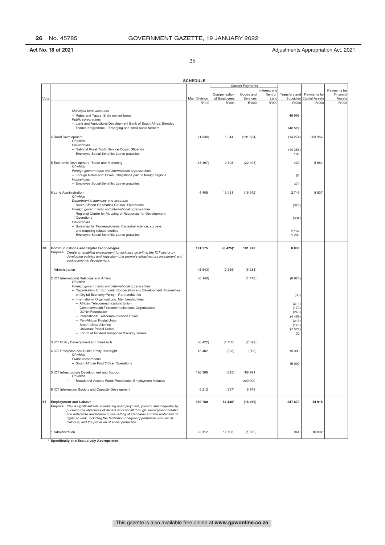26

|      |                                                                                                                                                           | <b>SCHEDULE</b>        |                                         |                   |               |                    |                                |                           |
|------|-----------------------------------------------------------------------------------------------------------------------------------------------------------|------------------------|-----------------------------------------|-------------------|---------------|--------------------|--------------------------------|---------------------------|
|      |                                                                                                                                                           |                        | <b>Current Payments</b><br>Interest and |                   |               |                    |                                |                           |
|      |                                                                                                                                                           |                        | Compensation                            | Goods and         | Rent on       | Transfers and      | Payments for                   | Payments for<br>Financial |
| Vote |                                                                                                                                                           | Main Division<br>R'000 | of Employees<br>R'000                   | Services<br>R'000 | Land<br>R'000 | Subsidies<br>R'000 | <b>Capital Assets</b><br>R'000 | Assets<br>R'000           |
|      | Municipal bank accounts                                                                                                                                   |                        |                                         |                   |               |                    |                                |                           |
|      | - Rates and Taxes: State owned farms                                                                                                                      |                        |                                         |                   |               | 46 995             |                                |                           |
|      | Public corporations<br>- Land and Agricultural Development Bank of South Africa: Blended                                                                  |                        |                                         |                   |               |                    |                                |                           |
|      | finance programme - Emerging and small scale farmers                                                                                                      |                        |                                         |                   |               | 140 522            |                                |                           |
|      | 4 Rural Development                                                                                                                                       | (1530)                 | 1 0 4 4                                 | (191654)          |               | (14274)            | 203 354                        |                           |
|      | Of which<br>Households                                                                                                                                    |                        |                                         |                   |               |                    |                                |                           |
|      | - National Rural Youth Service Corps: Stipends                                                                                                            |                        |                                         |                   |               | (14383)            |                                |                           |
|      | - Employee Social Benefits: Leave gratuities                                                                                                              |                        |                                         |                   |               | 109                |                                |                           |
|      | 5 Economic Development, Trade and Marketing                                                                                                               | (13.497)               | 2798                                    | (22408)           |               | 429                | 5 6 8 4                        |                           |
|      | Of which<br>Foreign governments and international organisations                                                                                           |                        |                                         |                   |               |                    |                                |                           |
|      | - Foreign Rates and Taxes: Obligations paid in foreign regions<br>Households                                                                              |                        |                                         |                   |               | 51                 |                                |                           |
|      | - Employee Social Benefits: Leave gratuities                                                                                                              |                        |                                         |                   |               | 379                |                                |                           |
|      | 6 Land Administration                                                                                                                                     | 4 4 0 5                | 13 0 31                                 | (16912)           |               | 2 7 4 9            | 5 5 3 7                        |                           |
|      | Of which                                                                                                                                                  |                        |                                         |                   |               |                    |                                |                           |
|      | Departmental agencies and accounts<br>- South African Geomatics Council: Operations                                                                       |                        |                                         |                   |               | (378)              |                                |                           |
|      | Foreign governments and international organisations                                                                                                       |                        |                                         |                   |               |                    |                                |                           |
|      | - Regional Centre for Mapping of Resources for Development:<br>Operations                                                                                 |                        |                                         |                   |               | (334)              |                                |                           |
|      | Households                                                                                                                                                |                        |                                         |                   |               |                    |                                |                           |
|      | - Bursaries for Non-employees: Cadastral science, surveys<br>and mapping-related studies                                                                  |                        |                                         |                   |               | 2 1 6 2            |                                |                           |
|      | - Employee Social Benefits: Leave gratuities                                                                                                              |                        |                                         |                   |               | 1 2 9 6            |                                |                           |
|      |                                                                                                                                                           |                        |                                         |                   |               |                    |                                |                           |
| 30   | <b>Communications and Digital Technologies</b><br>Purpose: Create an enabling environment for inclusive growth in the ICT sector by                       | 191 575                | $(8425)^*$                              | 191 970           |               | 8 0 3 0            |                                |                           |
|      | developing policies and legislation that promote infrastructure investment and                                                                            |                        |                                         |                   |               |                    |                                |                           |
|      | socioeconomic development.                                                                                                                                |                        |                                         |                   |               |                    |                                |                           |
|      | 1 Administration                                                                                                                                          | (8843)                 | (2555)                                  | (6288)            |               |                    |                                |                           |
|      | 2 ICT International Relations and Affairs                                                                                                                 | (8140)                 |                                         | (1170)            |               | (6970)             |                                |                           |
|      | Of which<br>Foreign governments and international organisations                                                                                           |                        |                                         |                   |               |                    |                                |                           |
|      | - Organisation for Economic Cooperation and Development: Committee                                                                                        |                        |                                         |                   |               |                    |                                |                           |
|      | on Digital Economy Policy - Partnership fee<br>- International Organisations: Membership fees                                                             |                        |                                         |                   |               | (35)               |                                |                           |
|      | - African Telecommunications Union                                                                                                                        |                        |                                         |                   |               | (211)              |                                |                           |
|      | - Commonwealth Telecommunications Organisation<br>- DONA Foundation                                                                                       |                        |                                         |                   |               | (170)<br>(248)     |                                |                           |
|      | - International Telecommunication Union                                                                                                                   |                        |                                         |                   |               | (4459)             |                                |                           |
|      | - Pan-African Postal Union<br>- Smart Africa Alliance                                                                                                     |                        |                                         |                   |               | (216)              |                                |                           |
|      | - Universal Postal Union                                                                                                                                  |                        |                                         |                   |               | (140)<br>(1521)    |                                |                           |
|      | - Forum of Incident Response Security Teams                                                                                                               |                        |                                         |                   |               | 30                 |                                |                           |
|      | 3 ICT Policy Development and Research                                                                                                                     | (6422)                 | (4100)                                  | (2322)            |               |                    |                                |                           |
|      |                                                                                                                                                           |                        |                                         |                   |               |                    |                                |                           |
|      | 4 ICT Enterprise and Public Entity Oversight<br>Of which                                                                                                  | 13 402                 | (608)                                   | (990)             |               | 15 000             |                                |                           |
|      | Public corporations<br>- South African Post Office: Operations                                                                                            |                        |                                         |                   |               | 15 000             |                                |                           |
|      |                                                                                                                                                           |                        |                                         |                   |               |                    |                                |                           |
|      | 5 ICT Infrastructure Development and Support<br>Of which                                                                                                  | 196 366                | (625)                                   | 196 991           |               |                    |                                |                           |
|      | - Broadband Access Fund: Presidential Employment Initiative                                                                                               |                        |                                         | 200 000           |               |                    |                                |                           |
|      | 6 ICT Information Society and Capacity Development                                                                                                        | 5 2 1 2                | (537)                                   | 5749              |               |                    |                                |                           |
| 31   | <b>Employment and Labour</b>                                                                                                                              | 310 780                | 64 436*                                 | (16450)           |               | 247 879            | 14 915                         |                           |
|      | Purpose: Play a significant role in reducing unemployment, poverty and inequality by                                                                      |                        |                                         |                   |               |                    |                                |                           |
|      | pursuing the objectives of decent work for all through: employment creation<br>and enterprise development; the setting of standards and the protection of |                        |                                         |                   |               |                    |                                |                           |
|      | rights at work, including the facilitation of equal opportunities and social                                                                              |                        |                                         |                   |               |                    |                                |                           |
|      | dialogue; and the provision of social protection.                                                                                                         |                        |                                         |                   |               |                    |                                |                           |
|      | 1 Administration                                                                                                                                          | 22 112                 | 12 108                                  | (1832)            |               | 944                | 10 892                         |                           |
|      |                                                                                                                                                           |                        |                                         |                   |               |                    |                                |                           |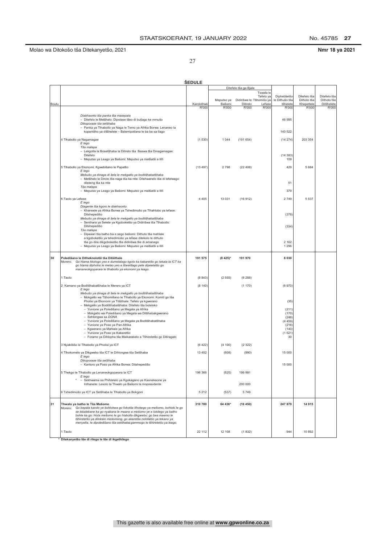No. 45785 27

Nmr 18 ya 2021

27

|       |                                                                                                                                            | <b>SEDULE</b> |                      |                                      |                        |                            |                           |                           |
|-------|--------------------------------------------------------------------------------------------------------------------------------------------|---------------|----------------------|--------------------------------------|------------------------|----------------------------|---------------------------|---------------------------|
|       |                                                                                                                                            |               |                      | Ditefelo tša ga Bjale                |                        |                            |                           |                           |
|       |                                                                                                                                            |               |                      |                                      | Tswala le<br>Tefelo ya | Diphetišetšo               | Ditefelo tša              | Ditefelo tša              |
| Boutu |                                                                                                                                            | Karolothwi    | Meputso ya<br>Bašomi | Didirišwa le Tšhomišo ya<br>Ditirelo | Lefase                 | le Dithušo tša<br>tšhelete | Dithoto tša<br>Khepetlele | Dithoto tša<br>Ditšhelete |
|       |                                                                                                                                            | R'000         | R'000                | R'000                                | R'000                  | R'000                      | R'000                     | R'000                     |
|       | Diakhaonto tša panka tša masepala                                                                                                          |               |                      |                                      |                        |                            |                           |                           |
|       | - Ditefelo le Metšhelo: Dipolase tšeo di bušago ke mmušo                                                                                   |               |                      |                                      |                        | 46 995                     |                           |                           |
|       | Dikoporase tša setšhaba<br>- Panka ya Tihabollo ya Naga le Temo ya Afrika Borwa: Lenaneo la                                                |               |                      |                                      |                        |                            |                           |                           |
|       | kopantšho ya ditšhelete - Balemipotlana le ba ba sa tlago                                                                                  |               |                      |                                      |                        | 140 522                    |                           |                           |
|       |                                                                                                                                            | (1530)        | 1 0 4 4              | (191654)                             |                        | (14274)                    | 203 354                   |                           |
|       | 4 Tlhabollo ya Nagamagae<br>E lego                                                                                                         |               |                      |                                      |                        |                            |                           |                           |
|       | Tša malapa<br>- Lekgotla la Bosetšhaba la Ditirelo tša Baswa tša Dinagamagae:                                                              |               |                      |                                      |                        |                            |                           |                           |
|       | Ditefelo                                                                                                                                   |               |                      |                                      |                        | (14383)                    |                           |                           |
|       | - Meputso ya Leago ya Bašomi: Meputso ya matšatši a Ilifi                                                                                  |               |                      |                                      |                        | 109                        |                           |                           |
|       | 5 Tlhabollo ya Ekonomi, Kgwebišano le Papatšo                                                                                              | (13.497)      | 2798                 | (22408)                              |                        | 429                        | 5 6 8 4                   |                           |
|       | E lego<br>Mebušo ya dinaga di šele le mekgatlo ya boditšhabatšhaba                                                                         |               |                      |                                      |                        |                            |                           |                           |
|       | - Metšhelo le Diroto tša naga tša ka ntle: Ditshwanelo tše di lefelwago                                                                    |               |                      |                                      |                        |                            |                           |                           |
|       | dileteng tša ka ntle                                                                                                                       |               |                      |                                      |                        | 51                         |                           |                           |
|       | Tša malapa<br>- Meputso ya Leago ya Bašomi: Meputso ya matšatši a Ilifi                                                                    |               |                      |                                      |                        | 379                        |                           |                           |
|       |                                                                                                                                            | 4 4 0 5       |                      |                                      |                        |                            |                           |                           |
|       | 6 Taolo ya Lefase<br>E lego                                                                                                                |               | 13 0 31              | (16912)                              |                        | 2749                       | 5 5 3 7                   |                           |
|       | Diagente tša kgoro le diakhaonto                                                                                                           |               |                      |                                      |                        |                            |                           |                           |
|       | - Khansele ya Afrika Borwa ya Tshedimošo ya Tlhahlobo ya lefase:<br>Ditshepedišo                                                           |               |                      |                                      |                        | (378)                      |                           |                           |
|       | Mebušo ya dinaga di šele le mekgatlo ya boditšhabatšhaba                                                                                   |               |                      |                                      |                        |                            |                           |                           |
|       | - Senthara ya Selete ya Kgoboketšo ya Didirišwa tša Tlhabollo:<br>Ditshepedišo                                                             |               |                      |                                      |                        | (334)                      |                           |                           |
|       | Tša malapa                                                                                                                                 |               |                      |                                      |                        |                            |                           |                           |
|       | - Dipasari tša batho ba e sego bašomi: Dithuto tša mahlale<br>a kgoboketšo ya tshedimošo ya lefase ditekolo le dithuto                     |               |                      |                                      |                        |                            |                           |                           |
|       | tša go dira dikgoboketšo tša didirišwa tše di amanago                                                                                      |               |                      |                                      |                        | 2 1 6 2                    |                           |                           |
|       | - Meputso ya Leago ya Bašomi: Meputso ya matšatši a Ilifi                                                                                  |               |                      |                                      |                        | 1 2 9 6                    |                           |                           |
| 30    | Poledišano le Ditheknolotši tša Ditšithale                                                                                                 | 191 575       | $(8425)^*$           | 191 970                              |                        | 8 0 3 0                    |                           |                           |
|       | Go hlama tikologo yeo e dumelalago kgolo ka kakaretšo go lekala la ICT ka<br>Morero:                                                       |               |                      |                                      |                        |                            |                           |                           |
|       | go hlama dipholisi le melao yeo e tšwetšago pele dipeeletšo go<br>mananeokgoparara le tlhabollo ya ekonomi ya leago.                       |               |                      |                                      |                        |                            |                           |                           |
|       |                                                                                                                                            |               |                      |                                      |                        |                            |                           |                           |
|       | 1 Taolo                                                                                                                                    | (8843)        | (2555)               | (6288)                               |                        |                            |                           |                           |
|       | 2 Kamano ya Boditšhabatšhaba le Merero ya ICT                                                                                              | (8140)        |                      | (1170)                               |                        | (6970)                     |                           |                           |
|       | E lego<br>Mebušo ya dinaga di šele le mekgatlo ya boditšhabatšhaba                                                                         |               |                      |                                      |                        |                            |                           |                           |
|       | - Mokgatlo wa Tšhomišano le Tlhabollo ya Ekonomi: Komiti go tša                                                                            |               |                      |                                      |                        |                            |                           |                           |
|       | Pholisi ya Ekonomi ya Titšithale: Tefelo ya kgwerano<br>- Mekgatlo ya Boditšhabatšhaba: Ditefelo tša boleloko                              |               |                      |                                      |                        | (35)                       |                           |                           |
|       | - Yunione ya Poledišano ya Megala ya Afrika                                                                                                |               |                      |                                      |                        | (211)                      |                           |                           |
|       | - Mokgatlo wa Poledišano ya Megala wa Ditšhabakgwerano<br>- Sehlongwa sa DONA                                                              |               |                      |                                      |                        | (170)<br>(248)             |                           |                           |
|       | - Yunione ya Poledišano ya Megala ya Boditšhabatšhaba                                                                                      |               |                      |                                      |                        | (4459)                     |                           |                           |
|       | - Yunione ya Poso ya Pan-Afrika<br>- Kgwerano ya Mahlale ya Afrika                                                                         |               |                      |                                      |                        | (216)                      |                           |                           |
|       | - Yunione ya Poso ya Kakaretšo                                                                                                             |               |                      |                                      |                        | (140)<br>(1521)            |                           |                           |
|       | - Foramo ya Dihlopha tša Maikarabelo a Tšhireletšo go Ditiragalo                                                                           |               |                      |                                      |                        | 30                         |                           |                           |
|       | 3 Nyakišišo le Tlhabollo ya Pholisi ya ICT                                                                                                 | (6422)        | (4 100)              | (2322)                               |                        |                            |                           |                           |
|       | 4 Tlhokomelo ya Dikgwebo tša ICT le Dihlongwa tša Setšhaba                                                                                 | 13 402        | (608)                | (990)                                |                        | 15 000                     |                           |                           |
|       | E lego                                                                                                                                     |               |                      |                                      |                        |                            |                           |                           |
|       | Dikoporase tša setšhaba                                                                                                                    |               |                      |                                      |                        | 15 000                     |                           |                           |
|       | - Kantoro ya Poso ya Afrika Borwa: Ditshepedišo                                                                                            |               |                      |                                      |                        |                            |                           |                           |
|       | 5 Thekgo le Tlhabollo ya Lenaneokgoparara la ICT                                                                                           | 196 366       | (625)                | 196 991                              |                        |                            |                           |                           |
|       | E lego<br>- Sekhwama sa Phihlelelo ya Kgokagano ye Kaonekaone ya                                                                           |               |                      |                                      |                        |                            |                           |                           |
|       | Inthanete: Lesolo la Thwalo ya Bašomi la mopresidente                                                                                      |               |                      | 200 000                              |                        |                            |                           |                           |
|       | 6 Tshedimošo ya ICT ya Setšhaba le Tlhabollo ya Bokgoni                                                                                    | 5 2 1 2       | (537)                | 5749                                 |                        |                            |                           |                           |
| 31    | Thwalo ya batho le Tša Mešomo                                                                                                              | 310 780       | 64 436*              | (16 450)                             |                        | 247 879                    | 14 915                    |                           |
|       | Morero: Go bapala karolo ye bohlokwa go fokotša tlhokego ya mešomo, bohloki le go                                                          |               |                      |                                      |                        |                            |                           |                           |
|       | se lekalekane ka go nyakana le maano a mešomo ye e lokilego ya batho<br>bohle ka go: hlola mešomo le go hlabolla dikgwebo; go bea maemo le |               |                      |                                      |                        |                            |                           |                           |
|       | tšhireletšo ya ditokelo mešomong, go akaretša nolofatšo ya tekano ya                                                                       |               |                      |                                      |                        |                            |                           |                           |
|       | menyetla, le dipoledišano tša setšhaba;gammogo le tšhireletšo ya leago.                                                                    |               |                      |                                      |                        |                            |                           |                           |
|       | 1 Taolo                                                                                                                                    | 22 112        | 12 108               | (1832)                               |                        | 944                        | 10 892                    |                           |
|       |                                                                                                                                            |               |                      |                                      |                        |                            |                           |                           |

\* Ditekanyetšo tše di rilego le tše di ikgethilego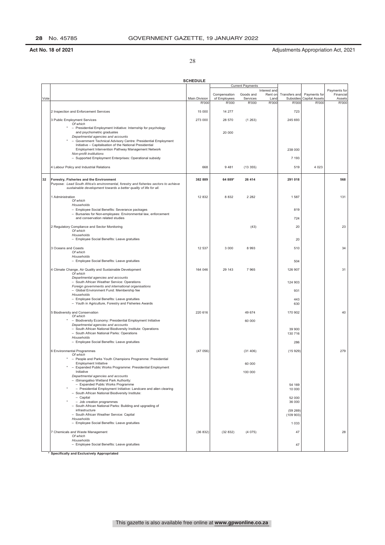28

|      |                                                                                                                                                            | <b>SCHEDULE</b> |              |                         |                         |                   |                       |                           |
|------|------------------------------------------------------------------------------------------------------------------------------------------------------------|-----------------|--------------|-------------------------|-------------------------|-------------------|-----------------------|---------------------------|
|      |                                                                                                                                                            |                 |              | <b>Current Payments</b> |                         |                   |                       |                           |
|      |                                                                                                                                                            |                 | Compensation | Goods and               | Interest and<br>Rent on | Transfers and     | Payments for          | Payments for<br>Financial |
| Vote |                                                                                                                                                            | Main Division   | of Employees | Services                | Land                    | Subsidies         | <b>Capital Assets</b> | Assets                    |
|      |                                                                                                                                                            | R'000           | R'000        | R'000                   | R'000                   | R'000             | R'000                 | R'000                     |
|      | 2 Inspection and Enforcement Services                                                                                                                      | 15 000          | 14 277       |                         |                         | 723               |                       |                           |
|      | 3 Public Employment Services                                                                                                                               | 273 000         | 28 570       | (1263)                  |                         | 245 693           |                       |                           |
|      | Of which                                                                                                                                                   |                 |              |                         |                         |                   |                       |                           |
|      | - Presidential Employment Initiative: Internship for psychology<br>and psychometric graduates                                                              |                 | 20 000       |                         |                         |                   |                       |                           |
|      | Departmental agencies and accounts                                                                                                                         |                 |              |                         |                         |                   |                       |                           |
|      | - Government Technical Advisory Centre: Presidential Employment<br>Initiative - Capitalisation of the National Presidential                                |                 |              |                         |                         |                   |                       |                           |
|      | Employment Intervention Pathway Management Network                                                                                                         |                 |              |                         |                         | 238 000           |                       |                           |
|      | Non-profit institutions<br>- Supported Employment Enterprises: Operational subsidy                                                                         |                 |              |                         |                         | 7 1 9 3           |                       |                           |
|      |                                                                                                                                                            |                 |              |                         |                         |                   |                       |                           |
|      | 4 Labour Policy and Industrial Relations                                                                                                                   | 668             | 9481         | (13355)                 |                         | 519               | 4 0 2 3               |                           |
| 32   | Forestry, Fisheries and the Environment                                                                                                                    | 382 889         | 64 889*      | 26 414                  |                         | 291 018           |                       | 568                       |
|      | Purpose: Lead South Africa's environmental, forestry and fisheries sectors to achieve<br>sustainable development towards a better quality of life for all. |                 |              |                         |                         |                   |                       |                           |
|      |                                                                                                                                                            |                 |              |                         |                         |                   |                       |                           |
|      | 1 Administration<br>Of which                                                                                                                               | 12 832          | 8 8 3 2      | 2 2 8 2                 |                         | 1587              |                       | 131                       |
|      | Households                                                                                                                                                 |                 |              |                         |                         |                   |                       |                           |
|      | - Employee Social Benefits: Severance packages<br>- Bursaries for Non-employees: Environmental law, enforcement                                            |                 |              |                         |                         | 819               |                       |                           |
|      | and conservation related studies                                                                                                                           |                 |              |                         |                         | 724               |                       |                           |
|      | 2 Regulatory Compliance and Sector Monitoring                                                                                                              |                 |              | (43)                    |                         | 20                |                       | 23                        |
|      | Of which                                                                                                                                                   |                 |              |                         |                         |                   |                       |                           |
|      | Households<br>- Employee Social Benefits: Leave gratuities                                                                                                 |                 |              |                         |                         | 20                |                       |                           |
|      |                                                                                                                                                            |                 |              |                         |                         |                   |                       |                           |
|      | 3 Oceans and Coasts<br>Of which                                                                                                                            | 12 537          | 3 0 0 0      | 8993                    |                         | 510               |                       | 34                        |
|      | Households                                                                                                                                                 |                 |              |                         |                         |                   |                       |                           |
|      | - Employee Social Benefits: Leave gratuities                                                                                                               |                 |              |                         |                         | 504               |                       |                           |
|      | 4 Climate Change, Air Quality and Sustainable Development<br>Of which                                                                                      | 164 046         | 29 143       | 7965                    |                         | 126 907           |                       | 31                        |
|      | Departmental agencies and accounts                                                                                                                         |                 |              |                         |                         |                   |                       |                           |
|      | - South African Weather Service: Operations                                                                                                                |                 |              |                         |                         | 124 903           |                       |                           |
|      | Foreign governments and international organisations<br>- Global Environment Fund: Membership fee                                                           |                 |              |                         |                         | 931               |                       |                           |
|      | Households<br>- Employee Social Benefits: Leave gratuities                                                                                                 |                 |              |                         |                         | 443               |                       |                           |
|      | - Youth in Agriculture, Forestry and Fisheries Awards                                                                                                      |                 |              |                         |                         | 630               |                       |                           |
|      | 5 Biodiversity and Conservation                                                                                                                            | 220 616         |              | 49 674                  |                         | 170 902           |                       | 40                        |
|      | Of which<br>- Biodiversity Economy: Presidential Employment Initiative                                                                                     |                 |              | 60 000                  |                         |                   |                       |                           |
|      | Departmental agencies and accounts                                                                                                                         |                 |              |                         |                         |                   |                       |                           |
|      | - South African National Biodiversity Institute: Operations<br>- South African National Parks: Operations                                                  |                 |              |                         |                         | 39 900<br>130 716 |                       |                           |
|      | Households                                                                                                                                                 |                 |              |                         |                         |                   |                       |                           |
|      | - Employee Social Benefits: Leave gratuities                                                                                                               |                 |              |                         |                         | 286               |                       |                           |
|      | 6 Environmental Programmes                                                                                                                                 | (47056)         |              | (31406)                 |                         | (15929)           |                       | 279                       |
|      | Of which<br>- People and Parks Youth Champions Programme: Presidential                                                                                     |                 |              |                         |                         |                   |                       |                           |
|      | <b>Employment Initiative</b>                                                                                                                               |                 |              | 60 000                  |                         |                   |                       |                           |
|      | Expanded Public Works Programme: Presidential Employment<br>Initiative                                                                                     |                 |              | 100 000                 |                         |                   |                       |                           |
|      | Departmental agencies and accounts                                                                                                                         |                 |              |                         |                         |                   |                       |                           |
|      | - iSimangaliso Wetland Park Authority:<br>- Expanded Public Works Programme                                                                                |                 |              |                         |                         | 54 169            |                       |                           |
|      | - Presidential Employment Initiative: Landcare and alien clearing<br>- South African National Biodiversity Institute:                                      |                 |              |                         |                         | 10 000            |                       |                           |
|      | - Capital                                                                                                                                                  |                 |              |                         |                         | 52 000            |                       |                           |
|      | - Job creation programmes<br>- South African National Parks: Building and upgrading of                                                                     |                 |              |                         |                         | 36 000            |                       |                           |
|      | infrastructure                                                                                                                                             |                 |              |                         |                         | (59 269)          |                       |                           |
|      | - South African Weather Service: Capital<br>Households                                                                                                     |                 |              |                         |                         | (109 903)         |                       |                           |
|      | - Employee Social Benefits: Leave gratuities                                                                                                               |                 |              |                         |                         | 1 0 3 3           |                       |                           |
|      | 7 Chemicals and Waste Management                                                                                                                           | (36832)         | (32832)      | (4075)                  |                         | 47                |                       | 28                        |
|      | Of which<br>Households                                                                                                                                     |                 |              |                         |                         |                   |                       |                           |
|      | - Employee Social Benefits: Leave gratuities                                                                                                               |                 |              |                         |                         | 47                |                       |                           |
|      |                                                                                                                                                            |                 |              |                         |                         |                   |                       |                           |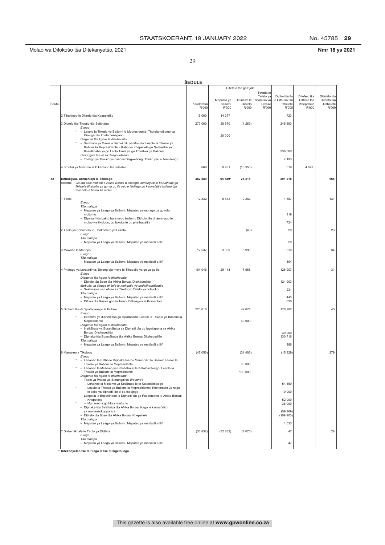No. 45785 29

### 29

|  |  |  | Nmr 18 ya 2021 |
|--|--|--|----------------|
|--|--|--|----------------|

|       |                                                                                                                          | ŠEDULE      |                      |                                      |                        |                            |                           |                           |
|-------|--------------------------------------------------------------------------------------------------------------------------|-------------|----------------------|--------------------------------------|------------------------|----------------------------|---------------------------|---------------------------|
|       |                                                                                                                          |             |                      | Ditefelo tša ga Bjale                |                        |                            |                           |                           |
|       |                                                                                                                          |             |                      |                                      | Tswala le<br>Tefelo ya | Diphetišetšo               | Ditefelo tša              | Ditefelo tša              |
| Boutu |                                                                                                                          | Karolothwii | Meputso ya<br>Bašomi | Didirišwa le Tšhomišo ya<br>Ditirelo | Lefase                 | le Dithušo tša<br>tšhelete | Dithoto tša<br>Khepetlele | Dithoto tša<br>Ditšhelete |
|       |                                                                                                                          | R'000       | R'000                | R'000                                | R'000                  | R'000                      | R'000                     | R'000                     |
|       | 2 Tlhahlobo le Ditirelo tša Kgapeletšo                                                                                   | 15 000      | 14 277               |                                      |                        | 723                        |                           |                           |
|       | 3 Ditirelo tša Thwalo tša Setšhaba<br>E lego                                                                             | 273 000     | 28 570               | (1263)                               |                        | 245 693                    |                           |                           |
|       | * - Lesolo la Thwalo ya Bašomi la Mopresidente: Thutelamošomo ya<br>Dialoga tša Thutamenagano                            |             | 20 000               |                                      |                        |                            |                           |                           |
|       | Diagente tša kgoro le diakhaonto<br>* - Senthara ya Maele a Sethekniki ya Mmušo: Lesolo la Thwalo ya                     |             |                      |                                      |                        |                            |                           |                           |
|       | Bašomi la Mopresidente - Kabo ya Khepetlele go Neteweke ya                                                               |             |                      |                                      |                        |                            |                           |                           |
|       | Bosetšhaba ya go Laola Tsela ya go Thwalwa ga Bašomi<br>Dihlongwa tše di sa dirego letseno                               |             |                      |                                      |                        | 238 000                    |                           |                           |
|       | - Thekgo ya Thwalo ya bašomi Dikgwebong: Thušo yeo e šomišwago                                                           |             |                      |                                      |                        | 7 1 9 3                    |                           |                           |
|       | 4 Pholisi ya Mešomo le Dikamano tša Intasteri                                                                            | 668         | 9481                 | (13355)                              |                        | 519                        | 4 0 2 3                   |                           |
| 32    | Dithokgwa, Boruahlapi le Tikologo<br>Go eta pele makala a Afrika Borwa a tikologo, dithokgwa le boruahlapi go<br>Morero: | 382 889     | 64 889*              | 26 4 14                              |                        | 291 018                    |                           | 568                       |
|       | fihlelela tlhabollo ya go ya go ile yeo e lebilego go kaonafatša boleng bja<br>maphelo a batho ka moka.                  |             |                      |                                      |                        |                            |                           |                           |
|       | 1 Taolo                                                                                                                  | 12 8 32     | 8832                 | 2 2 8 2                              |                        | 1 5 8 7                    |                           | 131                       |
|       | E lego<br>Tša malapa                                                                                                     |             |                      |                                      |                        |                            |                           |                           |
|       | - Meputso ya Leago ya Bašomi: Meputso ya morago ga go rola<br>mošomo                                                     |             |                      |                                      |                        | 819                        |                           |                           |
|       | - Dipasari tša batho ba e sego bašomi: Dithuto tše di amanago le<br>molao wa tikologo, go boloka le go phethagatša       |             |                      |                                      |                        | 724                        |                           |                           |
|       | 2 Taolo ya Kobamelo le Tlhokomelo ya Lekala                                                                              |             |                      | (43)                                 |                        | 20                         |                           | 23                        |
|       | E lego<br>Tša malapa                                                                                                     |             |                      |                                      |                        |                            |                           |                           |
|       | - Meputso ya Leago ya Bašomi: Meputso ya matšatši a Ilifi                                                                |             |                      |                                      |                        | 20                         |                           |                           |
|       | 3 Mawatle le Mabopo<br>E lego                                                                                            | 12 5 37     | 3 0 0 0              | 8993                                 |                        | 510                        |                           | 34                        |
|       | Tša malapa                                                                                                               |             |                      |                                      |                        | 504                        |                           |                           |
|       | - Meputso ya Leago ya Bašomi: Meputso ya matšatši a Ilifi                                                                |             |                      |                                      |                        |                            |                           |                           |
|       | 4 Phetogo ya Leratadima, Boleng bja moya le Tlhabollo ya go ya go ile<br>E lego                                          | 164 046     | 29 143               | 7965                                 |                        | 126 907                    |                           | 31                        |
|       | Diagente tša kgoro le diakhaonto<br>- Ditirelo tša Boso tša Afrika Borwa: Ditshepedišo                                   |             |                      |                                      |                        | 124 903                    |                           |                           |
|       | Mebušo ya dinaga di šele le mekgatlo ya boditšhabatšhaba<br>- Sekhwama sa Lefase sa Tikologo: Tefelo ya boleloko         |             |                      |                                      |                        | 931                        |                           |                           |
|       | Tša malapa<br>- Meputso ya Leago ya Bašomi: Meputso ya matšatši a Ilifi                                                  |             |                      |                                      |                        | 443                        |                           |                           |
|       | - Difoka tša Baswa go tša Temo, Dithokgwa le Boruahlapi                                                                  |             |                      |                                      |                        | 630                        |                           |                           |
|       | 5 Diphedi tše di fapafapanego le Poloko<br>E lego                                                                        | 220 616     |                      | 49 674                               |                        | 170 902                    |                           | 40                        |
|       | - Ekonomi ya diphedi tša go fapafapana: Lesolo la Thwalo ya Bašomi la<br>Mopresidente                                    |             |                      | 60 000                               |                        |                            |                           |                           |
|       | Diagente tša kgoro le diakhaonto<br>- Institšhute ya Bosetšhaba ya Diphedi tša go fapafapana ya Afrika                   |             |                      |                                      |                        |                            |                           |                           |
|       | Borwa: Ditshepedišo<br>- Diphaka tša Bosetšhaba tša Afrika Borwa: Ditshepedišo                                           |             |                      |                                      |                        | 39 900<br>130 716          |                           |                           |
|       | Tša malapa                                                                                                               |             |                      |                                      |                        | 286                        |                           |                           |
|       | - Meputso ya Leago ya Bašomi: Meputso ya matšatši a Ilifi                                                                |             |                      |                                      |                        |                            |                           |                           |
|       | 6 Mananeo a Tikologo<br>E lego                                                                                           | (47056)     |                      | (31406)                              |                        | (15929)                    |                           | 279                       |
|       | - Lenaneo la Batho le Diphaka tša bo Mampodi tša Baswa: Lesolo la<br>Thwalo ya Bašomi la Mopresidente                    |             |                      | 60 000                               |                        |                            |                           |                           |
|       | Lenaneo la Mešomo ya Setšhaba le le Katološitšwego: Lesolo la<br>Thwalo ya Bašomi la Mopresidente                        |             |                      | 100 000                              |                        |                            |                           |                           |
|       | Diagente tša kgoro le diakhaonto<br>- Taolo ya Phaka ya iSimangaliso Wetland:                                            |             |                      |                                      |                        |                            |                           |                           |
|       | - Lenaneo la Mešomo ya Setšhaba le le Katološitšwego<br>- Lesolo la Thwalo ya Bašomi la Mopresidente: Tlhokomelo ya naga |             |                      |                                      |                        | 54 169                     |                           |                           |
|       | le tlošo ya diphedi tše di sa tsebjego<br>- Lekgotla la Bosetšhaba la Diphedi tša go Fapafapana la Afrika Borwa:         |             |                      |                                      |                        | 10 000                     |                           |                           |
|       | - Khepetlele<br>- Mananeo a go hlola mešomo                                                                              |             |                      |                                      |                        | 52 000<br>36 000           |                           |                           |
|       | - Diphaka tša Setšhaba tša Afrika Borwa: Kago le kaonafatšo<br>ya mananeokgoparara                                       |             |                      |                                      |                        | (59 269)                   |                           |                           |
|       | - Ditirelo tša Boso tša Afrika Borwa: Khepetlele                                                                         |             |                      |                                      |                        | (109903)                   |                           |                           |
|       | Tša malapa<br>- Meputso ya Leago ya Bašomi: Meputso ya matšatši a Ilifi                                                  |             |                      |                                      |                        | 1 0 3 3                    |                           |                           |
|       | 7 Dikhemikhale le Taolo ya Ditšhila                                                                                      | (36 832)    | (32832)              | (4075)                               |                        | 47                         |                           | 28                        |
|       | E lego<br>Tša malapa                                                                                                     |             |                      |                                      |                        |                            |                           |                           |
|       | - Meputso ya Leago ya Bašomi: Meputso ya matšatši a Ilifi                                                                |             |                      |                                      |                        | 47                         |                           |                           |

█<br>\* Ditekanyetšo tše di rilego le tše di ikgethilego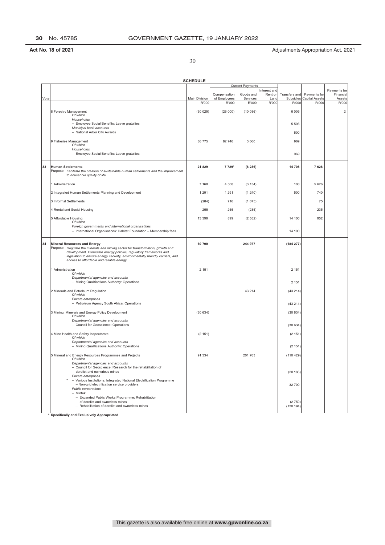30

|      |                                                                                                                                                                                                                                                                                                                           | <b>SCHEDULE</b> |                              |                         |                                 |                            |                                |                                     |
|------|---------------------------------------------------------------------------------------------------------------------------------------------------------------------------------------------------------------------------------------------------------------------------------------------------------------------------|-----------------|------------------------------|-------------------------|---------------------------------|----------------------------|--------------------------------|-------------------------------------|
|      |                                                                                                                                                                                                                                                                                                                           |                 |                              | <b>Current Payments</b> |                                 |                            |                                |                                     |
| Vote |                                                                                                                                                                                                                                                                                                                           | Main Division   | Compensation<br>of Employees | Goods and<br>Services   | Interest and<br>Rent on<br>Land | Transfers and<br>Subsidies | Payments for<br>Capital Assets | Payments for<br>Financial<br>Assets |
|      |                                                                                                                                                                                                                                                                                                                           | R'000           | R'000                        | R'000                   | R'000                           | R'000                      | R'000                          | R'000                               |
|      | 8 Forestry Management<br>Of which                                                                                                                                                                                                                                                                                         | (30029)         | (26000)                      | (10036)                 |                                 | 6 0 0 5                    |                                | $\overline{2}$                      |
|      | Households<br>- Employee Social Benefits: Leave gratuities<br>Municipal bank accounts                                                                                                                                                                                                                                     |                 |                              |                         |                                 | 5 5 0 5                    |                                |                                     |
|      | - National Arbor City Awards                                                                                                                                                                                                                                                                                              |                 |                              |                         |                                 | 500                        |                                |                                     |
|      | 9 Fisheries Management<br>Of which<br>Households                                                                                                                                                                                                                                                                          | 86 775          | 82 746                       | 3 0 6 0                 |                                 | 969                        |                                |                                     |
|      | - Employee Social Benefits: Leave gratuities                                                                                                                                                                                                                                                                              |                 |                              |                         |                                 | 969                        |                                |                                     |
| 33   | <b>Human Settlements</b><br>Purpose: Facilitate the creation of sustainable human settlements and the improvement<br>to household quality of life.                                                                                                                                                                        | 21 8 29         | 7 729*                       | (8236)                  |                                 | 14 708                     | 7628                           |                                     |
|      | 1 Administration                                                                                                                                                                                                                                                                                                          | 7 1 6 8         | 4 5 6 8                      | (3 134)                 |                                 | 108                        | 5 6 2 6                        |                                     |
|      | 2 Integrated Human Settlements Planning and Development                                                                                                                                                                                                                                                                   | 1 2 9 1         | 1 2 9 1                      | (1240)                  |                                 | 500                        | 740                            |                                     |
|      | 3 Informal Settlements                                                                                                                                                                                                                                                                                                    | (284)           | 716                          | (1075)                  |                                 |                            | 75                             |                                     |
|      | 4 Rental and Social Housing                                                                                                                                                                                                                                                                                               | 255             | 255                          | (235)                   |                                 |                            | 235                            |                                     |
|      | 5 Affordable Housing<br>Of which                                                                                                                                                                                                                                                                                          | 13 399          | 899                          | (2552)                  |                                 | 14 100                     | 952                            |                                     |
|      | Foreign governments and international organisations<br>- International Organisations: Habitat Foundation - Membership fees                                                                                                                                                                                                |                 |                              |                         |                                 | 14 100                     |                                |                                     |
| 34   | <b>Mineral Resources and Energy</b><br>Purpose: Regulate the minerals and mining sector for transformation, growth and<br>development. Formulate energy policies, regulatory frameworks and<br>legislation to ensure energy security, environmentally friendly carriers, and<br>access to affordable and reliable energy. | 60 700          |                              | 244 977                 |                                 | (184 277)                  |                                |                                     |
|      | 1 Administration<br>Of which                                                                                                                                                                                                                                                                                              | 2 1 5 1         |                              |                         |                                 | 2 1 5 1                    |                                |                                     |
|      | Departmental agencies and accounts<br>- Mining Qualifications Authority: Operations                                                                                                                                                                                                                                       |                 |                              |                         |                                 | 2 1 5 1                    |                                |                                     |
|      | 2 Minerals and Petroleum Regulation<br>Of which                                                                                                                                                                                                                                                                           |                 |                              | 43 214                  |                                 | (43 214)                   |                                |                                     |
|      | Private enterprises<br>- Petroleum Agency South Africa: Operations                                                                                                                                                                                                                                                        |                 |                              |                         |                                 | (43 214)                   |                                |                                     |
|      | 3 Mining, Minerals and Energy Policy Development<br>Of which                                                                                                                                                                                                                                                              | (30634)         |                              |                         |                                 | (30634)                    |                                |                                     |
|      | Departmental agencies and accounts<br>- Council for Geoscience: Operations                                                                                                                                                                                                                                                |                 |                              |                         |                                 | (30634)                    |                                |                                     |
|      | 4 Mine Health and Safety Inspectorate<br>Of which                                                                                                                                                                                                                                                                         | (2151)          |                              |                         |                                 | (2 151)                    |                                |                                     |
|      | Departmental agencies and accounts<br>- Mining Qualifications Authority: Operations                                                                                                                                                                                                                                       |                 |                              |                         |                                 | (2 151)                    |                                |                                     |
|      | 5 Mineral and Energy Resources Programmes and Projects<br>Of which<br>Departmental agencies and accounts                                                                                                                                                                                                                  | 91 334          |                              | 201 763                 |                                 | (110 429)                  |                                |                                     |
|      | - Council for Geoscience: Research for the rehabilitation of<br>derelict and ownerless mines<br>Private enterprises                                                                                                                                                                                                       |                 |                              |                         |                                 | (20185)                    |                                |                                     |
|      | Various Institutions: Integrated National Electrification Programme<br>- Non-grid electrification service providers<br>Public corporations<br>- Mintek                                                                                                                                                                    |                 |                              |                         |                                 | 32 700                     |                                |                                     |
|      | Expanded Public Works Programme: Rehabilitation<br>of derelict and ownerless mines<br>- Rehabilitation of derelict and ownerless mines                                                                                                                                                                                    |                 |                              |                         |                                 | (2750)<br>(120 194)        |                                |                                     |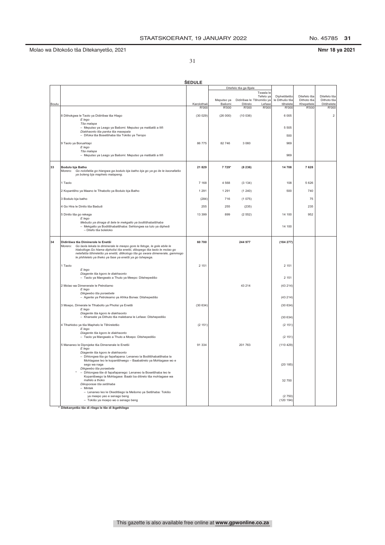### Molao wa Ditokošo tša Ditekanyetšo, 2021 **Nmr 18 ya 2021**

31

|       | <b>ŠEDULE</b>                                                                                                                                             |            |            |                          |           |                                |              |                         |  |  |
|-------|-----------------------------------------------------------------------------------------------------------------------------------------------------------|------------|------------|--------------------------|-----------|--------------------------------|--------------|-------------------------|--|--|
|       |                                                                                                                                                           |            |            | Ditefelo tša ga Bjale    |           |                                |              |                         |  |  |
|       |                                                                                                                                                           |            |            |                          | Tswala le |                                | Ditefelo tša | Ditefelo tša            |  |  |
|       |                                                                                                                                                           |            | Meputso ya | Didirišwa le Tšhomišo ya | Tefelo ya | Diphetišetšo<br>le Dithušo tša | Dithoto tša  | Dithoto tša             |  |  |
| Boutu |                                                                                                                                                           | Karolothwi | Bašomi     | Ditirelo                 | Lefase    | tšhelete                       | Khepetlele   | Ditšhelete              |  |  |
|       |                                                                                                                                                           | R'000      | R'000      | R'000                    | R'000     | R'000                          | R'000        | R'000                   |  |  |
|       | 8 Dithokgwa le Taolo ya Didirišwa tša Hlago                                                                                                               | (30029)    | (26000)    | (10036)                  |           | 6 0 0 5                        |              | $\overline{\mathbf{c}}$ |  |  |
|       | E lego<br>Tša malapa                                                                                                                                      |            |            |                          |           |                                |              |                         |  |  |
|       | - Meputso ya Leago ya Bašomi: Meputso ya matšatši a llifi                                                                                                 |            |            |                          |           | 5 5 0 5                        |              |                         |  |  |
|       | Diakhaonto tša panka tša masepala<br>- Difoka tša Bosetšhaba tša Tokišo ya Teropo                                                                         |            |            |                          |           | 500                            |              |                         |  |  |
|       |                                                                                                                                                           |            |            |                          |           |                                |              |                         |  |  |
|       | 9 Taolo ya Boruahlapi                                                                                                                                     | 86 775     | 82746      | 3 0 6 0                  |           | 969                            |              |                         |  |  |
|       | E lego<br>Tša malapa                                                                                                                                      |            |            |                          |           |                                |              |                         |  |  |
|       | - Meputso ya Leago ya Bašomi: Meputso ya matšatši a Ilifi                                                                                                 |            |            |                          |           | 969                            |              |                         |  |  |
|       |                                                                                                                                                           |            |            |                          |           |                                |              |                         |  |  |
| 33    | Bodulo bja Batho                                                                                                                                          | 21 8 29    | 7 7 2 9*   | (8236)                   |           | 14 708                         | 7628         |                         |  |  |
|       | Morero: Go nolofatša go hlangwa ga bodulo bja batho bja go ya go ile le kaonafatšo<br>ya boleng bja maphelo malapeng.                                     |            |            |                          |           |                                |              |                         |  |  |
|       |                                                                                                                                                           |            |            |                          |           |                                |              |                         |  |  |
|       | 1 Taolo                                                                                                                                                   | 7 1 6 8    | 4568       | (3 134)                  |           | 108                            | 5 6 2 6      |                         |  |  |
|       | 2 Kopantšho ya Maano le Tlhabollo ya Bodulo bja Batho                                                                                                     | 1 2 9 1    | 1 2 9 1    | (1240)                   |           | 500                            | 740          |                         |  |  |
|       | 3 Bodulo bja batho                                                                                                                                        | (284)      | 716        | (1075)                   |           |                                | 75           |                         |  |  |
|       |                                                                                                                                                           |            |            |                          |           |                                |              |                         |  |  |
|       | 4 Go Hira le Dintlo tša Badudi                                                                                                                            | 255        | 255        | (235)                    |           |                                | 235          |                         |  |  |
|       | 5 Dintlo tša go rekega<br>E lego                                                                                                                          | 13 399     | 899        | (2552)                   |           | 14 100                         | 952          |                         |  |  |
|       | Mebušo ya dinaga di šele le mekgatlo ya boditšhabatšhaba                                                                                                  |            |            |                          |           |                                |              |                         |  |  |
|       | - Mekgatlo ya Boditšhabatšhaba: Sehlongwa sa tulo ya diphedi<br>- Ditefo tša boleloko                                                                     |            |            |                          |           | 14 100                         |              |                         |  |  |
|       |                                                                                                                                                           |            |            |                          |           |                                |              |                         |  |  |
| 34    | Didirišwa tša Diminerale le Enetši                                                                                                                        | 60 700     |            | 244 977                  |           | (184 277)                      |              |                         |  |  |
|       | Morero: Go laola lekala la diminerale le meepo gore le fetoge, le gole ebile le                                                                           |            |            |                          |           |                                |              |                         |  |  |
|       | hlabolloge. Go hlama dipholisi tša enetši, dibopego tša taolo le molao go<br>netefatša tšhireletšo ya enetši, ditikologo tša go swara dimenerale, gammogo |            |            |                          |           |                                |              |                         |  |  |
|       | le phihlelelo ya theko ya fase ya enetši ya go tshepega.                                                                                                  |            |            |                          |           |                                |              |                         |  |  |
|       | 1 Taolo                                                                                                                                                   | 2 1 5 1    |            |                          |           | 2 1 5 1                        |              |                         |  |  |
|       | E lego                                                                                                                                                    |            |            |                          |           |                                |              |                         |  |  |
|       | Diagente tša kgoro le diakhaonto                                                                                                                          |            |            |                          |           |                                |              |                         |  |  |
|       | - Taolo ya Mangwalo a Thuto ya Meepo: Ditshepedišo                                                                                                        |            |            |                          |           | 2 1 5 1                        |              |                         |  |  |
|       | 2 Molao wa Dimenerale le Petroliamo                                                                                                                       |            |            | 43 214                   |           | (43, 214)                      |              |                         |  |  |
|       | E lego<br>Dikawebo tša poraebete                                                                                                                          |            |            |                          |           |                                |              |                         |  |  |
|       | - Agente ya Petroleamo ya Afrika Borwa: Ditshepedišo                                                                                                      |            |            |                          |           | (43 214)                       |              |                         |  |  |
|       | 3 Moepo, Dimerale le Tlhabollo ya Pholisi ya Enetši                                                                                                       | (30634)    |            |                          |           | (30634)                        |              |                         |  |  |
|       | E lego                                                                                                                                                    |            |            |                          |           |                                |              |                         |  |  |
|       | Diagente tša kgoro le diakhaonto<br>- Khansele ya Dithuto tša malebana le Lefase: Ditshepedišo                                                            |            |            |                          |           | (30634)                        |              |                         |  |  |
|       |                                                                                                                                                           |            |            |                          |           |                                |              |                         |  |  |
|       | 4 Tlhahlobo ya tša Maphelo le Tšhireletšo<br>E lego                                                                                                       | (2 151)    |            |                          |           | (2 151)                        |              |                         |  |  |
|       | Diagente tša kgoro le diakhaonto                                                                                                                          |            |            |                          |           |                                |              |                         |  |  |
|       | - Taolo ya Mangwalo a Thuto a Moepo: Ditshepedišo                                                                                                         |            |            |                          |           | (2151)                         |              |                         |  |  |
|       | 5 Mananeo le Diprojeke tša Dimenerale le Enetši                                                                                                           | 91 334     |            | 201763                   |           | (110 429)                      |              |                         |  |  |
|       | E lego<br>Diagente tša kgoro le diakhaonto                                                                                                                |            |            |                          |           |                                |              |                         |  |  |
|       | - Dihlongwa tša go fapafapana: Lenaneo la Boditšhabatšhaba la                                                                                             |            |            |                          |           |                                |              |                         |  |  |
|       | Mohlagase leo le kopantšhwego - Baabatirelo ya Mohlagase wo e                                                                                             |            |            |                          |           |                                |              |                         |  |  |
|       | sego wa naga<br>Dikgwebo tša poraebete                                                                                                                    |            |            |                          |           | (20185)                        |              |                         |  |  |
|       | Dihlongwa tše di fapafapanego: Lenaneo la Bosetšhaba leo le                                                                                               |            |            |                          |           |                                |              |                         |  |  |
|       | Kopantšwego la Mohlagase: Baabi ba ditirelo tša mohlagase wa<br>mafelo a thoko                                                                            |            |            |                          |           | 32 700                         |              |                         |  |  |
|       | Dikoporase tša setšhaba                                                                                                                                   |            |            |                          |           |                                |              |                         |  |  |
|       | - Mintek<br>- Lenaneo leo le Okeditšego la Mešomo ya Setšhaba: Tokišo                                                                                     |            |            |                          |           |                                |              |                         |  |  |
|       | ya meepo yeo e senago beng                                                                                                                                |            |            |                          |           | (2750)                         |              |                         |  |  |
|       | - Tokišo ya moepo wo o senago beng                                                                                                                        |            |            |                          |           | (120 194)                      |              |                         |  |  |
|       |                                                                                                                                                           |            |            |                          |           |                                |              |                         |  |  |

**\*** Ditekanyetšo tše di rilego le tše di ikgethilego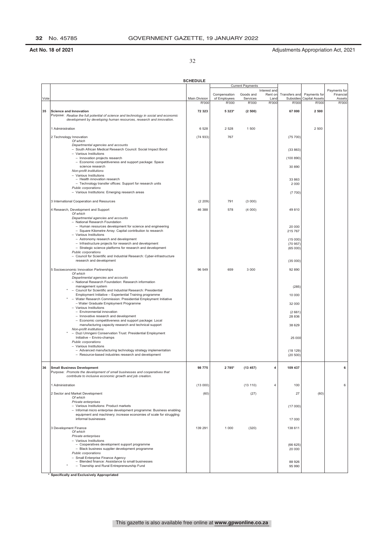32

|      |                                                                                                                                         | <b>SCHEDULE</b>        |                       |                         |                |                    |                                |                        |
|------|-----------------------------------------------------------------------------------------------------------------------------------------|------------------------|-----------------------|-------------------------|----------------|--------------------|--------------------------------|------------------------|
|      |                                                                                                                                         |                        |                       | <b>Current Payments</b> | Interest and   |                    |                                | Payments for           |
|      |                                                                                                                                         |                        | Compensation          | Goods and               | Rent on        | Transfers and      | Payments for                   | Financial              |
| Vote |                                                                                                                                         | Main Division<br>R'000 | of Employees<br>R'000 | Services<br>R'000       | Land<br>R'000  | Subsidies<br>R'000 | <b>Capital Assets</b><br>R'000 | Assets<br><b>R'000</b> |
|      |                                                                                                                                         |                        |                       |                         |                |                    |                                |                        |
| 35   | <b>Science and Innovation</b><br>Purpose: Realise the full potential of science and technology in social and economic                   | 72 323                 | 5 323*                | (2500)                  |                | 67 000             | 2 500                          |                        |
|      | development by developing human resources, research and innovation.                                                                     |                        |                       |                         |                |                    |                                |                        |
|      | 1 Administration                                                                                                                        | 6 5 28                 | 2 5 2 8               | 1 500                   |                |                    | 2 500                          |                        |
|      | 2 Technology Innovation                                                                                                                 | (74933)                | 767                   |                         |                | (75 700)           |                                |                        |
|      | Of which<br>Departmental agencies and accounts                                                                                          |                        |                       |                         |                |                    |                                |                        |
|      | - South African Medical Research Council: Social Impact Bond                                                                            |                        |                       |                         |                | (33863)            |                                |                        |
|      | - Various Institutions<br>- Innovation projects research                                                                                |                        |                       |                         |                | (100 890)          |                                |                        |
|      | - Economic competitiveness and support package: Space                                                                                   |                        |                       |                         |                |                    |                                |                        |
|      | science research<br>Non-profit institutions                                                                                             |                        |                       |                         |                | 30 890             |                                |                        |
|      | - Various Institutions                                                                                                                  |                        |                       |                         |                |                    |                                |                        |
|      | - Health innovation research<br>- Technology transfer offices: Support for research units                                               |                        |                       |                         |                | 33 863<br>2 0 0 0  |                                |                        |
|      | Public corporations                                                                                                                     |                        |                       |                         |                |                    |                                |                        |
|      | - Various Institutions: Emerging research areas                                                                                         |                        |                       |                         |                | (7700)             |                                |                        |
|      | 3 International Cooperation and Resources                                                                                               | (2 209)                | 791                   | (3000)                  |                |                    |                                |                        |
|      | 4 Research, Development and Support                                                                                                     | 46 388                 | 578                   | (4000)                  |                | 49 810             |                                |                        |
|      | Of which<br>Departmental agencies and accounts                                                                                          |                        |                       |                         |                |                    |                                |                        |
|      | - National Research Foundation                                                                                                          |                        |                       |                         |                |                    |                                |                        |
|      | - Human resources development for science and engineering<br>- Square Kilometre Array: Capital contribution to research                 |                        |                       |                         |                | 20 000<br>215 767  |                                |                        |
|      | - Various Institutions                                                                                                                  |                        |                       |                         |                |                    |                                |                        |
|      | - Astronomy research and development<br>- Infrastructure projects for research and development                                          |                        |                       |                         |                | (15000)<br>(70957) |                                |                        |
|      | - Strategic science platforms for research and development                                                                              |                        |                       |                         |                | (65000)            |                                |                        |
|      | Public corporations<br>- Council for Scientific and Industrial Research: Cyber-infrastructure                                           |                        |                       |                         |                |                    |                                |                        |
|      | research and development                                                                                                                |                        |                       |                         |                | (35000)            |                                |                        |
|      | 5 Socioeconomic Innovation Partnerships                                                                                                 | 96 549                 | 659                   | 3 0 0 0                 |                | 92 890             |                                |                        |
|      | Of which<br>Departmental agencies and accounts                                                                                          |                        |                       |                         |                |                    |                                |                        |
|      | - National Research Foundation: Research information                                                                                    |                        |                       |                         |                |                    |                                |                        |
|      | management system<br>- Council for Scientific and Industrial Research: Presidential                                                     |                        |                       |                         |                | (285)              |                                |                        |
|      | Employment Initiative - Experiential Training programme<br>- Water Research Commission: Presidential Employment Initiative              |                        |                       |                         |                | 10 000             |                                |                        |
|      | - Water Graduate Employment Programme                                                                                                   |                        |                       |                         |                | 32 000             |                                |                        |
|      | - Various Institutions<br>- Environmental innovation                                                                                    |                        |                       |                         |                | (2661)             |                                |                        |
|      | - Innovative research and development                                                                                                   |                        |                       |                         |                | 28 8 36            |                                |                        |
|      | - Economic competitiveness and support package: Local<br>manufacturing capacity research and technical support                          |                        |                       |                         |                | 38 629             |                                |                        |
|      | Non-profit institutions<br>- Duzi Umngeni Conservation Trust: Presidential Employment                                                   |                        |                       |                         |                |                    |                                |                        |
|      | Initiative - Enviro-champs                                                                                                              |                        |                       |                         |                | 25 000             |                                |                        |
|      | Public corporations<br>- Various Institutions                                                                                           |                        |                       |                         |                |                    |                                |                        |
|      | - Advanced manufacturing technology strategy implementation                                                                             |                        |                       |                         |                | (18 129)           |                                |                        |
|      | - Resource-based industries research and development                                                                                    |                        |                       |                         |                | (20 500)           |                                |                        |
|      | <b>Small Business Development</b>                                                                                                       | 98 775                 | 2 785'                | (13.457)                |                | 109 43             |                                |                        |
|      | Purpose: Promote the development of small businesses and cooperatives that<br>contribute to inclusive economic growth and job creation. |                        |                       |                         |                |                    |                                |                        |
|      |                                                                                                                                         |                        |                       |                         |                |                    |                                |                        |
|      | 1 Administration                                                                                                                        | (13000)                |                       | (13110)                 | $\overline{4}$ | 100                |                                | 6                      |
|      | 2 Sector and Market Development<br>Of which                                                                                             | (60)                   |                       | (27)                    |                | 27                 | (60)                           |                        |
|      | Private enterprises                                                                                                                     |                        |                       |                         |                |                    |                                |                        |
|      | - Various Institutions: Product markets<br>- Informal micro enterprise development programme: Business enabling                         |                        |                       |                         |                | (17000)            |                                |                        |
|      | equipment and machinery; increase economies of scale for struggling                                                                     |                        |                       |                         |                |                    |                                |                        |
|      | informal businesses                                                                                                                     |                        |                       |                         |                | 17 000             |                                |                        |
|      | 3 Development Finance<br>Of which                                                                                                       | 139 291                | 1 0 0 0               | (320)                   |                | 138 611            |                                |                        |
|      | Private enterprises                                                                                                                     |                        |                       |                         |                |                    |                                |                        |
|      | - Various Institutions<br>- Cooperatives development support programme                                                                  |                        |                       |                         |                | (66625)            |                                |                        |
|      | - Black business supplier development programme                                                                                         |                        |                       |                         |                | 20 000             |                                |                        |
|      | Public corporations<br>- Small Enterprise Finance Agency                                                                                |                        |                       |                         |                |                    |                                |                        |
|      | - Blended finance: Assistance to small businesses                                                                                       |                        |                       |                         |                | 88 926             |                                |                        |
|      | - Township and Rural Entrepreneurship Fund                                                                                              |                        |                       |                         |                | 95 990             |                                |                        |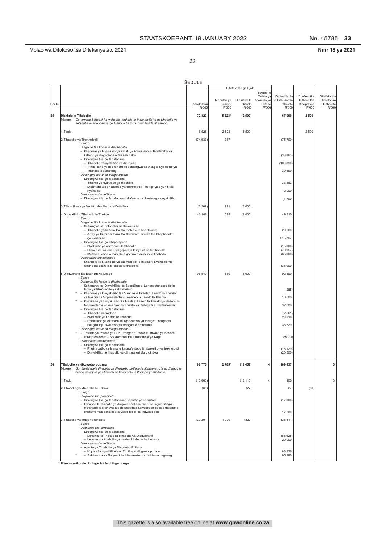No. 45785 33

Nmr 18 ya 2021

33

|       |                                                                                                                                                                                           | <b>SEDULE</b> |                      |                                      |                        |                            |                           |                           |
|-------|-------------------------------------------------------------------------------------------------------------------------------------------------------------------------------------------|---------------|----------------------|--------------------------------------|------------------------|----------------------------|---------------------------|---------------------------|
|       |                                                                                                                                                                                           |               |                      | Ditefelo tša ga Bjale                |                        |                            |                           |                           |
|       |                                                                                                                                                                                           |               |                      |                                      | Tswala le<br>Tefelo ya | Diphetišetšo               | Ditefelo tša              | Ditefelo tša              |
| Boutu |                                                                                                                                                                                           | Karolothwii   | Meputso ya<br>Bašomi | Didirišwa le Tšhomišo ya<br>Ditirelo | Lefase                 | le Dithušo tša<br>tšhelete | Dithoto tša<br>Khepetlele | Dithoto tša<br>Ditšhelete |
|       |                                                                                                                                                                                           | R'000         | R'000                | R'000                                | R'000                  | R'000                      | R'000                     | R'000                     |
| 35    | Mahlale le Tihabollo<br>Go lemoga bokgoni ka moka bja mahlale le theknolotši ka go tlhabollo ya<br>Morero:<br>setšhaba le ekonomi ka go hlabolla bašomi, didirišwa le tlhamego.           | 72 323        | 5 3 2 3*             | (2500)                               |                        | 67 000                     | 2 500                     |                           |
|       | 1 Taolo                                                                                                                                                                                   | 6528          | 2528                 | 1500                                 |                        |                            | 2 500                     |                           |
|       | 2 Tlhabollo ya Theknolotši<br>E lego<br>Diagente tša kgoro le diakhaonto                                                                                                                  | (74933)       | 767                  |                                      |                        | (75 700)                   |                           |                           |
|       | - Khansele ya Nyakišišo ya Kalafi ya Afrika Borwa: Konteraka ya<br>katlego ya dikgahlegelo tša setšhaba<br>- Dihlongwa tša go fapafapana                                                  |               |                      |                                      |                        | (33863)                    |                           |                           |
|       | - Tlhabollo ya nyakišišo ya diprojeke<br>Phadišano ya di ekonomi le sehlongwa sa thekgo: Nyakišišo ya<br>$\overline{\phantom{0}}$                                                         |               |                      |                                      |                        | (100 890)                  |                           |                           |
|       | mahlale a sebakeng<br>Dihlongwa tše di sa dirego letseno<br>- Dihlongwa tša go fapafapana                                                                                                 |               |                      |                                      |                        | 30 890                     |                           |                           |
|       | - Tlhamo ya nyakišišo ya maphelo<br>- Dikantoro tša phetišetšo ya theknolotši: Thekgo ya diyuniti tša                                                                                     |               |                      |                                      |                        | 33 863                     |                           |                           |
|       | nyakišišo<br>Dikoporase tša setšhaba                                                                                                                                                      |               |                      |                                      |                        | 2 0 0 0                    |                           |                           |
|       | - Dihlongwa tša go fapafapana: Mafelo ao a tšwelelago a nyakišišo                                                                                                                         |               |                      |                                      |                        | (7700)                     |                           |                           |
|       | 3 Tšhomišano ya Boditšhabatšhaba le Didirišwa                                                                                                                                             | (2 209)       | 791                  | (3000)                               |                        |                            |                           |                           |
|       | 4 Dinyakišišo, Tlhabollo le Thekgo<br>E lego<br>Diagente tša kgoro le diakhaonto                                                                                                          | 46 388        | 578                  | (4000)                               |                        | 49 810                     |                           |                           |
|       | - Sehlongwa sa Setšhaba sa Dinyakišišo<br>- Tlhabollo ya bašomi ba tša mahlale le boentšinere                                                                                             |               |                      |                                      |                        | 20 000                     |                           |                           |
|       | - Array ya Dikhilomithara tša Sekwere: Ditseka tša khephetlele<br>go nyakišišo                                                                                                            |               |                      |                                      |                        | 215 767                    |                           |                           |
|       | - Dihlongwa tša go difapafapana<br>- Nyakišišo ya Astronomi le tlhabollo                                                                                                                  |               |                      |                                      |                        | (15000)                    |                           |                           |
|       | - Diprojeke tša lenaneokgoparara la nyakišišo le tlhabollo<br>- Mafelo a leano a mahlale a go dira nyakišišo le tlhabollo                                                                 |               |                      |                                      |                        | (70 957)<br>(65000)        |                           |                           |
|       | Dikoporase tša setšhaba<br>- Khansele ya Nyakišišo ya tša Mahlale le Intasteri: Nyakišišo ya<br>lenaneokgoparara la saeba le tihabollo                                                    |               |                      |                                      |                        | (35000)                    |                           |                           |
|       | 5 Dikgwerano tša Ekonomi ya Leago                                                                                                                                                         | 96 549        | 659                  | 3 0 0 0                              |                        | 92 890                     |                           |                           |
|       | E lego<br>Diagente tša kgoro le diakhaonto<br>- Sehlongwa sa Dinyakišišo sa Bosetšhaba: Lenaneotshepedišo la                                                                              |               |                      |                                      |                        |                            |                           |                           |
|       | taolo ya tshedimošo ya dinyakišišo<br>- Khansele ya Dinyakišišo tša Saense le Intasteri: Lesolo la Thwalo                                                                                 |               |                      |                                      |                        | (285)                      |                           |                           |
|       | ya Bašomi la Mopresidente - Lenaneo la Tekolo la Tlhahlo<br>- Komišene ya Dinyakišišo tša Meetse: Lesolo la Thwalo ya Bašomi la                                                           |               |                      |                                      |                        | 10 000                     |                           |                           |
|       | Mopresidente - Lenanaeo la Thwalo ya Dialoga tša Thutameetse<br>- Dihlongwa tša go fapafapana                                                                                             |               |                      |                                      |                        | 32 000                     |                           |                           |
|       | - Tlhabollo ya tikologo<br>- Nyakišišo ya tlhamo le tlhabollo<br>- Phadišano ya ekonomi le kgoboketšo ya thekgo: Thekgo ya                                                                |               |                      |                                      |                        | (2661)<br>28 8 36          |                           |                           |
|       | bokgoni bja tšweletšo ya selegae le sethekniki<br>Dihlongwa tše di sa dirego letseno                                                                                                      |               |                      |                                      |                        | 38 629                     |                           |                           |
|       | $\overline{\phantom{a}}$<br>Trasete ya Poloko ya Duzi Umngeni: Lesolo la Thwalo ya Bašomi<br>la Mopresidente - Bo Mampodi ba Tlhokomelo ya Naga<br>Dikoporase tša setšhaba                |               |                      |                                      |                        | 25 000                     |                           |                           |
|       | - Dihlongwa tša go fapafapana<br>- Phethagatšo ya leano le kaonafetšego la tšweletšo ya theknolotši<br>- Dinyakišišo le tlhabollo ya diintaseteri tša didirišwa                           |               |                      |                                      |                        | (18 129)<br>(20 500)       |                           |                           |
| 36    | Tihabollo ya dikgwebo potlana<br>Morero:<br>Go tśwetśapele tihabollo ya dikgwebo potlana le dikgwerano tśeo di nago le<br>seabe go kgolo ya ekonomi ka kakaretšo le tlholego ya mešomo.   | 98 775        | 2 785*               | (13.457)                             | 4                      | 109 437                    |                           | 6                         |
|       | 1 Taolo                                                                                                                                                                                   | (13000)       |                      | (13110)                              | 4                      | 100                        |                           | 6                         |
|       | 2 Tihabollo ya Mmaraka le Lekala<br>E lego                                                                                                                                                | (60)          |                      | (27)                                 |                        | 27                         | (60)                      |                           |
|       | Dikgwebo tša poraebete<br>- Dihlongwa tša go fapafapana: Papatšo ya sedirišwa                                                                                                             |               |                      |                                      |                        | (17000)                    |                           |                           |
|       | - Lenaneo la tlhabollo ya dikgwebopotlana tše di sa ingwadišago:<br>metšhene le didirišwa tša go sepediša kgwebo; go godiša maemo a<br>ekonomi malebana le dikgwebo tše di sa ingwadišago |               |                      |                                      |                        | 17 000                     |                           |                           |
|       | 3 Tlhabollo ya thušo ya tšhelete                                                                                                                                                          | 139 291       | 1 0 0 0              | (320)                                |                        | 138 611                    |                           |                           |
|       | E lego<br>Dikgwebo tša poraebete                                                                                                                                                          |               |                      |                                      |                        |                            |                           |                           |
|       | - Dihlongwa tša go fapafapana<br>- Lenaneo la Thekgo la Tlhabollo ya Dikgwerano<br>- Lenaneo la tlhabollo ya baabaditirelo ba bathobaso<br>Dikoporase tša setšhaba                        |               |                      |                                      |                        | (66625)<br>20 000          |                           |                           |
|       | - Agente ya Tlhabollo ya Dikgwebo Potlana<br>- Kopantšho ya ditšhelete: Thušo go dikgwebopotlana<br>- Sekhwama sa Bagwebi ba Metseseteropo le Metsemagaeng                                |               |                      |                                      |                        | 88 926<br>95 990           |                           |                           |

\* Ditekanyetšo tše di rilego le tše di ikgethilego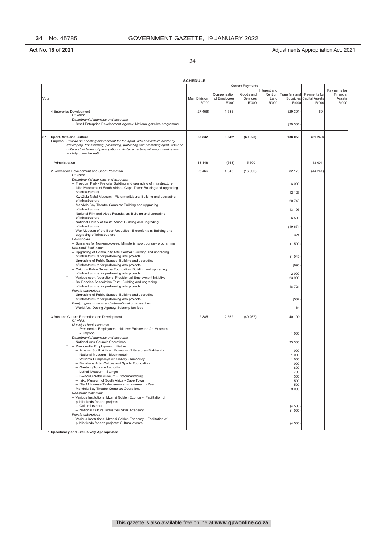34

|      |                                                                                                               | <b>SCHEDULE</b> |                              |                         |                 |                            |                                       |                     |
|------|---------------------------------------------------------------------------------------------------------------|-----------------|------------------------------|-------------------------|-----------------|----------------------------|---------------------------------------|---------------------|
|      |                                                                                                               |                 |                              | <b>Current Payments</b> |                 |                            |                                       |                     |
|      |                                                                                                               |                 |                              |                         | Interest and    |                            |                                       | Payments for        |
| Vote |                                                                                                               | Main Division   | Compensation<br>of Employees | Goods and<br>Services   | Rent on<br>Land | Transfers and<br>Subsidies | Payments for<br><b>Capital Assets</b> | Financial<br>Assets |
|      |                                                                                                               | R'000           | R'000                        | R'000                   | R'000           | R'000                      | R'000                                 | R'000               |
|      |                                                                                                               |                 |                              |                         |                 |                            |                                       |                     |
|      | 4 Enterprise Development<br>Of which                                                                          | (27456)         | 1785                         |                         |                 | (29301)                    | 60                                    |                     |
|      | Departmental agencies and accounts                                                                            |                 |                              |                         |                 |                            |                                       |                     |
|      | - Small Enterprise Development Agency: National gazelles programme                                            |                 |                              |                         |                 | (29301)                    |                                       |                     |
|      |                                                                                                               |                 |                              |                         |                 |                            |                                       |                     |
|      |                                                                                                               |                 |                              |                         |                 |                            |                                       |                     |
| 37   | Sport, Arts and Culture<br>Purpose: Provide an enabling environment for the sport, arts and culture sector by | 53 332          | 6 542*                       | (60028)                 |                 | 138 058                    | (31240)                               |                     |
|      | developing, transforming, preserving, protecting and promoting sport, arts and                                |                 |                              |                         |                 |                            |                                       |                     |
|      | culture at all levels of participation to foster an active, winning, creative and                             |                 |                              |                         |                 |                            |                                       |                     |
|      | socially cohesive nation.                                                                                     |                 |                              |                         |                 |                            |                                       |                     |
|      | 1 Administration                                                                                              | 18 148          |                              | 5 500                   |                 |                            | 13 001                                |                     |
|      |                                                                                                               |                 | (353)                        |                         |                 |                            |                                       |                     |
|      | 2 Recreation Development and Sport Promotion                                                                  | 25 4 66         | 4 3 4 3                      | (16806)                 |                 | 82 170                     | (44241)                               |                     |
|      | Of which                                                                                                      |                 |                              |                         |                 |                            |                                       |                     |
|      | Departmental agencies and accounts<br>- Freedom Park - Pretoria: Building and upgrading of infrastructure     |                 |                              |                         |                 | 8 0 0 0                    |                                       |                     |
|      | - Iziko Museums of South Africa - Cape Town: Building and upgrading                                           |                 |                              |                         |                 |                            |                                       |                     |
|      | of infrastructure                                                                                             |                 |                              |                         |                 | 12 127                     |                                       |                     |
|      | - KwaZulu-Natal Museum - Pietermaritzburg: Building and upgrading                                             |                 |                              |                         |                 |                            |                                       |                     |
|      | of infrastructure<br>- Mandela Bay Theatre Complex: Building and upgrading                                    |                 |                              |                         |                 | 20 743                     |                                       |                     |
|      | of infrastructure                                                                                             |                 |                              |                         |                 | 13 193                     |                                       |                     |
|      | - National Film and Video Foundation: Building and upgrading                                                  |                 |                              |                         |                 |                            |                                       |                     |
|      | of infrastructure                                                                                             |                 |                              |                         |                 | 6 500                      |                                       |                     |
|      | - National Library of South Africa: Building and upgrading<br>of infrastructure                               |                 |                              |                         |                 |                            |                                       |                     |
|      | - War Museum of the Boer Republics - Bloemfontein: Building and                                               |                 |                              |                         |                 | (19671)                    |                                       |                     |
|      | upgrading of infrastructure                                                                                   |                 |                              |                         |                 | 324                        |                                       |                     |
|      | Households                                                                                                    |                 |                              |                         |                 |                            |                                       |                     |
|      | - Bursaries for Non-employees: Ministerial sport bursary programme<br>Non-profit institutions                 |                 |                              |                         |                 | (1500)                     |                                       |                     |
|      | - Upgrading of Community Arts Centres: Building and upgrading                                                 |                 |                              |                         |                 |                            |                                       |                     |
|      | of infrastructure for performing arts projects                                                                |                 |                              |                         |                 | (1049)                     |                                       |                     |
|      | - Upgrading of Public Spaces: Building and upgrading                                                          |                 |                              |                         |                 |                            |                                       |                     |
|      | of infrastructure for performing arts projects<br>- Caiphus Katse Semenya Foundation: Building and upgrading  |                 |                              |                         |                 | (690)                      |                                       |                     |
|      | of infrastructure for performing arts projects                                                                |                 |                              |                         |                 | 2 0 0 0                    |                                       |                     |
|      | - Various sport federations: Presidential Employment Initiative                                               |                 |                              |                         |                 | 23 990                     |                                       |                     |
|      | - SA Roadies Association Trust: Building and upgrading                                                        |                 |                              |                         |                 |                            |                                       |                     |
|      | of infrastructure for performing arts projects<br>Private enterprises                                         |                 |                              |                         |                 | 18721                      |                                       |                     |
|      | - Upgrading of Public Spaces: Building and upgrading                                                          |                 |                              |                         |                 |                            |                                       |                     |
|      | of infrastructure for performing arts projects                                                                |                 |                              |                         |                 | (582)                      |                                       |                     |
|      | Foreign governments and international organisations                                                           |                 |                              |                         |                 |                            |                                       |                     |
|      | - World Anti-Doping Agency: Subscription fees                                                                 |                 |                              |                         |                 | 64                         |                                       |                     |
|      | 3 Arts and Culture Promotion and Development                                                                  | 2 3 8 5         | 2 5 5 2                      | (40267)                 |                 | 40 100                     |                                       |                     |
|      | Of which                                                                                                      |                 |                              |                         |                 |                            |                                       |                     |
|      | Municipal bank accounts                                                                                       |                 |                              |                         |                 |                            |                                       |                     |
|      | - Presidential Employment Initiative: Polokwane Art Museum<br>- Limpopo                                       |                 |                              |                         |                 | 1 0 0 0                    |                                       |                     |
|      | Departmental agencies and accounts                                                                            |                 |                              |                         |                 |                            |                                       |                     |
|      | - National Arts Council: Operations                                                                           |                 |                              |                         |                 | 33 300                     |                                       |                     |
|      | - Presidential Employment Initiative                                                                          |                 |                              |                         |                 |                            |                                       |                     |
|      | - Amazwi South African Museum of Literature - Makhanda<br>- National Museum - Bloemfontein                    |                 |                              |                         |                 | 1 0 0 0<br>1 0 0 0         |                                       |                     |
|      | - Williams Humphreys Art Gallery - Kimberley                                                                  |                 |                              |                         |                 | 1 0 0 0                    |                                       |                     |
|      | - Mmabana Arts, Culture and Sports Foundation                                                                 |                 |                              |                         |                 | 1 0 0 0                    |                                       |                     |
|      | Gauteng Tourism Authority                                                                                     |                 |                              |                         |                 | 800                        |                                       |                     |
|      | - Luthuli Museum - Stanger<br>- KwaZulu-Natal Museum - Pietermaritzburg                                       |                 |                              |                         |                 | 700<br>300                 |                                       |                     |
|      | - Iziko Museum of South Africa - Cape Town                                                                    |                 |                              |                         |                 | 500                        |                                       |                     |
|      | - Die Afrikaanse Taalmuseum en -monument - Paarl                                                              |                 |                              |                         |                 | 500                        |                                       |                     |
|      | - Mandela Bay Theatre Complex: Operations                                                                     |                 |                              |                         |                 | 9 0 0 0                    |                                       |                     |
|      | Non-profit institutions<br>- Various Institutions: Mzansi Golden Economy: Facilitation of                     |                 |                              |                         |                 |                            |                                       |                     |
|      | public funds for arts projects                                                                                |                 |                              |                         |                 |                            |                                       |                     |
|      | - Cultural events                                                                                             |                 |                              |                         |                 | (4500)                     |                                       |                     |
|      | - National Cultural Industries Skills Academy                                                                 |                 |                              |                         |                 | (1000)                     |                                       |                     |
|      | Private enterprises<br>- Various Institutions: Mzansi Golden Economy - Facilitation of                        |                 |                              |                         |                 |                            |                                       |                     |
|      | public funds for arts projects: Cultural events                                                               |                 |                              |                         |                 | (4500)                     |                                       |                     |
|      |                                                                                                               |                 |                              |                         |                 |                            |                                       |                     |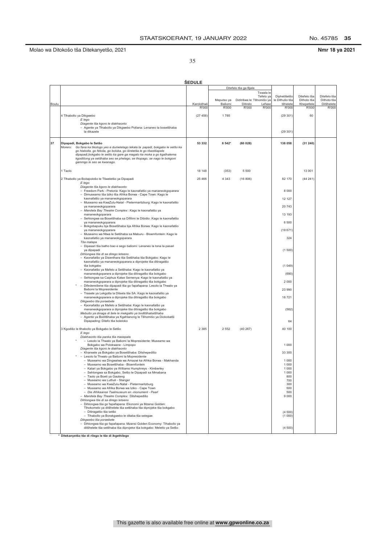No. 45785 35

### Nmr 18 ya 2021

35

|       |                                                                                                                             | <b>SEDULE</b> |            |                          |                |              |              |
|-------|-----------------------------------------------------------------------------------------------------------------------------|---------------|------------|--------------------------|----------------|--------------|--------------|
|       |                                                                                                                             |               |            | Ditefelo tša ga Bjale    |                |              |              |
|       |                                                                                                                             |               |            | Tswala le                |                |              |              |
|       |                                                                                                                             |               |            | Tefelo ya                | Diphetišetšo   | Ditefelo tša | Ditefelo tša |
|       |                                                                                                                             |               | Meputso ya | Didirišwa le Tšhomišo ya | le Dithušo tša | Dithoto tša  | Dithoto tša  |
| Boutu |                                                                                                                             | Karolothwi    | Bašomi     | Ditirelo<br>Lefase       | tšhelete       | Khepetlele   | Ditšhelete   |
|       |                                                                                                                             | R'000         | R'000      | R'000<br>R'000           | R'000          | R'000        | R'000        |
|       | 4 Tihabollo ya Dikgwebo                                                                                                     | (27456)       | 1785       |                          | (29301)        | 60           |              |
|       | E lego                                                                                                                      |               |            |                          |                |              |              |
|       | Diagente tša kgoro le diakhaonto                                                                                            |               |            |                          |                |              |              |
|       | - Agente ya Tlhabollo ya Dikgwebo Potlana: Lenaneo la bosetšhaba                                                            |               |            |                          |                |              |              |
|       | la dikazele                                                                                                                 |               |            |                          | (29301)        |              |              |
|       |                                                                                                                             |               |            |                          |                |              |              |
|       |                                                                                                                             |               |            |                          |                |              |              |
| 37    | Dipapadi, Bokgabo le Setšo<br>Morero: Go fana ka tikologo yeo e dumelelago lekala la papadi, bokgabo le setšo ka            | 53 332        | 6 542*     | (60028)                  | 138 058        | (31240)      |              |
|       | go hlabolla, go fetoša, go boloka, go šireletša le go tšwetšapele                                                           |               |            |                          |                |              |              |
|       | dipapadi, bokgabo le setšo ka gare ga magato ka moka a go kgathatema                                                        |               |            |                          |                |              |              |
|       | kgodišong ya setšhaba seo se phelago, se thopago, se nago le bokgoni                                                        |               |            |                          |                |              |              |
|       | gammgo le seo se kwanago.                                                                                                   |               |            |                          |                |              |              |
|       |                                                                                                                             |               |            |                          |                |              |              |
|       | 1 Taolo                                                                                                                     | 18 148        | (353)      | 5 500                    |                | 13 001       |              |
|       | 2 Tlhabollo ya Boitapološo le Tšweletšo ya Dipapadi                                                                         | 25 4 66       | 4 3 4 3    | (16806)                  | 82 170         | (44241)      |              |
|       | E lego                                                                                                                      |               |            |                          |                |              |              |
|       | Diagente tša kgoro le diakhaonto                                                                                            |               |            |                          |                |              |              |
|       | - Freedom Park - Pretoria: Kago le kaonafatšo ya mananeokgoparara                                                           |               |            |                          | 8 0 0 0        |              |              |
|       | - Dimuseamo tša Iziko tša Afrika Borwa - Cape Town: Kago le                                                                 |               |            |                          |                |              |              |
|       | kaonafatšo ya mananeokgoparara                                                                                              |               |            |                          | 12 127         |              |              |
|       | - Museamo wa KwaZulu-Natal - Pietermaritzburg: Kago le kaonafatšo                                                           |               |            |                          | 20 743         |              |              |
|       | ya mananeokgoparara<br>- Mandela Bay Theatre Complex : Kago le kaonafatšo ya                                                |               |            |                          |                |              |              |
|       | mananeokgoparara                                                                                                            |               |            |                          | 13 193         |              |              |
|       | - Sehlongwa sa Bosetšhaba sa Difilimi le Dibidio: Kago le kaonafatšo                                                        |               |            |                          |                |              |              |
|       | ya mananeokgoparara                                                                                                         |               |            |                          | 6 500          |              |              |
|       | - Bokgobapuku bja Bosetšhaba bja Afrika Borwa: Kago le kaonafatšo                                                           |               |            |                          |                |              |              |
|       | ya mananeokgoparara                                                                                                         |               |            |                          | (19671)        |              |              |
|       | - Museamo wa Ntwa le Setšhaba sa Maburu - Bloemfontein: Kago le<br>kaonafatšo ya mananeokgoparara                           |               |            |                          | 324            |              |              |
|       | Tša malapa                                                                                                                  |               |            |                          |                |              |              |
|       | - Dipasari tša batho bao e sego bašomi: Lenaneo la tona la pasari                                                           |               |            |                          |                |              |              |
|       | ya dipapadi                                                                                                                 |               |            |                          | (1500)         |              |              |
|       | Dihlongwa tše di sa dirego letseno                                                                                          |               |            |                          |                |              |              |
|       | - Kaonafatšo ya Disenthara tša Setšhaba tša Bokgabo: Kago le                                                                |               |            |                          |                |              |              |
|       | kaonafatšo ya mananeokgoparara a diprojeke tša ditiragatšo<br>tša bokgabo                                                   |               |            |                          | (1049)         |              |              |
|       | - Kaonafatšo ya Mafelo a Setšhaba: Kago le kaonafatšo ya                                                                    |               |            |                          |                |              |              |
|       | mananeokgoparara a diprojeke tša ditiragatšo tša bokgabo                                                                    |               |            |                          | (690)          |              |              |
|       | - Sehlongwa sa Caiphus Katse Semenya: Kago le kaonafatšo ya                                                                 |               |            |                          |                |              |              |
|       | mananeokgoparara a diprojeke tša ditiragatšo tša bokgabo                                                                    |               |            |                          | 2 0 0 0        |              |              |
|       | Difedereišene tša dipapadi tša go fapafapana: Lesolo la Thwalo ya                                                           |               |            |                          |                |              |              |
|       | Bašomi la Mopresidente<br>- Trasete ya Lekgotla la Ditsela tša SA: Kago le kaonafatšo ya                                    |               |            |                          | 23 990         |              |              |
|       | mananeokgoparara a diprojeke tša ditiragatšo tša bokgabo                                                                    |               |            |                          | 18721          |              |              |
|       | Dikgwebo tša poraebete                                                                                                      |               |            |                          |                |              |              |
|       | - Kaonafatšo ya Mafelo a Setšhaba: Kago le kaonafatšo ya                                                                    |               |            |                          |                |              |              |
|       | mananeokgoparara a diprojeke tša ditiragatšo tša bokgabo                                                                    |               |            |                          | (582)          |              |              |
|       | Mebušo ya dinaga di šele le mekgatlo ya boditšhabatšhaba                                                                    |               |            |                          |                |              |              |
|       | Agente ya Boditšhaba ya Kgahlanong le Tšhomišo ya Diokobatši                                                                |               |            |                          | 64             |              |              |
|       | Dipapading: Ditefo tša boleloko                                                                                             |               |            |                          |                |              |              |
|       | 3 Kgodišo le tlhabollo ya Bokgabo le Setšo                                                                                  | 2 3 8 5       | 2 5 5 2    | (40267)                  | 40 100         |              |              |
|       | E lego                                                                                                                      |               |            |                          |                |              |              |
|       | Diakhaonto tša panka tša masepala                                                                                           |               |            |                          |                |              |              |
|       | - Lesolo la Thwalo ya Bašomi la Mopresidente: Museamo wa                                                                    |               |            |                          |                |              |              |
|       | Bokgabo wa Polokwane - Limpopo<br>Diagente tša kgoro le diakhaonto                                                          |               |            |                          | 1 0 0 0        |              |              |
|       | - Khansele ya Bokgabo ya Bosetšhaba: Ditshepedišo                                                                           |               |            |                          | 33 300         |              |              |
|       | - Lesolo la Thwalo ya Bašomi la Mopresidente                                                                                |               |            |                          |                |              |              |
|       | - Museamo wa Dingwalwa wa Amazwi ka Afrika Borwa - Makhanda                                                                 |               |            |                          | 1 0 0 0        |              |              |
|       | - Museamo wa Bosetšhaba - Bloemfontein                                                                                      |               |            |                          | 1 0 0 0        |              |              |
|       | - Kalari ya Bokgabo ya Williams Humphreys - Kimberley                                                                       |               |            |                          | 1 0 0 0        |              |              |
|       | –  Sehlongwa sa Bokgabo, Setšo le Dipapadi sa Mmabana                                                                       |               |            |                          | 1 000          |              |              |
|       | - Taolo ya Boeti ya Gauteng<br>- Museamo wa Luthuli - Stanger                                                               |               |            |                          | 800<br>700     |              |              |
|       | - Museamo wa KwaZulu-Natal - Pietermaritzburg                                                                               |               |            |                          | 300            |              |              |
|       | - Museamo wa Afrika Borwa wa Iziko - Cape Town                                                                              |               |            |                          | 500            |              |              |
|       | - Die Afrikaanse Taalmuseum en -monument - Paarl                                                                            |               |            |                          | 500            |              |              |
|       | - Mandela Bay Theatre Complex: Ditshepedišo                                                                                 |               |            |                          | 9 0 0 0        |              |              |
|       | Dihlongwa tše di sa dirego letseno                                                                                          |               |            |                          |                |              |              |
|       | - Dihlongwa tša go fapafapana: Ekonomi ya Mzansi Golden:<br>Tlhokomelo ya ditšhelete tša setšhaba tša diprojeke tša bokgabo |               |            |                          |                |              |              |
|       | - Ditiragatšo tša setšo                                                                                                     |               |            |                          | (4500)         |              |              |
|       | - Tlhabollo ya Borakgwebo le ditaba tša selegae                                                                             |               |            |                          | (1000)         |              |              |
|       | Dikgwebo tša poraebete                                                                                                      |               |            |                          |                |              |              |
|       | - Dihlongwa tša go fapafapana: Mzansi Golden Economy: Tlhabollo ya                                                          |               |            |                          |                |              |              |
|       | ditšhelete tša setšhaba tša diprojeke tša bokgabo: Meletlo ya Setšo                                                         |               |            |                          | (4500)         |              |              |

\* Ditekanyetšo tše di rilego le tše di ikgethilego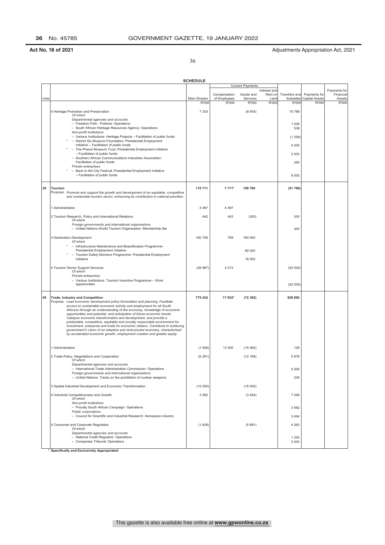36

| <b>Current Payments</b><br>Interest and<br>Payments for<br>Compensation<br>Goods and<br>Rent on<br>Transfers and<br>Payments for<br>Financial<br>Main Division<br>of Employees<br>Services<br>Subsidies<br><b>Capital Assets</b><br>Assets<br>Vote<br>Land<br>R'000<br>R'000<br>R'000<br>R'000<br>R'000<br><b>R'000</b><br>R'000<br>7 3 3 3<br>4 Heritage Promotion and Preservation<br>(8455)<br>15788<br>Of which<br>Departmental agencies and accounts<br>- Freedom Park - Pretoria: Operations<br>1 2 0 6<br>- South African Heritage Resources Agency: Operations<br>538<br>Non-profit institutions<br>- Various Institutions: Heritage Projects - Facilitation of public funds<br>(1206)<br>- District Six Museum Foundation: Presidential Employment<br>Initiative - Facilitation of public funds<br>4 0 0 0<br>- The Phansi Museum Trust: Presidential Employment Initiative<br>- Facilitation of public funds<br>2 0 0 0<br>- Southern African Communications Industries Association:<br>Facilitation of public funds<br>250<br>Private enterprises<br>- Back to the City Festival: Presidential Employment Initiative<br>- Facilitation of public funds<br>9 0 0 0<br>115 711<br>38<br>7 7 1 1*<br>159 700<br>(51 700)<br><b>Tourism</b><br>Purpose: Promote and support the growth and development of an equitable, competitive<br>and sustainable tourism sector, enhancing its contribution to national priorities.<br>1 Administration<br>4 4 9 7<br>4 4 9 7<br>2 Tourism Research, Policy and International Relations<br>442<br>300<br>442<br>(300)<br>Of which<br>Foreign governments and international organisations<br>- United Nations World Tourism Organisation: Membership fee<br>300<br>3 Destination Development<br>160 759<br>759<br>160 000<br>Of which<br>- Infrastructure Maintenance and Beautification Programme:<br>Presidential Employment Initiative<br>90 000<br>- Tourism Safety Monitors Programme: Presidential Employment<br>Initiative<br>18 000<br>4 Tourism Sector Support Services<br>(49987)<br>2013<br>(52 000)<br>Of which<br>Private enterprises<br>- Various Institutions: Tourism Incentive Programme - Work<br>opportunities<br>(52 000)<br>39<br><b>Trade, Industry and Competition</b><br>775 432<br>17 932*<br>(72392)<br>829 892<br>Purpose: Lead economic development policy formulation and planning. Facilitate<br>access to sustainable economic activity and employment for all South<br>Africans through an understanding of the economy, knowledge of economic<br>opportunities and potential, and anticipation of future economic trends.<br>Catalyse economic transformation and development, and provide a<br>predictable, competitive, equitable and socially responsible environment for<br>investment, enterprise and trade for economic citizens. Contribute to achieving<br>government's vision of an adaptive and restructured economy, characterised<br>by accelerated economic growth, employment creation and greater equity.<br>1 Administration<br>(1936)<br>13 000<br>129<br>(15065)<br>2 Trade Policy, Negotiations and Cooperation<br>(6291)<br>5 8 7 8<br>(12 169)<br>Of which<br>Departmental agencies and accounts<br>- International Trade Administration Commission: Operations<br>5 5 0 0<br>Foreign governments and international organisations<br>330<br>- United Nations: Treaty on the prohibition of nuclear weapons<br>3 Spatial Industrial Development and Economic Transformation<br>(15000)<br>(15000)<br>7 0 46<br>4 Industrial Competitiveness and Growth<br>3 5 9 2<br>(3454)<br>Of which<br>Non-profit institutions<br>- Proudly South African Campaign: Operations<br>3 5 9 2<br>Public corporations<br>- Council for Scientific and Industrial Research: Aerospace industry<br>3 4 5 4<br>5 Consumer and Corporate Regulation<br>(1628)<br>(5891)<br>4 2 6 3<br>Of which<br>Departmental agencies and accounts<br>- National Credit Regulator: Operations<br>1 2 0 0<br>- Companies Tribunal: Operations<br>3 0 0 0 |  | <b>SCHEDULE</b> |  |  |  |
|-----------------------------------------------------------------------------------------------------------------------------------------------------------------------------------------------------------------------------------------------------------------------------------------------------------------------------------------------------------------------------------------------------------------------------------------------------------------------------------------------------------------------------------------------------------------------------------------------------------------------------------------------------------------------------------------------------------------------------------------------------------------------------------------------------------------------------------------------------------------------------------------------------------------------------------------------------------------------------------------------------------------------------------------------------------------------------------------------------------------------------------------------------------------------------------------------------------------------------------------------------------------------------------------------------------------------------------------------------------------------------------------------------------------------------------------------------------------------------------------------------------------------------------------------------------------------------------------------------------------------------------------------------------------------------------------------------------------------------------------------------------------------------------------------------------------------------------------------------------------------------------------------------------------------------------------------------------------------------------------------------------------------------------------------------------------------------------------------------------------------------------------------------------------------------------------------------------------------------------------------------------------------------------------------------------------------------------------------------------------------------------------------------------------------------------------------------------------------------------------------------------------------------------------------------------------------------------------------------------------------------------------------------------------------------------------------------------------------------------------------------------------------------------------------------------------------------------------------------------------------------------------------------------------------------------------------------------------------------------------------------------------------------------------------------------------------------------------------------------------------------------------------------------------------------------------------------------------------------------------------------------------------------------------------------------------------------------------------------------------------------------------------------------------------------------------------------------------------------------------------------------------------------------------------------------------------------------------------------------------------------------------------------------------------------------------------------------------------------------------------------------------------------------------------------------------------------------------------------------------------------------------------------------------------------------------------------------------------------------------------------------------------|--|-----------------|--|--|--|
|                                                                                                                                                                                                                                                                                                                                                                                                                                                                                                                                                                                                                                                                                                                                                                                                                                                                                                                                                                                                                                                                                                                                                                                                                                                                                                                                                                                                                                                                                                                                                                                                                                                                                                                                                                                                                                                                                                                                                                                                                                                                                                                                                                                                                                                                                                                                                                                                                                                                                                                                                                                                                                                                                                                                                                                                                                                                                                                                                                                                                                                                                                                                                                                                                                                                                                                                                                                                                                                                                                                                                                                                                                                                                                                                                                                                                                                                                                                                                                                                                       |  |                 |  |  |  |
|                                                                                                                                                                                                                                                                                                                                                                                                                                                                                                                                                                                                                                                                                                                                                                                                                                                                                                                                                                                                                                                                                                                                                                                                                                                                                                                                                                                                                                                                                                                                                                                                                                                                                                                                                                                                                                                                                                                                                                                                                                                                                                                                                                                                                                                                                                                                                                                                                                                                                                                                                                                                                                                                                                                                                                                                                                                                                                                                                                                                                                                                                                                                                                                                                                                                                                                                                                                                                                                                                                                                                                                                                                                                                                                                                                                                                                                                                                                                                                                                                       |  |                 |  |  |  |
|                                                                                                                                                                                                                                                                                                                                                                                                                                                                                                                                                                                                                                                                                                                                                                                                                                                                                                                                                                                                                                                                                                                                                                                                                                                                                                                                                                                                                                                                                                                                                                                                                                                                                                                                                                                                                                                                                                                                                                                                                                                                                                                                                                                                                                                                                                                                                                                                                                                                                                                                                                                                                                                                                                                                                                                                                                                                                                                                                                                                                                                                                                                                                                                                                                                                                                                                                                                                                                                                                                                                                                                                                                                                                                                                                                                                                                                                                                                                                                                                                       |  |                 |  |  |  |
|                                                                                                                                                                                                                                                                                                                                                                                                                                                                                                                                                                                                                                                                                                                                                                                                                                                                                                                                                                                                                                                                                                                                                                                                                                                                                                                                                                                                                                                                                                                                                                                                                                                                                                                                                                                                                                                                                                                                                                                                                                                                                                                                                                                                                                                                                                                                                                                                                                                                                                                                                                                                                                                                                                                                                                                                                                                                                                                                                                                                                                                                                                                                                                                                                                                                                                                                                                                                                                                                                                                                                                                                                                                                                                                                                                                                                                                                                                                                                                                                                       |  |                 |  |  |  |
|                                                                                                                                                                                                                                                                                                                                                                                                                                                                                                                                                                                                                                                                                                                                                                                                                                                                                                                                                                                                                                                                                                                                                                                                                                                                                                                                                                                                                                                                                                                                                                                                                                                                                                                                                                                                                                                                                                                                                                                                                                                                                                                                                                                                                                                                                                                                                                                                                                                                                                                                                                                                                                                                                                                                                                                                                                                                                                                                                                                                                                                                                                                                                                                                                                                                                                                                                                                                                                                                                                                                                                                                                                                                                                                                                                                                                                                                                                                                                                                                                       |  |                 |  |  |  |
|                                                                                                                                                                                                                                                                                                                                                                                                                                                                                                                                                                                                                                                                                                                                                                                                                                                                                                                                                                                                                                                                                                                                                                                                                                                                                                                                                                                                                                                                                                                                                                                                                                                                                                                                                                                                                                                                                                                                                                                                                                                                                                                                                                                                                                                                                                                                                                                                                                                                                                                                                                                                                                                                                                                                                                                                                                                                                                                                                                                                                                                                                                                                                                                                                                                                                                                                                                                                                                                                                                                                                                                                                                                                                                                                                                                                                                                                                                                                                                                                                       |  |                 |  |  |  |
|                                                                                                                                                                                                                                                                                                                                                                                                                                                                                                                                                                                                                                                                                                                                                                                                                                                                                                                                                                                                                                                                                                                                                                                                                                                                                                                                                                                                                                                                                                                                                                                                                                                                                                                                                                                                                                                                                                                                                                                                                                                                                                                                                                                                                                                                                                                                                                                                                                                                                                                                                                                                                                                                                                                                                                                                                                                                                                                                                                                                                                                                                                                                                                                                                                                                                                                                                                                                                                                                                                                                                                                                                                                                                                                                                                                                                                                                                                                                                                                                                       |  |                 |  |  |  |
|                                                                                                                                                                                                                                                                                                                                                                                                                                                                                                                                                                                                                                                                                                                                                                                                                                                                                                                                                                                                                                                                                                                                                                                                                                                                                                                                                                                                                                                                                                                                                                                                                                                                                                                                                                                                                                                                                                                                                                                                                                                                                                                                                                                                                                                                                                                                                                                                                                                                                                                                                                                                                                                                                                                                                                                                                                                                                                                                                                                                                                                                                                                                                                                                                                                                                                                                                                                                                                                                                                                                                                                                                                                                                                                                                                                                                                                                                                                                                                                                                       |  |                 |  |  |  |
|                                                                                                                                                                                                                                                                                                                                                                                                                                                                                                                                                                                                                                                                                                                                                                                                                                                                                                                                                                                                                                                                                                                                                                                                                                                                                                                                                                                                                                                                                                                                                                                                                                                                                                                                                                                                                                                                                                                                                                                                                                                                                                                                                                                                                                                                                                                                                                                                                                                                                                                                                                                                                                                                                                                                                                                                                                                                                                                                                                                                                                                                                                                                                                                                                                                                                                                                                                                                                                                                                                                                                                                                                                                                                                                                                                                                                                                                                                                                                                                                                       |  |                 |  |  |  |
|                                                                                                                                                                                                                                                                                                                                                                                                                                                                                                                                                                                                                                                                                                                                                                                                                                                                                                                                                                                                                                                                                                                                                                                                                                                                                                                                                                                                                                                                                                                                                                                                                                                                                                                                                                                                                                                                                                                                                                                                                                                                                                                                                                                                                                                                                                                                                                                                                                                                                                                                                                                                                                                                                                                                                                                                                                                                                                                                                                                                                                                                                                                                                                                                                                                                                                                                                                                                                                                                                                                                                                                                                                                                                                                                                                                                                                                                                                                                                                                                                       |  |                 |  |  |  |
|                                                                                                                                                                                                                                                                                                                                                                                                                                                                                                                                                                                                                                                                                                                                                                                                                                                                                                                                                                                                                                                                                                                                                                                                                                                                                                                                                                                                                                                                                                                                                                                                                                                                                                                                                                                                                                                                                                                                                                                                                                                                                                                                                                                                                                                                                                                                                                                                                                                                                                                                                                                                                                                                                                                                                                                                                                                                                                                                                                                                                                                                                                                                                                                                                                                                                                                                                                                                                                                                                                                                                                                                                                                                                                                                                                                                                                                                                                                                                                                                                       |  |                 |  |  |  |
|                                                                                                                                                                                                                                                                                                                                                                                                                                                                                                                                                                                                                                                                                                                                                                                                                                                                                                                                                                                                                                                                                                                                                                                                                                                                                                                                                                                                                                                                                                                                                                                                                                                                                                                                                                                                                                                                                                                                                                                                                                                                                                                                                                                                                                                                                                                                                                                                                                                                                                                                                                                                                                                                                                                                                                                                                                                                                                                                                                                                                                                                                                                                                                                                                                                                                                                                                                                                                                                                                                                                                                                                                                                                                                                                                                                                                                                                                                                                                                                                                       |  |                 |  |  |  |
|                                                                                                                                                                                                                                                                                                                                                                                                                                                                                                                                                                                                                                                                                                                                                                                                                                                                                                                                                                                                                                                                                                                                                                                                                                                                                                                                                                                                                                                                                                                                                                                                                                                                                                                                                                                                                                                                                                                                                                                                                                                                                                                                                                                                                                                                                                                                                                                                                                                                                                                                                                                                                                                                                                                                                                                                                                                                                                                                                                                                                                                                                                                                                                                                                                                                                                                                                                                                                                                                                                                                                                                                                                                                                                                                                                                                                                                                                                                                                                                                                       |  |                 |  |  |  |
|                                                                                                                                                                                                                                                                                                                                                                                                                                                                                                                                                                                                                                                                                                                                                                                                                                                                                                                                                                                                                                                                                                                                                                                                                                                                                                                                                                                                                                                                                                                                                                                                                                                                                                                                                                                                                                                                                                                                                                                                                                                                                                                                                                                                                                                                                                                                                                                                                                                                                                                                                                                                                                                                                                                                                                                                                                                                                                                                                                                                                                                                                                                                                                                                                                                                                                                                                                                                                                                                                                                                                                                                                                                                                                                                                                                                                                                                                                                                                                                                                       |  |                 |  |  |  |
|                                                                                                                                                                                                                                                                                                                                                                                                                                                                                                                                                                                                                                                                                                                                                                                                                                                                                                                                                                                                                                                                                                                                                                                                                                                                                                                                                                                                                                                                                                                                                                                                                                                                                                                                                                                                                                                                                                                                                                                                                                                                                                                                                                                                                                                                                                                                                                                                                                                                                                                                                                                                                                                                                                                                                                                                                                                                                                                                                                                                                                                                                                                                                                                                                                                                                                                                                                                                                                                                                                                                                                                                                                                                                                                                                                                                                                                                                                                                                                                                                       |  |                 |  |  |  |
|                                                                                                                                                                                                                                                                                                                                                                                                                                                                                                                                                                                                                                                                                                                                                                                                                                                                                                                                                                                                                                                                                                                                                                                                                                                                                                                                                                                                                                                                                                                                                                                                                                                                                                                                                                                                                                                                                                                                                                                                                                                                                                                                                                                                                                                                                                                                                                                                                                                                                                                                                                                                                                                                                                                                                                                                                                                                                                                                                                                                                                                                                                                                                                                                                                                                                                                                                                                                                                                                                                                                                                                                                                                                                                                                                                                                                                                                                                                                                                                                                       |  |                 |  |  |  |
|                                                                                                                                                                                                                                                                                                                                                                                                                                                                                                                                                                                                                                                                                                                                                                                                                                                                                                                                                                                                                                                                                                                                                                                                                                                                                                                                                                                                                                                                                                                                                                                                                                                                                                                                                                                                                                                                                                                                                                                                                                                                                                                                                                                                                                                                                                                                                                                                                                                                                                                                                                                                                                                                                                                                                                                                                                                                                                                                                                                                                                                                                                                                                                                                                                                                                                                                                                                                                                                                                                                                                                                                                                                                                                                                                                                                                                                                                                                                                                                                                       |  |                 |  |  |  |
|                                                                                                                                                                                                                                                                                                                                                                                                                                                                                                                                                                                                                                                                                                                                                                                                                                                                                                                                                                                                                                                                                                                                                                                                                                                                                                                                                                                                                                                                                                                                                                                                                                                                                                                                                                                                                                                                                                                                                                                                                                                                                                                                                                                                                                                                                                                                                                                                                                                                                                                                                                                                                                                                                                                                                                                                                                                                                                                                                                                                                                                                                                                                                                                                                                                                                                                                                                                                                                                                                                                                                                                                                                                                                                                                                                                                                                                                                                                                                                                                                       |  |                 |  |  |  |
|                                                                                                                                                                                                                                                                                                                                                                                                                                                                                                                                                                                                                                                                                                                                                                                                                                                                                                                                                                                                                                                                                                                                                                                                                                                                                                                                                                                                                                                                                                                                                                                                                                                                                                                                                                                                                                                                                                                                                                                                                                                                                                                                                                                                                                                                                                                                                                                                                                                                                                                                                                                                                                                                                                                                                                                                                                                                                                                                                                                                                                                                                                                                                                                                                                                                                                                                                                                                                                                                                                                                                                                                                                                                                                                                                                                                                                                                                                                                                                                                                       |  |                 |  |  |  |
|                                                                                                                                                                                                                                                                                                                                                                                                                                                                                                                                                                                                                                                                                                                                                                                                                                                                                                                                                                                                                                                                                                                                                                                                                                                                                                                                                                                                                                                                                                                                                                                                                                                                                                                                                                                                                                                                                                                                                                                                                                                                                                                                                                                                                                                                                                                                                                                                                                                                                                                                                                                                                                                                                                                                                                                                                                                                                                                                                                                                                                                                                                                                                                                                                                                                                                                                                                                                                                                                                                                                                                                                                                                                                                                                                                                                                                                                                                                                                                                                                       |  |                 |  |  |  |
|                                                                                                                                                                                                                                                                                                                                                                                                                                                                                                                                                                                                                                                                                                                                                                                                                                                                                                                                                                                                                                                                                                                                                                                                                                                                                                                                                                                                                                                                                                                                                                                                                                                                                                                                                                                                                                                                                                                                                                                                                                                                                                                                                                                                                                                                                                                                                                                                                                                                                                                                                                                                                                                                                                                                                                                                                                                                                                                                                                                                                                                                                                                                                                                                                                                                                                                                                                                                                                                                                                                                                                                                                                                                                                                                                                                                                                                                                                                                                                                                                       |  |                 |  |  |  |
|                                                                                                                                                                                                                                                                                                                                                                                                                                                                                                                                                                                                                                                                                                                                                                                                                                                                                                                                                                                                                                                                                                                                                                                                                                                                                                                                                                                                                                                                                                                                                                                                                                                                                                                                                                                                                                                                                                                                                                                                                                                                                                                                                                                                                                                                                                                                                                                                                                                                                                                                                                                                                                                                                                                                                                                                                                                                                                                                                                                                                                                                                                                                                                                                                                                                                                                                                                                                                                                                                                                                                                                                                                                                                                                                                                                                                                                                                                                                                                                                                       |  |                 |  |  |  |
|                                                                                                                                                                                                                                                                                                                                                                                                                                                                                                                                                                                                                                                                                                                                                                                                                                                                                                                                                                                                                                                                                                                                                                                                                                                                                                                                                                                                                                                                                                                                                                                                                                                                                                                                                                                                                                                                                                                                                                                                                                                                                                                                                                                                                                                                                                                                                                                                                                                                                                                                                                                                                                                                                                                                                                                                                                                                                                                                                                                                                                                                                                                                                                                                                                                                                                                                                                                                                                                                                                                                                                                                                                                                                                                                                                                                                                                                                                                                                                                                                       |  |                 |  |  |  |
|                                                                                                                                                                                                                                                                                                                                                                                                                                                                                                                                                                                                                                                                                                                                                                                                                                                                                                                                                                                                                                                                                                                                                                                                                                                                                                                                                                                                                                                                                                                                                                                                                                                                                                                                                                                                                                                                                                                                                                                                                                                                                                                                                                                                                                                                                                                                                                                                                                                                                                                                                                                                                                                                                                                                                                                                                                                                                                                                                                                                                                                                                                                                                                                                                                                                                                                                                                                                                                                                                                                                                                                                                                                                                                                                                                                                                                                                                                                                                                                                                       |  |                 |  |  |  |
|                                                                                                                                                                                                                                                                                                                                                                                                                                                                                                                                                                                                                                                                                                                                                                                                                                                                                                                                                                                                                                                                                                                                                                                                                                                                                                                                                                                                                                                                                                                                                                                                                                                                                                                                                                                                                                                                                                                                                                                                                                                                                                                                                                                                                                                                                                                                                                                                                                                                                                                                                                                                                                                                                                                                                                                                                                                                                                                                                                                                                                                                                                                                                                                                                                                                                                                                                                                                                                                                                                                                                                                                                                                                                                                                                                                                                                                                                                                                                                                                                       |  |                 |  |  |  |
|                                                                                                                                                                                                                                                                                                                                                                                                                                                                                                                                                                                                                                                                                                                                                                                                                                                                                                                                                                                                                                                                                                                                                                                                                                                                                                                                                                                                                                                                                                                                                                                                                                                                                                                                                                                                                                                                                                                                                                                                                                                                                                                                                                                                                                                                                                                                                                                                                                                                                                                                                                                                                                                                                                                                                                                                                                                                                                                                                                                                                                                                                                                                                                                                                                                                                                                                                                                                                                                                                                                                                                                                                                                                                                                                                                                                                                                                                                                                                                                                                       |  |                 |  |  |  |
|                                                                                                                                                                                                                                                                                                                                                                                                                                                                                                                                                                                                                                                                                                                                                                                                                                                                                                                                                                                                                                                                                                                                                                                                                                                                                                                                                                                                                                                                                                                                                                                                                                                                                                                                                                                                                                                                                                                                                                                                                                                                                                                                                                                                                                                                                                                                                                                                                                                                                                                                                                                                                                                                                                                                                                                                                                                                                                                                                                                                                                                                                                                                                                                                                                                                                                                                                                                                                                                                                                                                                                                                                                                                                                                                                                                                                                                                                                                                                                                                                       |  |                 |  |  |  |
|                                                                                                                                                                                                                                                                                                                                                                                                                                                                                                                                                                                                                                                                                                                                                                                                                                                                                                                                                                                                                                                                                                                                                                                                                                                                                                                                                                                                                                                                                                                                                                                                                                                                                                                                                                                                                                                                                                                                                                                                                                                                                                                                                                                                                                                                                                                                                                                                                                                                                                                                                                                                                                                                                                                                                                                                                                                                                                                                                                                                                                                                                                                                                                                                                                                                                                                                                                                                                                                                                                                                                                                                                                                                                                                                                                                                                                                                                                                                                                                                                       |  |                 |  |  |  |
|                                                                                                                                                                                                                                                                                                                                                                                                                                                                                                                                                                                                                                                                                                                                                                                                                                                                                                                                                                                                                                                                                                                                                                                                                                                                                                                                                                                                                                                                                                                                                                                                                                                                                                                                                                                                                                                                                                                                                                                                                                                                                                                                                                                                                                                                                                                                                                                                                                                                                                                                                                                                                                                                                                                                                                                                                                                                                                                                                                                                                                                                                                                                                                                                                                                                                                                                                                                                                                                                                                                                                                                                                                                                                                                                                                                                                                                                                                                                                                                                                       |  |                 |  |  |  |
|                                                                                                                                                                                                                                                                                                                                                                                                                                                                                                                                                                                                                                                                                                                                                                                                                                                                                                                                                                                                                                                                                                                                                                                                                                                                                                                                                                                                                                                                                                                                                                                                                                                                                                                                                                                                                                                                                                                                                                                                                                                                                                                                                                                                                                                                                                                                                                                                                                                                                                                                                                                                                                                                                                                                                                                                                                                                                                                                                                                                                                                                                                                                                                                                                                                                                                                                                                                                                                                                                                                                                                                                                                                                                                                                                                                                                                                                                                                                                                                                                       |  |                 |  |  |  |
|                                                                                                                                                                                                                                                                                                                                                                                                                                                                                                                                                                                                                                                                                                                                                                                                                                                                                                                                                                                                                                                                                                                                                                                                                                                                                                                                                                                                                                                                                                                                                                                                                                                                                                                                                                                                                                                                                                                                                                                                                                                                                                                                                                                                                                                                                                                                                                                                                                                                                                                                                                                                                                                                                                                                                                                                                                                                                                                                                                                                                                                                                                                                                                                                                                                                                                                                                                                                                                                                                                                                                                                                                                                                                                                                                                                                                                                                                                                                                                                                                       |  |                 |  |  |  |
|                                                                                                                                                                                                                                                                                                                                                                                                                                                                                                                                                                                                                                                                                                                                                                                                                                                                                                                                                                                                                                                                                                                                                                                                                                                                                                                                                                                                                                                                                                                                                                                                                                                                                                                                                                                                                                                                                                                                                                                                                                                                                                                                                                                                                                                                                                                                                                                                                                                                                                                                                                                                                                                                                                                                                                                                                                                                                                                                                                                                                                                                                                                                                                                                                                                                                                                                                                                                                                                                                                                                                                                                                                                                                                                                                                                                                                                                                                                                                                                                                       |  |                 |  |  |  |
|                                                                                                                                                                                                                                                                                                                                                                                                                                                                                                                                                                                                                                                                                                                                                                                                                                                                                                                                                                                                                                                                                                                                                                                                                                                                                                                                                                                                                                                                                                                                                                                                                                                                                                                                                                                                                                                                                                                                                                                                                                                                                                                                                                                                                                                                                                                                                                                                                                                                                                                                                                                                                                                                                                                                                                                                                                                                                                                                                                                                                                                                                                                                                                                                                                                                                                                                                                                                                                                                                                                                                                                                                                                                                                                                                                                                                                                                                                                                                                                                                       |  |                 |  |  |  |
|                                                                                                                                                                                                                                                                                                                                                                                                                                                                                                                                                                                                                                                                                                                                                                                                                                                                                                                                                                                                                                                                                                                                                                                                                                                                                                                                                                                                                                                                                                                                                                                                                                                                                                                                                                                                                                                                                                                                                                                                                                                                                                                                                                                                                                                                                                                                                                                                                                                                                                                                                                                                                                                                                                                                                                                                                                                                                                                                                                                                                                                                                                                                                                                                                                                                                                                                                                                                                                                                                                                                                                                                                                                                                                                                                                                                                                                                                                                                                                                                                       |  |                 |  |  |  |
|                                                                                                                                                                                                                                                                                                                                                                                                                                                                                                                                                                                                                                                                                                                                                                                                                                                                                                                                                                                                                                                                                                                                                                                                                                                                                                                                                                                                                                                                                                                                                                                                                                                                                                                                                                                                                                                                                                                                                                                                                                                                                                                                                                                                                                                                                                                                                                                                                                                                                                                                                                                                                                                                                                                                                                                                                                                                                                                                                                                                                                                                                                                                                                                                                                                                                                                                                                                                                                                                                                                                                                                                                                                                                                                                                                                                                                                                                                                                                                                                                       |  |                 |  |  |  |
|                                                                                                                                                                                                                                                                                                                                                                                                                                                                                                                                                                                                                                                                                                                                                                                                                                                                                                                                                                                                                                                                                                                                                                                                                                                                                                                                                                                                                                                                                                                                                                                                                                                                                                                                                                                                                                                                                                                                                                                                                                                                                                                                                                                                                                                                                                                                                                                                                                                                                                                                                                                                                                                                                                                                                                                                                                                                                                                                                                                                                                                                                                                                                                                                                                                                                                                                                                                                                                                                                                                                                                                                                                                                                                                                                                                                                                                                                                                                                                                                                       |  |                 |  |  |  |
|                                                                                                                                                                                                                                                                                                                                                                                                                                                                                                                                                                                                                                                                                                                                                                                                                                                                                                                                                                                                                                                                                                                                                                                                                                                                                                                                                                                                                                                                                                                                                                                                                                                                                                                                                                                                                                                                                                                                                                                                                                                                                                                                                                                                                                                                                                                                                                                                                                                                                                                                                                                                                                                                                                                                                                                                                                                                                                                                                                                                                                                                                                                                                                                                                                                                                                                                                                                                                                                                                                                                                                                                                                                                                                                                                                                                                                                                                                                                                                                                                       |  |                 |  |  |  |
|                                                                                                                                                                                                                                                                                                                                                                                                                                                                                                                                                                                                                                                                                                                                                                                                                                                                                                                                                                                                                                                                                                                                                                                                                                                                                                                                                                                                                                                                                                                                                                                                                                                                                                                                                                                                                                                                                                                                                                                                                                                                                                                                                                                                                                                                                                                                                                                                                                                                                                                                                                                                                                                                                                                                                                                                                                                                                                                                                                                                                                                                                                                                                                                                                                                                                                                                                                                                                                                                                                                                                                                                                                                                                                                                                                                                                                                                                                                                                                                                                       |  |                 |  |  |  |
|                                                                                                                                                                                                                                                                                                                                                                                                                                                                                                                                                                                                                                                                                                                                                                                                                                                                                                                                                                                                                                                                                                                                                                                                                                                                                                                                                                                                                                                                                                                                                                                                                                                                                                                                                                                                                                                                                                                                                                                                                                                                                                                                                                                                                                                                                                                                                                                                                                                                                                                                                                                                                                                                                                                                                                                                                                                                                                                                                                                                                                                                                                                                                                                                                                                                                                                                                                                                                                                                                                                                                                                                                                                                                                                                                                                                                                                                                                                                                                                                                       |  |                 |  |  |  |
|                                                                                                                                                                                                                                                                                                                                                                                                                                                                                                                                                                                                                                                                                                                                                                                                                                                                                                                                                                                                                                                                                                                                                                                                                                                                                                                                                                                                                                                                                                                                                                                                                                                                                                                                                                                                                                                                                                                                                                                                                                                                                                                                                                                                                                                                                                                                                                                                                                                                                                                                                                                                                                                                                                                                                                                                                                                                                                                                                                                                                                                                                                                                                                                                                                                                                                                                                                                                                                                                                                                                                                                                                                                                                                                                                                                                                                                                                                                                                                                                                       |  |                 |  |  |  |
|                                                                                                                                                                                                                                                                                                                                                                                                                                                                                                                                                                                                                                                                                                                                                                                                                                                                                                                                                                                                                                                                                                                                                                                                                                                                                                                                                                                                                                                                                                                                                                                                                                                                                                                                                                                                                                                                                                                                                                                                                                                                                                                                                                                                                                                                                                                                                                                                                                                                                                                                                                                                                                                                                                                                                                                                                                                                                                                                                                                                                                                                                                                                                                                                                                                                                                                                                                                                                                                                                                                                                                                                                                                                                                                                                                                                                                                                                                                                                                                                                       |  |                 |  |  |  |
|                                                                                                                                                                                                                                                                                                                                                                                                                                                                                                                                                                                                                                                                                                                                                                                                                                                                                                                                                                                                                                                                                                                                                                                                                                                                                                                                                                                                                                                                                                                                                                                                                                                                                                                                                                                                                                                                                                                                                                                                                                                                                                                                                                                                                                                                                                                                                                                                                                                                                                                                                                                                                                                                                                                                                                                                                                                                                                                                                                                                                                                                                                                                                                                                                                                                                                                                                                                                                                                                                                                                                                                                                                                                                                                                                                                                                                                                                                                                                                                                                       |  |                 |  |  |  |
|                                                                                                                                                                                                                                                                                                                                                                                                                                                                                                                                                                                                                                                                                                                                                                                                                                                                                                                                                                                                                                                                                                                                                                                                                                                                                                                                                                                                                                                                                                                                                                                                                                                                                                                                                                                                                                                                                                                                                                                                                                                                                                                                                                                                                                                                                                                                                                                                                                                                                                                                                                                                                                                                                                                                                                                                                                                                                                                                                                                                                                                                                                                                                                                                                                                                                                                                                                                                                                                                                                                                                                                                                                                                                                                                                                                                                                                                                                                                                                                                                       |  |                 |  |  |  |
|                                                                                                                                                                                                                                                                                                                                                                                                                                                                                                                                                                                                                                                                                                                                                                                                                                                                                                                                                                                                                                                                                                                                                                                                                                                                                                                                                                                                                                                                                                                                                                                                                                                                                                                                                                                                                                                                                                                                                                                                                                                                                                                                                                                                                                                                                                                                                                                                                                                                                                                                                                                                                                                                                                                                                                                                                                                                                                                                                                                                                                                                                                                                                                                                                                                                                                                                                                                                                                                                                                                                                                                                                                                                                                                                                                                                                                                                                                                                                                                                                       |  |                 |  |  |  |
|                                                                                                                                                                                                                                                                                                                                                                                                                                                                                                                                                                                                                                                                                                                                                                                                                                                                                                                                                                                                                                                                                                                                                                                                                                                                                                                                                                                                                                                                                                                                                                                                                                                                                                                                                                                                                                                                                                                                                                                                                                                                                                                                                                                                                                                                                                                                                                                                                                                                                                                                                                                                                                                                                                                                                                                                                                                                                                                                                                                                                                                                                                                                                                                                                                                                                                                                                                                                                                                                                                                                                                                                                                                                                                                                                                                                                                                                                                                                                                                                                       |  |                 |  |  |  |
|                                                                                                                                                                                                                                                                                                                                                                                                                                                                                                                                                                                                                                                                                                                                                                                                                                                                                                                                                                                                                                                                                                                                                                                                                                                                                                                                                                                                                                                                                                                                                                                                                                                                                                                                                                                                                                                                                                                                                                                                                                                                                                                                                                                                                                                                                                                                                                                                                                                                                                                                                                                                                                                                                                                                                                                                                                                                                                                                                                                                                                                                                                                                                                                                                                                                                                                                                                                                                                                                                                                                                                                                                                                                                                                                                                                                                                                                                                                                                                                                                       |  |                 |  |  |  |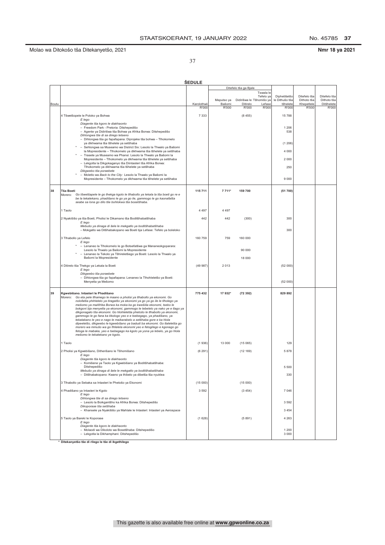No. 45785 37

### Nmr 18 ya 2021

37

|       |                                                                                                                                                            | <b>SEDULE</b> |                      |                                      |                        |                            |                           |                           |
|-------|------------------------------------------------------------------------------------------------------------------------------------------------------------|---------------|----------------------|--------------------------------------|------------------------|----------------------------|---------------------------|---------------------------|
|       |                                                                                                                                                            |               |                      | Ditefelo tša ga Bjale                |                        |                            |                           |                           |
|       |                                                                                                                                                            |               |                      |                                      | Tswala le<br>Tefelo ya | Diphetišetšo               | Ditefelo tša              | Ditefelo tša              |
| Boutu |                                                                                                                                                            | Karolothwii   | Meputso ya<br>Bašomi | Didirišwa le Tšhomišo ya<br>Ditirelo | Lefase                 | le Dithušo tša<br>tšhelete | Dithoto tša<br>Khepetlele | Dithoto tša<br>Ditšhelete |
|       |                                                                                                                                                            | R'000         | R'000                | R'000                                | R'000                  | R'000                      | R'000                     | R'000                     |
|       | 4 Tšwetšopele le Poloko ya Bohwa                                                                                                                           | 7 3 3 3       |                      | (8455)                               |                        | 15 788                     |                           |                           |
|       | E lego<br>Diagente tša kgoro le diakhaonto                                                                                                                 |               |                      |                                      |                        |                            |                           |                           |
|       | - Freedom Park - Pretoria: Ditshepedišo<br>- Agente ya Didirišwa tša Bohwa ya Afrika Borwa: Ditshepedišo                                                   |               |                      |                                      |                        | 1 206<br>538               |                           |                           |
|       | Dihlongwa tše di sa dirego letseno<br>- Dihlongwa tša go fapafapana: Diprojeke tša bohwa - Tlhokomelo                                                      |               |                      |                                      |                        |                            |                           |                           |
|       | ya dikhwama tša tšhelete ya setšhaba                                                                                                                       |               |                      |                                      |                        | (1206)                     |                           |                           |
|       | - Sehlongwa sa Museamo wa District Six: Lesolo la Thwalo ya Bašomi<br>la Mopresidente - Tlhokomelo ya dikhwama tša tšhelete ya setšhaba                    |               |                      |                                      |                        | 4 0 0 0                    |                           |                           |
|       | - Trasete ya Museamo wa Phansi: Lesolo la Thwalo ya Bašomi la<br>Mopresidente - Tlhokomelo ya dikhwama tša tšhelete ya setšhaba                            |               |                      |                                      |                        | 2 0 0 0                    |                           |                           |
|       | - Lekgotla la Dikgokaganyo tša Diintasteri tša Afrika Borwa:<br>Tlhokomelo ya dikhwama tša tšhelete ya setšhaba                                            |               |                      |                                      |                        | 250                        |                           |                           |
|       | Dikgwebo tša poraebete                                                                                                                                     |               |                      |                                      |                        |                            |                           |                           |
|       | - Moletlo wa Back to the City: Lesolo la Thwalo ya Bašomi la<br>Mopresidente - Tlhokomelo ya dikhwama tša tšhelete ya setšhaba                             |               |                      |                                      |                        | 9 0 0 0                    |                           |                           |
|       |                                                                                                                                                            |               |                      |                                      |                        |                            |                           |                           |
| 38    | <b>Tša Boeti</b><br>Morero:<br>Go tšwetšapele le go thekga kgolo le tlhabollo ya lekala la tša boeti go re e                                               | 115 711       | 7 7 1 1*             | 159 700                              |                        | (51700)                    |                           |                           |
|       | be la tekatekano, phadišano le go ya go ile, gammogo le go kaonafatša<br>seabe sa lona go dilo tše bohlokwa tša bosetšhaba.                                |               |                      |                                      |                        |                            |                           |                           |
|       |                                                                                                                                                            |               |                      |                                      |                        |                            |                           |                           |
|       | 1 Taolo                                                                                                                                                    | 4 4 9 7       | 4 4 9 7              |                                      |                        |                            |                           |                           |
|       | 2 Nyakišišo ya tša Boeti, Pholisi le Dikamano tša Boditšhabatšhaba<br>E leao                                                                               | 442           | 442                  | (300)                                |                        | 300                        |                           |                           |
|       | Mebušo ya dinaga di šele le mekgatlo ya boditšhabatšhaba<br>- Mokgatlo wa Ditšhabakopano wa Boeti bja Lefase: Tefelo ya boleloko                           |               |                      |                                      |                        | 300                        |                           |                           |
|       |                                                                                                                                                            |               |                      |                                      |                        |                            |                           |                           |
|       | 3 Tihabollo ya Lefelo<br>E lego                                                                                                                            | 160 759       | 759                  | 160 000                              |                        |                            |                           |                           |
|       | * - Lenaneo la Tlhokomelo le go Botsefatšwa ga Mananeokgoparara:<br>Lesolo la Thwalo ya Bašomi la Mopresidente                                             |               |                      | 90 000                               |                        |                            |                           |                           |
|       | - Lenaneo la Tekolo ya Tšhireletšego ya Boeti: Lesolo la Thwalo ya<br>Bašomi la Mopresidente                                                               |               |                      | 18 000                               |                        |                            |                           |                           |
|       |                                                                                                                                                            | (49987)       | 2013                 |                                      |                        |                            |                           |                           |
|       | 4 Ditirelo tša Thekgo ya Lekala la Boeti<br>E lego                                                                                                         |               |                      |                                      |                        | (52 000)                   |                           |                           |
|       | Dikgwebo tša poraebete<br>- Dihlongwa tša go fapafapana: Lenaneo la Tlhohleletšo ya Boeti:                                                                 |               |                      |                                      |                        |                            |                           |                           |
|       | Menyetla ya Mešomo                                                                                                                                         |               |                      |                                      |                        | (52 000)                   |                           |                           |
| 39    | Kgwebišano. Intasteri le Phadišano                                                                                                                         | 775 432       | 17 932*              | (72392)                              |                        | 829 892                    |                           |                           |
|       | Morero: Go eta pele tlhamego le maano a pholisi ya tlhabollo ya ekonomi. Go<br>nolofatša phihlelelo ya tiragatšo ya ekonomi ya go ya go ile le tlholego ya |               |                      |                                      |                        |                            |                           |                           |
|       | mešomo ya maAfrika Borwa ka moka ka go kwešiša ekonomi, tsebo le                                                                                           |               |                      |                                      |                        |                            |                           |                           |
|       | bokgoni bja menyetla ya ekonomi, gammogo le tebelelo ya nako ye e tlago ya<br>dikgonagalo tša ekonomi. Go hlohleletša phetošo le tlhabollo ya ekonomi,     |               |                      |                                      |                        |                            |                           |                           |
|       | gammogo le go fana ka tikologo yeo e e tsebegago, ya phadišano, ya<br>tekatakano le yeo e nago le maikarabelo a setšhaba gore e ka hlola                   |               |                      |                                      |                        |                            |                           |                           |
|       | dipeeletšo, dikgwebo le kgwebišano ya badudi ba ekonomi. Go tlaleletša go<br>morero wa mmušo wa go fihlelela ekonomi yeo e fetogilego e kgonago go         |               |                      |                                      |                        |                            |                           |                           |
|       | fetoga le mabaka, yeo e tsebegago ka kgolo ya yona ya lebelo, ya go hiola<br>mešomo le tekatekano ye kgolo.                                                |               |                      |                                      |                        |                            |                           |                           |
|       | 1 Taolo                                                                                                                                                    | (1936)        | 13 000               | (15065)                              |                        | 129                        |                           |                           |
|       |                                                                                                                                                            |               |                      |                                      |                        |                            |                           |                           |
|       | 2 Pholisi ya Kgwebišano, Ditherišano le Tšhomišano<br>E lego                                                                                               | (6291)        |                      | (12169)                              |                        | 5878                       |                           |                           |
|       | Diagente tša kgoro le diakhaonto<br>- Komišene ya Taolo ya Kgwebišano ya Boditšhabatšhaba:                                                                 |               |                      |                                      |                        |                            |                           |                           |
|       | Ditshepedišo<br>Mebušo ya dinaga di šele le mekgatlo ya boditšhabatšhaba                                                                                   |               |                      |                                      |                        | 5 500                      |                           |                           |
|       | - Ditšhabakopano: Kwano ya thibelo ya dibetša tša nyuklea                                                                                                  |               |                      |                                      |                        | 330                        |                           |                           |
|       | 3 Tlhabollo ya Sebaka sa Intasteri le Phetošo ya Ekonomi                                                                                                   | (15000)       |                      | (15000)                              |                        |                            |                           |                           |
|       | 4 Phadišano ya Intasteri le Kgolo                                                                                                                          | 3 5 9 2       |                      | (3454)                               |                        | 7 0 46                     |                           |                           |
|       | E lego<br>Dihlongwa tše di sa dirego letseno                                                                                                               |               |                      |                                      |                        |                            |                           |                           |
|       | - Lesolo la Boikgantšho ka Afrika Borwa: Ditshepedišo<br>Dikoporase tša setšhaba                                                                           |               |                      |                                      |                        | 3 5 9 2                    |                           |                           |
|       | - Khansele ya Nyakišišo ya Mahlale le Intasteri: Intasteri ya Aerospace                                                                                    |               |                      |                                      |                        | 3 4 5 4                    |                           |                           |
|       | 5 Taolo ya Bareki le Koporase                                                                                                                              | (1628)        |                      | (5891)                               |                        | 4 2 6 3                    |                           |                           |
|       | E lego<br>Diagente tša kgoro le diakhaonto                                                                                                                 |               |                      |                                      |                        |                            |                           |                           |
|       | - Molaodi wa Dikoloto wa Bosetšhaba: Ditshepedišo<br>- Lekgotla la Dikhamphani: Ditshepedišo                                                               |               |                      |                                      |                        | 1 200<br>3 0 0 0           |                           |                           |
|       |                                                                                                                                                            |               |                      |                                      |                        |                            |                           |                           |

\* Ditekanyetšo tše di rilego le tše di ikgethilego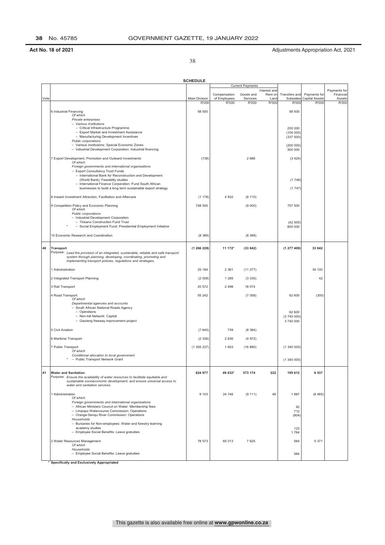38

|      |                                                                                                                                                                                                                            | <b>SCHEDULE</b>        |                       |                         |               |                      |                                |                 |
|------|----------------------------------------------------------------------------------------------------------------------------------------------------------------------------------------------------------------------------|------------------------|-----------------------|-------------------------|---------------|----------------------|--------------------------------|-----------------|
|      |                                                                                                                                                                                                                            |                        |                       | <b>Current Payments</b> | Interest and  |                      |                                | Payments for    |
|      |                                                                                                                                                                                                                            |                        | Compensation          | Goods and               | Rent on       | Transfers and        | Payments for                   | Financial       |
| Vote |                                                                                                                                                                                                                            | Main Division<br>R'000 | of Employees<br>R'000 | Services<br>R'000       | Land<br>R'000 | Subsidies<br>R'000   | <b>Capital Assets</b><br>R'000 | Assets<br>R'000 |
|      | 6 Industrial Financing                                                                                                                                                                                                     | 58 500                 |                       |                         |               | 58 500               |                                |                 |
|      | Of which                                                                                                                                                                                                                   |                        |                       |                         |               |                      |                                |                 |
|      | Private enterprises<br>- Various Institutions                                                                                                                                                                              |                        |                       |                         |               |                      |                                |                 |
|      | - Critical Infrastructure Programme                                                                                                                                                                                        |                        |                       |                         |               | 200 000              |                                |                 |
|      | - Export Market and Investment Assistance<br>- Manufacturing Development Incentives                                                                                                                                        |                        |                       |                         |               | (104000)             |                                |                 |
|      | Public corporations                                                                                                                                                                                                        |                        |                       |                         |               | (337 500)            |                                |                 |
|      | - Various Institutions: Special Economic Zones<br>- Industrial Development Corporation: Industrial financing                                                                                                               |                        |                       |                         |               | (200 000)<br>500 000 |                                |                 |
|      | 7 Export Development, Promotion and Outward Investments                                                                                                                                                                    | (738)                  |                       | 2686                    |               | (3424)               |                                |                 |
|      | Of which<br>Foreign governments and international organisations                                                                                                                                                            |                        |                       |                         |               |                      |                                |                 |
|      | - Export Consultancy Trust Funds                                                                                                                                                                                           |                        |                       |                         |               |                      |                                |                 |
|      | - International Bank for Reconstruction and Development                                                                                                                                                                    |                        |                       |                         |               |                      |                                |                 |
|      | (World Bank): Feasibility studies<br>- International Finance Corporation: Fund South African                                                                                                                               |                        |                       |                         |               | (1748)               |                                |                 |
|      | businesses to build a long term sustainable export strategy                                                                                                                                                                |                        |                       |                         |               | (1747)               |                                |                 |
|      | 8 Inward Investment Attraction, Facilitation and Aftercare                                                                                                                                                                 | (1178)                 | 4 9 3 2               | (6 110)                 |               |                      |                                |                 |
|      | 9 Competition Policy and Economic Planning                                                                                                                                                                                 | 748 500                |                       | (9 000)                 |               | 757 500              |                                |                 |
|      | Of which<br>Public corporations                                                                                                                                                                                            |                        |                       |                         |               |                      |                                |                 |
|      | - Industrial Development Corporation                                                                                                                                                                                       |                        |                       |                         |               |                      |                                |                 |
|      | - Tirisano Construction Fund Trust<br>- Social Employment Fund: Presidential Employment Initiative                                                                                                                         |                        |                       |                         |               | (42500)<br>800 000   |                                |                 |
|      |                                                                                                                                                                                                                            |                        |                       |                         |               |                      |                                |                 |
|      | 10 Economic Research and Coordination                                                                                                                                                                                      | (8389)                 |                       | (8389)                  |               |                      |                                |                 |
| 40   | <b>Transport</b>                                                                                                                                                                                                           | (1266228)              | 11 172*               | (33842)                 |               | (1277400)            | 33 842                         |                 |
|      | Purpose: Lead the provision of an integrated, sustainable, reliable and safe transport<br>system through planning, developing, coordinating, promoting and<br>implementing transport policies, regulations and strategies. |                        |                       |                         |               |                      |                                |                 |
|      | 1 Administration                                                                                                                                                                                                           | 25 184                 | 2 3 6 1               | (11277)                 |               |                      | 34 100                         |                 |
|      | 2 Integrated Transport Planning                                                                                                                                                                                            | (2008)                 | 1 2 8 5               | (3335)                  |               |                      | 42                             |                 |
|      |                                                                                                                                                                                                                            | 20 572                 | 2 4 9 8               | 18 074                  |               |                      |                                |                 |
|      | 3 Rail Transport                                                                                                                                                                                                           |                        |                       |                         |               |                      |                                |                 |
|      | 4 Road Transport<br>Of which                                                                                                                                                                                               | 55 24 2                |                       | (7058)                  |               | 62 600               | (300)                          |                 |
|      | Departmental agencies and accounts                                                                                                                                                                                         |                        |                       |                         |               |                      |                                |                 |
|      | - South African National Roads Agency                                                                                                                                                                                      |                        |                       |                         |               |                      |                                |                 |
|      | - Operations<br>- Non-toll Network: Capital                                                                                                                                                                                |                        |                       |                         |               | 62 600<br>(3740000)  |                                |                 |
|      | - Gauteng freeway improvement project                                                                                                                                                                                      |                        |                       |                         |               | 3740000              |                                |                 |
|      | 5 Civil Aviation                                                                                                                                                                                                           | (7645)                 | 739                   | (8384)                  |               |                      |                                |                 |
|      | 6 Maritime Transport                                                                                                                                                                                                       | (2336)                 | 2 6 3 6               | (4972)                  |               |                      |                                |                 |
|      |                                                                                                                                                                                                                            |                        |                       |                         |               |                      |                                |                 |
|      | 7 Public Transport<br>Of which                                                                                                                                                                                             | (1355237)              | 1653                  | (16890)                 |               | (1340000)            |                                |                 |
|      | Conditional allocation to local government                                                                                                                                                                                 |                        |                       |                         |               |                      |                                |                 |
|      | - Public Transport Network Grant                                                                                                                                                                                           |                        |                       |                         |               | (1340000)            |                                |                 |
| 41   | <b>Water and Sanitation</b>                                                                                                                                                                                                | 824 977                | 49 432*               | 573 174                 | 222           | 195 612              | 6537                           |                 |
|      | Purpose: Ensure the availability of water resources to facilitate equitable and<br>sustainable socioeconomic development, and ensure universal access to<br>water and sanitation services.                                 |                        |                       |                         |               |                      |                                |                 |
|      | 1 Administration                                                                                                                                                                                                           | 9 1 0 3                | 24 746                | (9111)                  | 46            | 1887                 | (8465)                         |                 |
|      | Of which                                                                                                                                                                                                                   |                        |                       |                         |               |                      |                                |                 |
|      | Foreign governments and international organisations<br>- African Ministers Council on Water: Membership fees                                                                                                               |                        |                       |                         |               | 92                   |                                |                 |
|      | - Limpopo Watercourse Commission: Operations                                                                                                                                                                               |                        |                       |                         |               | 712                  |                                |                 |
|      | - Orange-Sengu River Commission: Operations                                                                                                                                                                                |                        |                       |                         |               | (804)                |                                |                 |
|      | Households<br>- Bursaries for Non-employees: Water and forestry learning                                                                                                                                                   |                        |                       |                         |               |                      |                                |                 |
|      | academy studies                                                                                                                                                                                                            |                        |                       |                         |               | 123                  |                                |                 |
|      | - Employee Social Benefits: Leave gratuities                                                                                                                                                                               |                        |                       |                         |               | 1764                 |                                |                 |
|      | 2 Water Resources Management                                                                                                                                                                                               | 78 573                 | 65 013                | 7625                    |               | 564                  | 5 3 7 1                        |                 |
|      | Of which<br>Households                                                                                                                                                                                                     |                        |                       |                         |               |                      |                                |                 |
|      | - Employee Social Benefits: Leave gratuities                                                                                                                                                                               |                        |                       |                         |               | 564                  |                                |                 |
|      | * Specifically and Exclusively Appropriated                                                                                                                                                                                |                        |                       |                         |               |                      |                                |                 |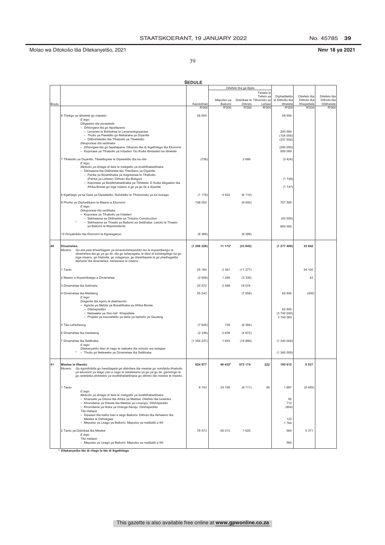No. 45785 39

Nmr 18 ya 2021

39

|       |                                                                                                                                                                                                                                                                                         | <b>SEDULE</b>        |                 |                          |                 |                                |                             |                             |
|-------|-----------------------------------------------------------------------------------------------------------------------------------------------------------------------------------------------------------------------------------------------------------------------------------------|----------------------|-----------------|--------------------------|-----------------|--------------------------------|-----------------------------|-----------------------------|
|       |                                                                                                                                                                                                                                                                                         |                      |                 | Ditefelo tša ga Bjale    | Tswala le       |                                |                             |                             |
|       |                                                                                                                                                                                                                                                                                         |                      | Meputso ya      | Didirišwa le Tšhomišo ya | Tefelo ya       | Diphetišetšo<br>le Dithušo tša | Ditefelo tša<br>Dithoto tša | Ditefelo tša<br>Dithoto tša |
| Boutu |                                                                                                                                                                                                                                                                                         | Karolothwii<br>R'000 | Bašomi<br>R'000 | Ditirelo<br>R'000        | Lefase<br>R'000 | tšhelete<br>R'000              | Khepetlele<br>R'000         | Ditšhelete<br>R'000         |
|       | 6 Thekgo ya tšhelete go intasteri                                                                                                                                                                                                                                                       | 58 500               |                 |                          |                 | 58 500                         |                             |                             |
|       | E lego<br>Dikgwebo tša poraebete                                                                                                                                                                                                                                                        |                      |                 |                          |                 |                                |                             |                             |
|       | - Dihlongwa tša go fapafapana                                                                                                                                                                                                                                                           |                      |                 |                          |                 |                                |                             |                             |
|       | - Lenaneo le Bohlokwa la Lenaneokgoparara<br>- Thušo ya Peeletšo go Mebaraka ya Diyantle                                                                                                                                                                                                |                      |                 |                          |                 | 200 000<br>(104000)            |                             |                             |
|       | - Ditlhohleletšo tša Tlhabollo ya Tšweletšo<br>Dikoporase tša setšhaba                                                                                                                                                                                                                  |                      |                 |                          |                 | (337 500)                      |                             |                             |
|       | - Dihlongwa tša go fapafapana: Dikarolo tše di Ikgethilego tša Ekonomi<br>- Koporase ya Tlhabollo ya Intasteri: Go thuša diintasteri ka tšhelete                                                                                                                                        |                      |                 |                          |                 | (200000)<br>500 000            |                             |                             |
|       | 7 Tlhabollo ya Diyantle, Tšwetšopele le Dipeeletšo tša ka ntle<br>E lego                                                                                                                                                                                                                | (738)                |                 | 2686                     |                 | (3424)                         |                             |                             |
|       | Mebušo ya dinaga di šele le mekgatlo ya boditšhabatšhaba<br>- Dikhwama tša Ditšhelete tša Therišano ya Diyantle<br>- Panka ya Bosetšhaba ya Kagoleswa le Tlhabollo                                                                                                                      |                      |                 |                          |                 |                                |                             |                             |
|       | (Panka ya Lefase): Dithuto tša Bokgoni<br>- Koporase ya Boditšhabatšhaba ya Tšhelete: E thuša dikgwebo tša<br>Afrika Borwa go loga maano a go ya go ile a diyantle                                                                                                                      |                      |                 |                          |                 | (1748)<br>(1747)               |                             |                             |
|       | 8 Kgahlego ya ka Gare ya Dipeeletšo, Nolofatšo le Tlhokomelo ya ka morago                                                                                                                                                                                                               | (1178)               | 4932            | (6 110)                  |                 |                                |                             |                             |
|       | 9 Pholisi ya Diphadišano le Maano a Ekonomi                                                                                                                                                                                                                                             | 748 500              |                 | (9 000)                  |                 | 757 500                        |                             |                             |
|       | E lego<br>Dikoporase tša setšhaba                                                                                                                                                                                                                                                       |                      |                 |                          |                 |                                |                             |                             |
|       | - Koporase ya Tlhabollo ya Intasteri<br>- Sekhwama sa Ditšhelete sa Tirisano Construction                                                                                                                                                                                               |                      |                 |                          |                 | (42500)                        |                             |                             |
|       | - Sekhwama sa Thwalo ya Bašomi sa Setšhaba: Lesolo la Thwalo<br>ya Bašomi la Mopresidente                                                                                                                                                                                               |                      |                 |                          |                 | 800 000                        |                             |                             |
|       | 10 Dinyakišišo tša Ekonomi le Kgokaganyo                                                                                                                                                                                                                                                | (8389)               |                 | (8389)                   |                 |                                |                             |                             |
| 40    | Dinamelwa                                                                                                                                                                                                                                                                               | (1266228)            | 11 172*         | (33842)                  |                 | (1277400)                      | 33 842                      |                             |
|       | Morero:<br>Go eta pele khwetšagalo ya lenaneotshepedišo leo le kopantšwego la<br>dinamelwa tša go ya go ile, tša go tshepagala, le tšeo di bolokegilego ka go<br>loga maano, go hlabolla, go rulaganya, go tšwetšapele le go phethagatša<br>dipholisi tša dinamelwa, melawana le maano. |                      |                 |                          |                 |                                |                             |                             |
|       | 1 Taolo                                                                                                                                                                                                                                                                                 | 25 184               | 2 3 6 1         | (11277)                  |                 |                                | 34 100                      |                             |
|       | 2 Maano a Kopantšwego a Dinamelwa                                                                                                                                                                                                                                                       | (2 008)              | 1 2 8 5         | (3335)                   |                 |                                | 42                          |                             |
|       | 3 Dinamelwa tša Setimela                                                                                                                                                                                                                                                                | 20 572               | 2498            | 18 074                   |                 |                                |                             |                             |
|       | 4 Dinamelwa tša Mebileng                                                                                                                                                                                                                                                                | 55 24 2              |                 | (7058)                   |                 | 62 600                         | (300)                       |                             |
|       | E lego<br>Diagente tša kgoro le diakhaonto                                                                                                                                                                                                                                              |                      |                 |                          |                 |                                |                             |                             |
|       | - Agente ya Mebila ya Bosetšhaba ya Afrika Borwa<br>- Ditshepedišo                                                                                                                                                                                                                      |                      |                 |                          |                 | 62 600                         |                             |                             |
|       | - Neteweke ya Non-toll: Khepetlele<br>- Projeke ya kaonafatšo ya tsela ya lephefo ya Gauteng                                                                                                                                                                                            |                      |                 |                          |                 | (3740000)<br>3 740 000         |                             |                             |
|       |                                                                                                                                                                                                                                                                                         |                      | 739             |                          |                 |                                |                             |                             |
|       | 5 Tša Lefaufaung                                                                                                                                                                                                                                                                        | (7645)               |                 | (8384)                   |                 |                                |                             |                             |
|       | 6 Dinamelwa tša meetseng                                                                                                                                                                                                                                                                | (2336)               | 2636            | (4972)                   |                 |                                |                             |                             |
|       | 7 Dinamelwa tša Setšhaba<br>E lego                                                                                                                                                                                                                                                      | (1355237)            | 1653            | (16 890)                 |                 | (1340000)                      |                             |                             |
|       | Ditekanyetšo tšeo di nago le mabaka tša mmušo wa selegae<br>- Thušo ya Neteweke ya Dinamelwa tša Setšhaba                                                                                                                                                                               |                      |                 |                          |                 | (1340000)                      |                             |                             |
| 41    | Meetse le Hiweko<br>Morero:<br>Go kgonthisisa go hwetsagala ga didiriswa tsa meetse go holofatsa tihabollo<br>ya ekonomi ya leago yeo e nago le tekatekano ya go ya go ile, gammogo le<br>go netefatša phihlelelo ya boditšhabatšhaba go ditirelo tša meetse le hlweko.                 | 824 977              | 49 432*         | 573 174                  | 222             | 195 612                        | 6 5 3 7                     |                             |
|       | 1 Taolo                                                                                                                                                                                                                                                                                 | 9 1 0 3              | 24 746          | (9111)                   | 46              | 1887                           | (8465)                      |                             |
|       | E lego<br>Mebušo ya dinaga di šele le mekgatlo ya boditšhabatšhaba                                                                                                                                                                                                                      |                      |                 |                          |                 |                                |                             |                             |
|       | - Khansele ya Ditona tša Afrika ya Meetse: Ditefelo tša boleloko<br>- Khomišene ya Ditsela tša Meetse ya Limpopo: Ditshepedišo<br>- Khomišene ya Noka ya Orange-Senqu: Ditshepedišo<br>Tša malapa                                                                                       |                      |                 |                          |                 | 92<br>712<br>(804)             |                             |                             |
|       | - Dipasari tša batho bao e sego Bašomi: Dithuto tša Akhatemi tša<br>Meetse le Dithokawa<br>- Meputso ya Leago ya Bašomi: Meputso ya matšatši a Ilifi                                                                                                                                    |                      |                 |                          |                 | 123<br>1764                    |                             |                             |
|       | 2 Taolo ya Didirišwa tša Meetse                                                                                                                                                                                                                                                         | 78 573               | 65 013          | 7625                     |                 | 564                            | 5 3 7 1                     |                             |
|       | E lego<br>Tša malapa                                                                                                                                                                                                                                                                    |                      |                 |                          |                 |                                |                             |                             |
|       | - Meputso ya Leago ya Bašomi: Meputso ya matšatši a Ilifi<br>* Ditekanyetšo tše di rilego le tše di ikgethilego                                                                                                                                                                         |                      |                 |                          |                 | 564                            |                             |                             |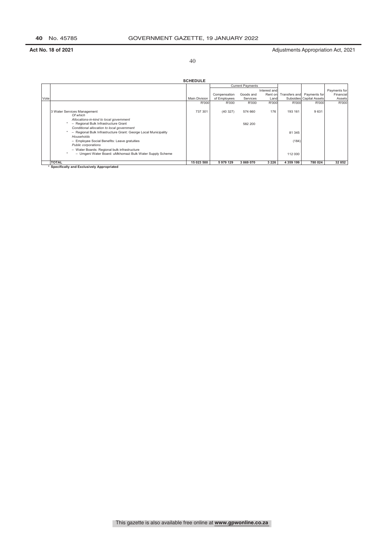40

|      |                                                                                                                                                                                                                                             | <b>SCHEDULE</b> |                              |                                      |                         |                   |                            |                           |
|------|---------------------------------------------------------------------------------------------------------------------------------------------------------------------------------------------------------------------------------------------|-----------------|------------------------------|--------------------------------------|-------------------------|-------------------|----------------------------|---------------------------|
|      |                                                                                                                                                                                                                                             |                 |                              | <b>Current Payments</b><br>Goods and | Interest and<br>Rent on |                   | Transfers and Payments for | Payments for<br>Financial |
| Vote |                                                                                                                                                                                                                                             | Main Division   | Compensation<br>of Employees | Services                             | Land                    |                   | Subsidies Capital Assets   | Assets                    |
|      |                                                                                                                                                                                                                                             | R'000           | R'000                        | R'000                                | R'000                   | R'000             | R'000                      | R'000                     |
|      | 3 Water Services Management<br>Of which<br>Allocations-in-kind to local government<br>- Regional Bulk Infrastructure Grant<br>Conditional allocation to local government<br>- Regional Bulk Infrastructure Grant: George Local Municipality | 737 301         | (40327)                      | 574 660<br>582 200                   | 176                     | 193 161<br>81 345 | 9631                       |                           |
|      | Households<br>- Employee Social Benefits: Leave gratuities<br>Public corporations<br>- Water Boards: Regional bulk infrastructure<br>- Umgeni Water Board: uMkhomazi Bulk Water Supply Scheme                                               |                 |                              |                                      |                         | (184)<br>112 000  |                            |                           |
|      | <b>TOTAL</b><br>.<br>$-20$<br>$\cdots$                                                                                                                                                                                                      | 15 023 500      | 5 979 129                    | 3 869 070                            | 3 2 2 6                 | 4 359 199         | 780 024                    | 32 852                    |